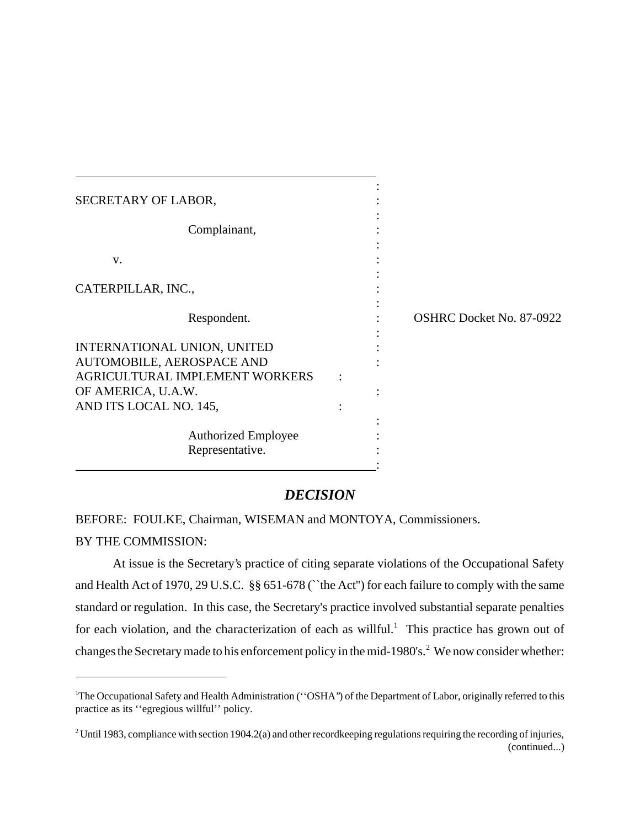| SECRETARY OF LABOR,                                                                                                                               |  |                                 |
|---------------------------------------------------------------------------------------------------------------------------------------------------|--|---------------------------------|
| Complainant,                                                                                                                                      |  |                                 |
| V.                                                                                                                                                |  |                                 |
| CATERPILLAR, INC.,                                                                                                                                |  |                                 |
| Respondent.                                                                                                                                       |  | <b>OSHRC Docket No. 87-0922</b> |
| INTERNATIONAL UNION, UNITED<br>AUTOMOBILE, AEROSPACE AND<br><b>AGRICULTURAL IMPLEMENT WORKERS</b><br>OF AMERICA, U.A.W.<br>AND ITS LOCAL NO. 145, |  |                                 |
| <b>Authorized Employee</b><br>Representative.                                                                                                     |  |                                 |

# *DECISION*

BEFORE: FOULKE, Chairman, WISEMAN and MONTOYA, Commissioners.

# BY THE COMMISSION:

At issue is the Secretary's practice of citing separate violations of the Occupational Safety and Health Act of 1970, 29 U.S.C. §§ 651-678 (``the Act'') for each failure to comply with the same standard or regulation. In this case, the Secretary's practice involved substantial separate penalties for each violation, and the characterization of each as will ful.<sup>1</sup> This practice has grown out of changes the Secretary made to his enforcement policy in the mid-1980's.<sup>2</sup> We now consider whether:

<sup>&</sup>lt;sup>1</sup>The Occupational Safety and Health Administration ("OSHA") of the Department of Labor, originally referred to this practice as its ''egregious willful'' policy.

<sup>&</sup>lt;sup>2</sup> Until 1983, compliance with section 1904.2(a) and other recordkeeping regulations requiring the recording of injuries, (continued...)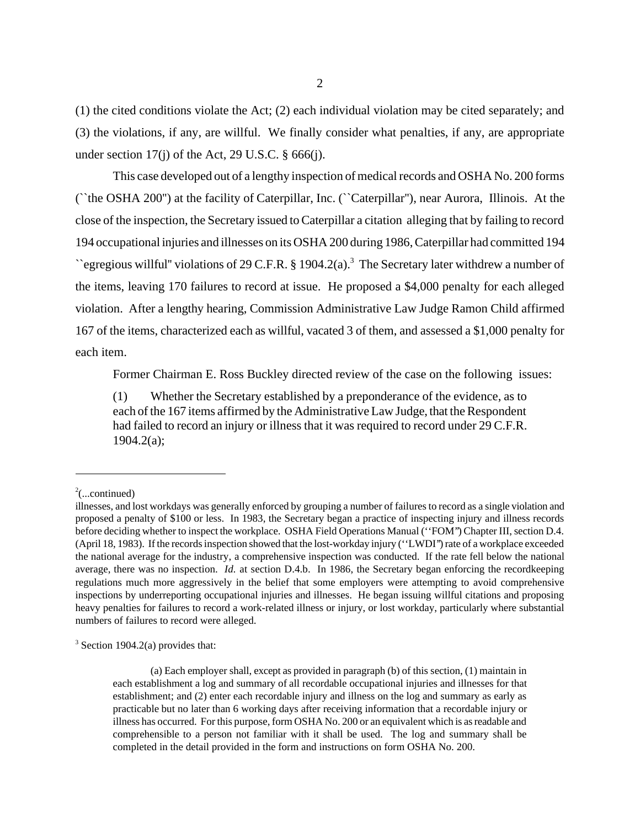(1) the cited conditions violate the Act; (2) each individual violation may be cited separately; and (3) the violations, if any, are willful. We finally consider what penalties, if any, are appropriate under section  $17(i)$  of the Act, 29 U.S.C. § 666(j).

This case developed out of a lengthy inspection of medical records and OSHA No. 200 forms (``the OSHA 200'') at the facility of Caterpillar, Inc. (``Caterpillar''), near Aurora, Illinois. At the close of the inspection, the Secretary issued to Caterpillar a citation alleging that by failing to record 194 occupational injuries and illnesses on its OSHA 200 during 1986, Caterpillar had committed 194  $\degree$  egregious willful" violations of 29 C.F.R. § 1904.2(a).<sup>3</sup> The Secretary later withdrew a number of the items, leaving 170 failures to record at issue. He proposed a \$4,000 penalty for each alleged violation. After a lengthy hearing, Commission Administrative Law Judge Ramon Child affirmed 167 of the items, characterized each as willful, vacated 3 of them, and assessed a \$1,000 penalty for each item.

Former Chairman E. Ross Buckley directed review of the case on the following issues:

(1) Whether the Secretary established by a preponderance of the evidence, as to each of the 167 items affirmed by the Administrative Law Judge, that the Respondent had failed to record an injury or illness that it was required to record under 29 C.F.R. 1904.2(a);

 $2$ (...continued)

illnesses, and lost workdays was generally enforced by grouping a number of failures to record as a single violation and proposed a penalty of \$100 or less. In 1983, the Secretary began a practice of inspecting injury and illness records before deciding whether to inspect the workplace. OSHA Field Operations Manual (''FOM'') Chapter III, section D.4. (April 18, 1983). If the records inspection showed that the lost-workday injury (''LWDI'') rate of a workplace exceeded the national average for the industry, a comprehensive inspection was conducted. If the rate fell below the national average, there was no inspection. *Id.* at section D.4.b. In 1986, the Secretary began enforcing the recordkeeping regulations much more aggressively in the belief that some employers were attempting to avoid comprehensive inspections by underreporting occupational injuries and illnesses. He began issuing willful citations and proposing heavy penalties for failures to record a work-related illness or injury, or lost workday, particularly where substantial numbers of failures to record were alleged.

 $3$  Section 1904.2(a) provides that:

<sup>(</sup>a) Each employer shall, except as provided in paragraph (b) of this section, (1) maintain in each establishment a log and summary of all recordable occupational injuries and illnesses for that establishment; and (2) enter each recordable injury and illness on the log and summary as early as practicable but no later than 6 working days after receiving information that a recordable injury or illness has occurred. For this purpose, form OSHA No. 200 or an equivalent which is as readable and comprehensible to a person not familiar with it shall be used. The log and summary shall be completed in the detail provided in the form and instructions on form OSHA No. 200.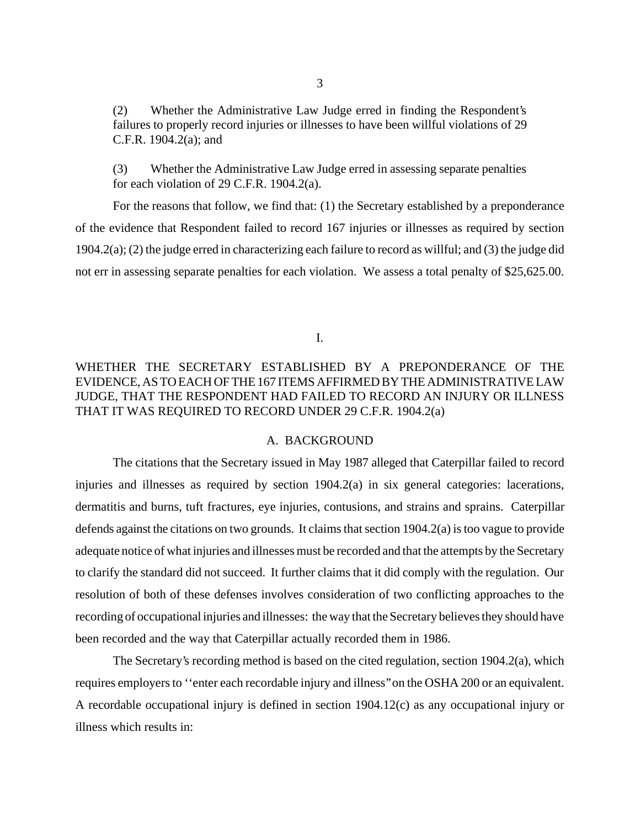(2) Whether the Administrative Law Judge erred in finding the Respondent's failures to properly record injuries or illnesses to have been willful violations of 29 C.F.R. 1904.2(a); and

(3) Whether the Administrative Law Judge erred in assessing separate penalties for each violation of  $29$  C.F.R. 1904.2(a).

For the reasons that follow, we find that: (1) the Secretary established by a preponderance of the evidence that Respondent failed to record 167 injuries or illnesses as required by section 1904.2(a); (2) the judge erred in characterizing each failure to record as willful; and (3) the judge did not err in assessing separate penalties for each violation. We assess a total penalty of \$25,625.00.

I.

# WHETHER THE SECRETARY ESTABLISHED BY A PREPONDERANCE OF THE EVIDENCE, AS TO EACH OF THE 167 ITEMS AFFIRMED BY THE ADMINISTRATIVE LAW JUDGE, THAT THE RESPONDENT HAD FAILED TO RECORD AN INJURY OR ILLNESS THAT IT WAS REQUIRED TO RECORD UNDER 29 C.F.R. 1904.2(a)

## A. BACKGROUND

The citations that the Secretary issued in May 1987 alleged that Caterpillar failed to record injuries and illnesses as required by section 1904.2(a) in six general categories: lacerations, dermatitis and burns, tuft fractures, eye injuries, contusions, and strains and sprains. Caterpillar defends against the citations on two grounds. It claims that section 1904.2(a) is too vague to provide adequate notice of what injuries and illnesses must be recorded and that the attempts by the Secretary to clarify the standard did not succeed. It further claims that it did comply with the regulation. Our resolution of both of these defenses involves consideration of two conflicting approaches to the recording of occupational injuries and illnesses: the way that the Secretary believes they should have been recorded and the way that Caterpillar actually recorded them in 1986.

The Secretary's recording method is based on the cited regulation, section 1904.2(a), which requires employers to ''enter each recordable injury and illness'' on the OSHA 200 or an equivalent. A recordable occupational injury is defined in section 1904.12(c) as any occupational injury or illness which results in: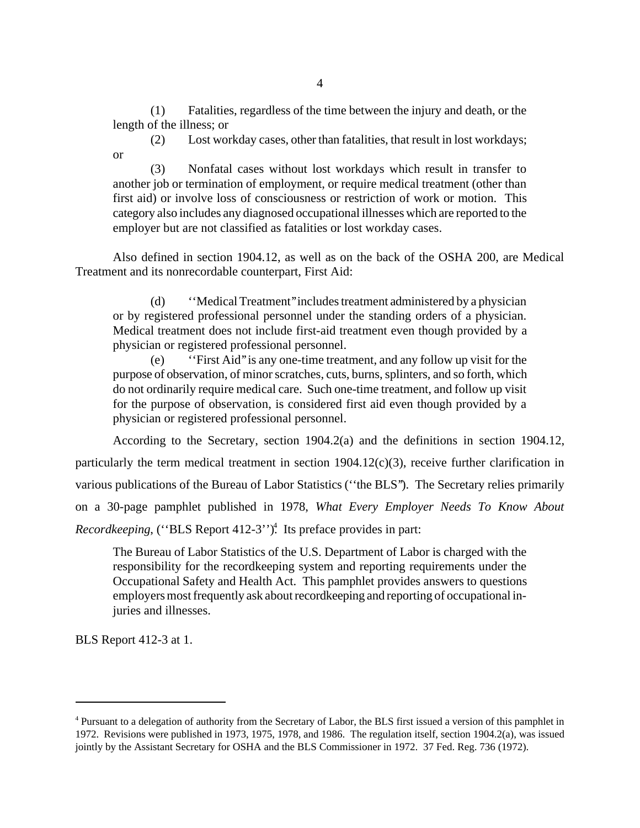(1) Fatalities, regardless of the time between the injury and death, or the length of the illness; or

(2) Lost workday cases, other than fatalities, that result in lost workdays; or

(3) Nonfatal cases without lost workdays which result in transfer to another job or termination of employment, or require medical treatment (other than first aid) or involve loss of consciousness or restriction of work or motion. This category also includes any diagnosed occupational illnesses which are reported to the employer but are not classified as fatalities or lost workday cases.

Also defined in section 1904.12, as well as on the back of the OSHA 200, are Medical Treatment and its nonrecordable counterpart, First Aid:

(d) ''Medical Treatment'' includes treatment administered by a physician or by registered professional personnel under the standing orders of a physician. Medical treatment does not include first-aid treatment even though provided by a physician or registered professional personnel.

(e) ''First Aid'' is any one-time treatment, and any follow up visit for the purpose of observation, of minor scratches, cuts, burns, splinters, and so forth, which do not ordinarily require medical care. Such one-time treatment, and follow up visit for the purpose of observation, is considered first aid even though provided by a physician or registered professional personnel.

According to the Secretary, section 1904.2(a) and the definitions in section 1904.12, particularly the term medical treatment in section 1904.12(c)(3), receive further clarification in various publications of the Bureau of Labor Statistics (''the BLS''). The Secretary relies primarily on a 30-page pamphlet published in 1978, *What Every Employer Needs To Know About* Recordkeeping, ("BLS Report 412-3")<sup>4</sup>. Its preface provides in part:

The Bureau of Labor Statistics of the U.S. Department of Labor is charged with the responsibility for the recordkeeping system and reporting requirements under the Occupational Safety and Health Act. This pamphlet provides answers to questions employers most frequently ask about recordkeeping and reporting of occupational injuries and illnesses.

BLS Report 412-3 at 1.

<sup>&</sup>lt;sup>4</sup> Pursuant to a delegation of authority from the Secretary of Labor, the BLS first issued a version of this pamphlet in 1972. Revisions were published in 1973, 1975, 1978, and 1986. The regulation itself, section 1904.2(a), was issued jointly by the Assistant Secretary for OSHA and the BLS Commissioner in 1972. 37 Fed. Reg. 736 (1972).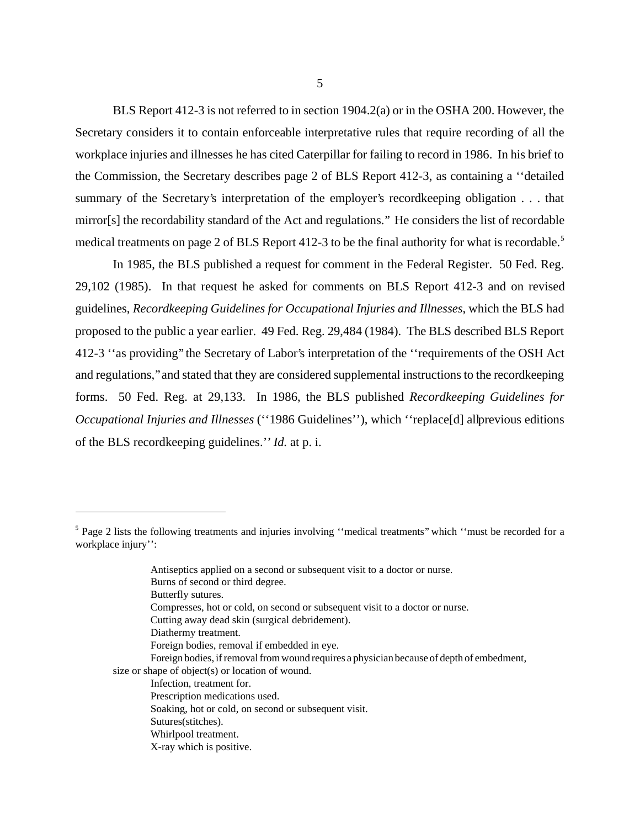BLS Report 412-3 is not referred to in section 1904.2(a) or in the OSHA 200. However, the Secretary considers it to contain enforceable interpretative rules that require recording of all the workplace injuries and illnesses he has cited Caterpillar for failing to record in 1986. In his brief to the Commission, the Secretary describes page 2 of BLS Report 412-3, as containing a ''detailed summary of the Secretary's interpretation of the employer's recordkeeping obligation . . . that mirror[s] the recordability standard of the Act and regulations.'' He considers the list of recordable medical treatments on page 2 of BLS Report 412-3 to be the final authority for what is recordable.<sup>5</sup>

In 1985, the BLS published a request for comment in the Federal Register. 50 Fed. Reg. 29,102 (1985). In that request he asked for comments on BLS Report 412-3 and on revised guidelines, *Recordkeeping Guidelines for Occupational Injuries and Illnesses*, which the BLS had proposed to the public a year earlier. 49 Fed. Reg. 29,484 (1984). The BLS described BLS Report 412-3 ''as providing'' the Secretary of Labor's interpretation of the ''requirements of the OSH Act and regulations,'' and stated that they are considered supplemental instructions to the recordkeeping forms. 50 Fed. Reg. at 29,133. In 1986, the BLS published *Recordkeeping Guidelines for Occupational Injuries and Illnesses* ("1986 Guidelines"), which "replace[d] all previous editions of the BLS recordkeeping guidelines.'' *Id.* at p. i.

Compresses, hot or cold, on second or subsequent visit to a doctor or nurse.

Diathermy treatment.

Foreign bodies, if removal from wound requires a physician because of depth of embedment,

<sup>&</sup>lt;sup>5</sup> Page 2 lists the following treatments and injuries involving "medical treatments" which "must be recorded for a workplace injury'':

Antiseptics applied on a second or subsequent visit to a doctor or nurse.

Burns of second or third degree.

Butterfly sutures.

Cutting away dead skin (surgical debridement).

Foreign bodies, removal if embedded in eye.

size or shape of object(s) or location of wound.

Infection, treatment for.

Prescription medications used.

Soaking, hot or cold, on second or subsequent visit.

Sutures(stitches).

Whirlpool treatment.

X-ray which is positive.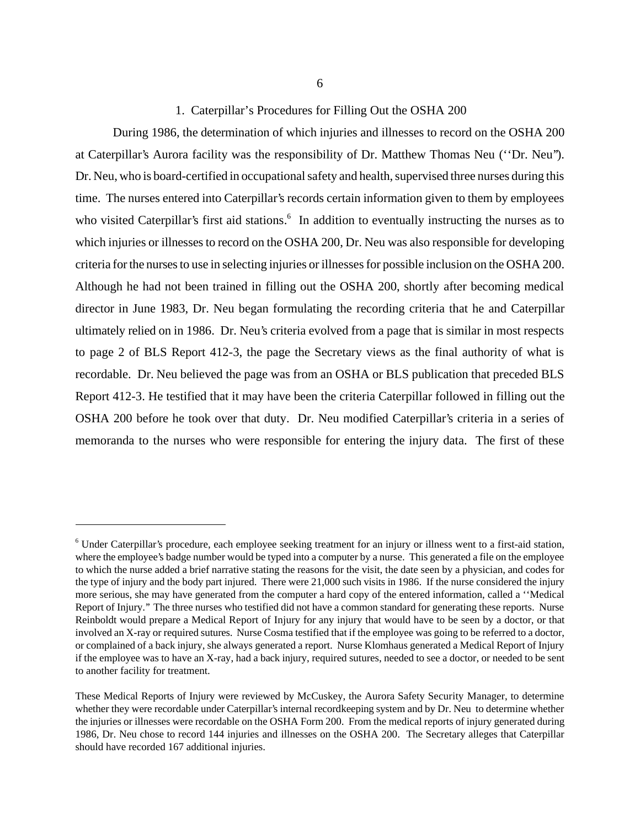### 1. Caterpillar's Procedures for Filling Out the OSHA 200

During 1986, the determination of which injuries and illnesses to record on the OSHA 200 at Caterpillar's Aurora facility was the responsibility of Dr. Matthew Thomas Neu (''Dr. Neu''). Dr. Neu, who is board-certified in occupational safety and health, supervised three nurses during this time. The nurses entered into Caterpillar's records certain information given to them by employees who visited Caterpillar's first aid stations.<sup>6</sup> In addition to eventually instructing the nurses as to which injuries or illnesses to record on the OSHA 200, Dr. Neu was also responsible for developing criteria for the nurses to use in selecting injuries or illnesses for possible inclusion on the OSHA 200. Although he had not been trained in filling out the OSHA 200, shortly after becoming medical director in June 1983, Dr. Neu began formulating the recording criteria that he and Caterpillar ultimately relied on in 1986. Dr. Neu's criteria evolved from a page that is similar in most respects to page 2 of BLS Report 412-3, the page the Secretary views as the final authority of what is recordable. Dr. Neu believed the page was from an OSHA or BLS publication that preceded BLS Report 412-3. He testified that it may have been the criteria Caterpillar followed in filling out the OSHA 200 before he took over that duty. Dr. Neu modified Caterpillar's criteria in a series of memoranda to the nurses who were responsible for entering the injury data. The first of these

<sup>&</sup>lt;sup>6</sup> Under Caterpillar's procedure, each employee seeking treatment for an injury or illness went to a first-aid station, where the employee's badge number would be typed into a computer by a nurse. This generated a file on the employee to which the nurse added a brief narrative stating the reasons for the visit, the date seen by a physician, and codes for the type of injury and the body part injured. There were 21,000 such visits in 1986. If the nurse considered the injury more serious, she may have generated from the computer a hard copy of the entered information, called a ''Medical Report of Injury.'' The three nurses who testified did not have a common standard for generating these reports. Nurse Reinboldt would prepare a Medical Report of Injury for any injury that would have to be seen by a doctor, or that involved an X-ray or required sutures. Nurse Cosma testified that if the employee was going to be referred to a doctor, or complained of a back injury, she always generated a report. Nurse Klomhaus generated a Medical Report of Injury if the employee was to have an X-ray, had a back injury, required sutures, needed to see a doctor, or needed to be sent to another facility for treatment.

These Medical Reports of Injury were reviewed by McCuskey, the Aurora Safety Security Manager, to determine whether they were recordable under Caterpillar's internal recordkeeping system and by Dr. Neu to determine whether the injuries or illnesses were recordable on the OSHA Form 200. From the medical reports of injury generated during 1986, Dr. Neu chose to record 144 injuries and illnesses on the OSHA 200. The Secretary alleges that Caterpillar should have recorded 167 additional injuries.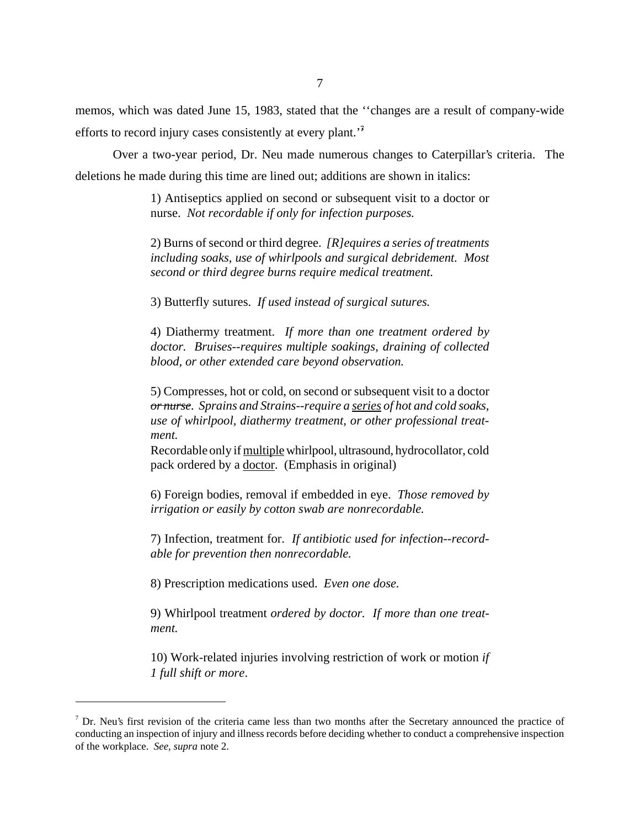memos, which was dated June 15, 1983, stated that the ''changes are a result of company-wide efforts to record injury cases consistently at every plant.<sup>'7</sup>

Over a two-year period, Dr. Neu made numerous changes to Caterpillar's criteria. The deletions he made during this time are lined out; additions are shown in italics:

> 1) Antiseptics applied on second or subsequent visit to a doctor or nurse. *Not recordable if only for infection purposes.*

> 2) Burns of second or third degree. *[R]equires a series of treatments including soaks, use of whirlpools and surgical debridement. Most second or third degree burns require medical treatment.*

3) Butterfly sutures. *If used instead of surgical sutures.*

4) Diathermy treatment. *If more than one treatment ordered by doctor. Bruises--requires multiple soakings, draining of collected blood, or other extended care beyond observation.*

5) Compresses, hot or cold, on second or subsequent visit to a doctor *or nurse. Sprains and Strains--require a series of hot and cold soaks, use of whirlpool, diathermy treatment, or other professional treatment.*

Recordable only if multiple whirlpool, ultrasound, hydrocollator, cold pack ordered by a doctor. (Emphasis in original)

6) Foreign bodies, removal if embedded in eye. *Those removed by irrigation or easily by cotton swab are nonrecordable.*

7) Infection, treatment for. *If antibiotic used for infection--recordable for prevention then nonrecordable.*

8) Prescription medications used. *Even one dose.*

9) Whirlpool treatment *ordered by doctor. If more than one treatment.*

10) Work-related injuries involving restriction of work or motion *if 1 full shift or more*.

 $<sup>7</sup>$  Dr. Neu's first revision of the criteria came less than two months after the Secretary announced the practice of</sup> conducting an inspection of injury and illness records before deciding whether to conduct a comprehensive inspection of the workplace. *See*, *supra* note 2.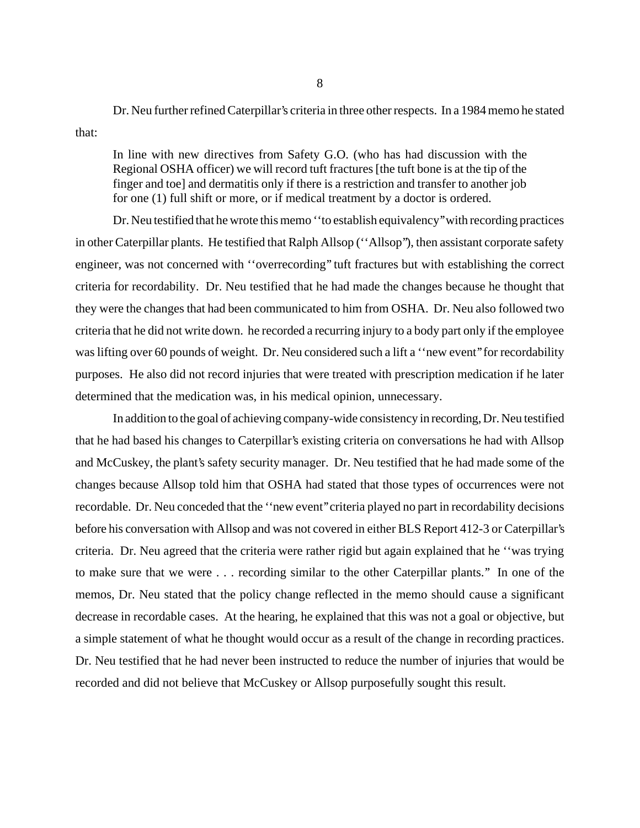Dr. Neu further refined Caterpillar's criteria in three other respects. In a 1984 memo he stated that:

In line with new directives from Safety G.O. (who has had discussion with the Regional OSHA officer) we will record tuft fractures [the tuft bone is at the tip of the finger and toe] and dermatitis only if there is a restriction and transfer to another job for one (1) full shift or more, or if medical treatment by a doctor is ordered.

Dr. Neu testified that he wrote this memo ''to establish equivalency'' with recording practices in other Caterpillar plants. He testified that Ralph Allsop (''Allsop''), then assistant corporate safety engineer, was not concerned with ''overrecording'' tuft fractures but with establishing the correct criteria for recordability. Dr. Neu testified that he had made the changes because he thought that they were the changes that had been communicated to him from OSHA. Dr. Neu also followed two criteria that he did not write down. he recorded a recurring injury to a body part only if the employee was lifting over 60 pounds of weight. Dr. Neu considered such a lift a "new event" for recordability purposes. He also did not record injuries that were treated with prescription medication if he later determined that the medication was, in his medical opinion, unnecessary.

In addition to the goal of achieving company-wide consistency in recording, Dr. Neu testified that he had based his changes to Caterpillar's existing criteria on conversations he had with Allsop and McCuskey, the plant's safety security manager. Dr. Neu testified that he had made some of the changes because Allsop told him that OSHA had stated that those types of occurrences were not recordable. Dr. Neu conceded that the ''new event'' criteria played no part in recordability decisions before his conversation with Allsop and was not covered in either BLS Report 412-3 or Caterpillar's criteria. Dr. Neu agreed that the criteria were rather rigid but again explained that he ''was trying to make sure that we were . . . recording similar to the other Caterpillar plants.'' In one of the memos, Dr. Neu stated that the policy change reflected in the memo should cause a significant decrease in recordable cases. At the hearing, he explained that this was not a goal or objective, but a simple statement of what he thought would occur as a result of the change in recording practices. Dr. Neu testified that he had never been instructed to reduce the number of injuries that would be recorded and did not believe that McCuskey or Allsop purposefully sought this result.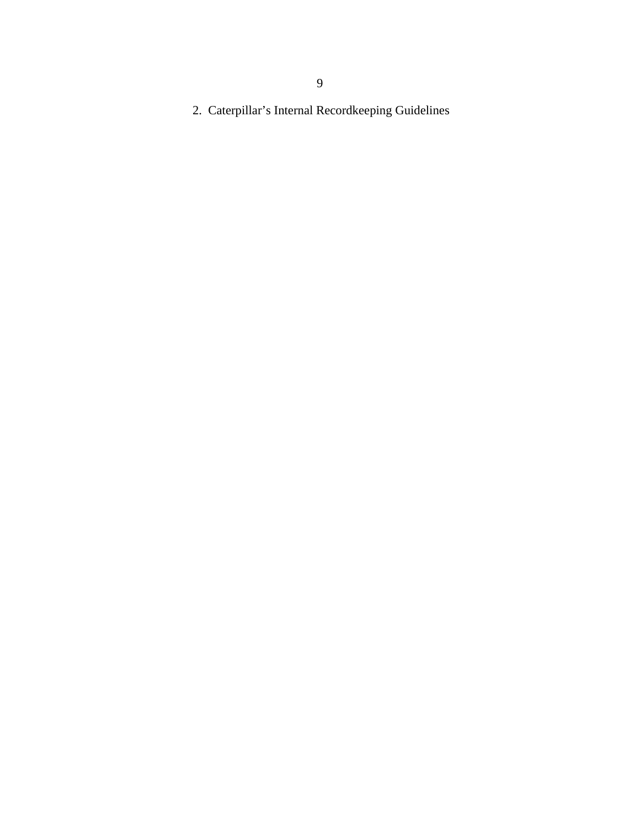9

2. Caterpillar's Internal Recordkeeping Guidelines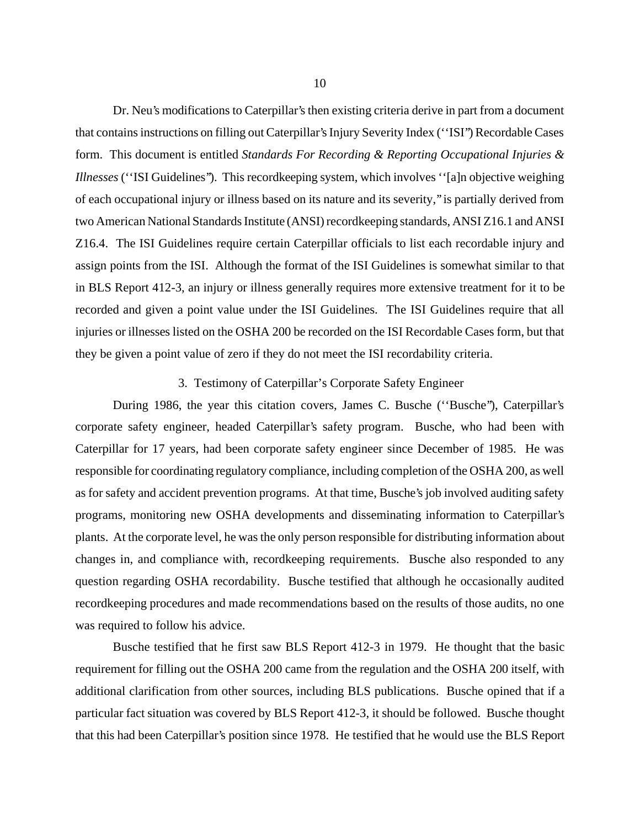Dr. Neu's modifications to Caterpillar's then existing criteria derive in part from a document that contains instructions on filling out Caterpillar's Injury Severity Index (''ISI'') Recordable Cases form. This document is entitled *Standards For Recording & Reporting Occupational Injuries & Illnesses* (''ISI Guidelines''). This recordkeeping system, which involves ''[a]n objective weighing of each occupational injury or illness based on its nature and its severity,'' is partially derived from two American National Standards Institute (ANSI) recordkeeping standards, ANSI Z16.1 and ANSI Z16.4. The ISI Guidelines require certain Caterpillar officials to list each recordable injury and assign points from the ISI. Although the format of the ISI Guidelines is somewhat similar to that in BLS Report 412-3, an injury or illness generally requires more extensive treatment for it to be recorded and given a point value under the ISI Guidelines. The ISI Guidelines require that all injuries or illnesses listed on the OSHA 200 be recorded on the ISI Recordable Cases form, but that they be given a point value of zero if they do not meet the ISI recordability criteria.

#### 3. Testimony of Caterpillar's Corporate Safety Engineer

During 1986, the year this citation covers, James C. Busche (''Busche''), Caterpillar's corporate safety engineer, headed Caterpillar's safety program. Busche, who had been with Caterpillar for 17 years, had been corporate safety engineer since December of 1985. He was responsible for coordinating regulatory compliance, including completion of the OSHA 200, as well as for safety and accident prevention programs. At that time, Busche's job involved auditing safety programs, monitoring new OSHA developments and disseminating information to Caterpillar's plants. At the corporate level, he was the only person responsible for distributing information about changes in, and compliance with, recordkeeping requirements. Busche also responded to any question regarding OSHA recordability. Busche testified that although he occasionally audited recordkeeping procedures and made recommendations based on the results of those audits, no one was required to follow his advice.

Busche testified that he first saw BLS Report 412-3 in 1979. He thought that the basic requirement for filling out the OSHA 200 came from the regulation and the OSHA 200 itself, with additional clarification from other sources, including BLS publications. Busche opined that if a particular fact situation was covered by BLS Report 412-3, it should be followed. Busche thought that this had been Caterpillar's position since 1978. He testified that he would use the BLS Report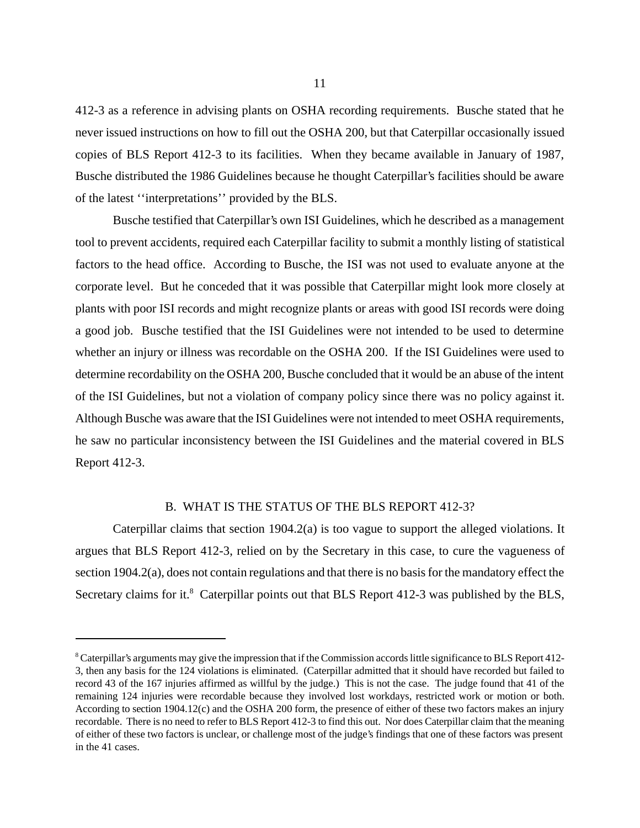412-3 as a reference in advising plants on OSHA recording requirements. Busche stated that he never issued instructions on how to fill out the OSHA 200, but that Caterpillar occasionally issued copies of BLS Report 412-3 to its facilities. When they became available in January of 1987, Busche distributed the 1986 Guidelines because he thought Caterpillar's facilities should be aware of the latest ''interpretations'' provided by the BLS.

Busche testified that Caterpillar's own ISI Guidelines, which he described as a management tool to prevent accidents, required each Caterpillar facility to submit a monthly listing of statistical factors to the head office. According to Busche, the ISI was not used to evaluate anyone at the corporate level. But he conceded that it was possible that Caterpillar might look more closely at plants with poor ISI records and might recognize plants or areas with good ISI records were doing a good job. Busche testified that the ISI Guidelines were not intended to be used to determine whether an injury or illness was recordable on the OSHA 200. If the ISI Guidelines were used to determine recordability on the OSHA 200, Busche concluded that it would be an abuse of the intent of the ISI Guidelines, but not a violation of company policy since there was no policy against it. Although Busche was aware that the ISI Guidelines were not intended to meet OSHA requirements, he saw no particular inconsistency between the ISI Guidelines and the material covered in BLS Report 412-3.

## B. WHAT IS THE STATUS OF THE BLS REPORT 412-3?

Caterpillar claims that section 1904.2(a) is too vague to support the alleged violations. It argues that BLS Report 412-3, relied on by the Secretary in this case, to cure the vagueness of section 1904.2(a), does not contain regulations and that there is no basis for the mandatory effect the Secretary claims for it.<sup>8</sup> Caterpillar points out that BLS Report 412-3 was published by the BLS,

<sup>&</sup>lt;sup>8</sup> Caterpillar's arguments may give the impression that if the Commission accords little significance to BLS Report 412-3, then any basis for the 124 violations is eliminated. (Caterpillar admitted that it should have recorded but failed to record 43 of the 167 injuries affirmed as willful by the judge.) This is not the case. The judge found that 41 of the remaining 124 injuries were recordable because they involved lost workdays, restricted work or motion or both. According to section 1904.12(c) and the OSHA 200 form, the presence of either of these two factors makes an injury recordable. There is no need to refer to BLS Report 412-3 to find this out. Nor does Caterpillar claim that the meaning of either of these two factors is unclear, or challenge most of the judge's findings that one of these factors was present in the 41 cases.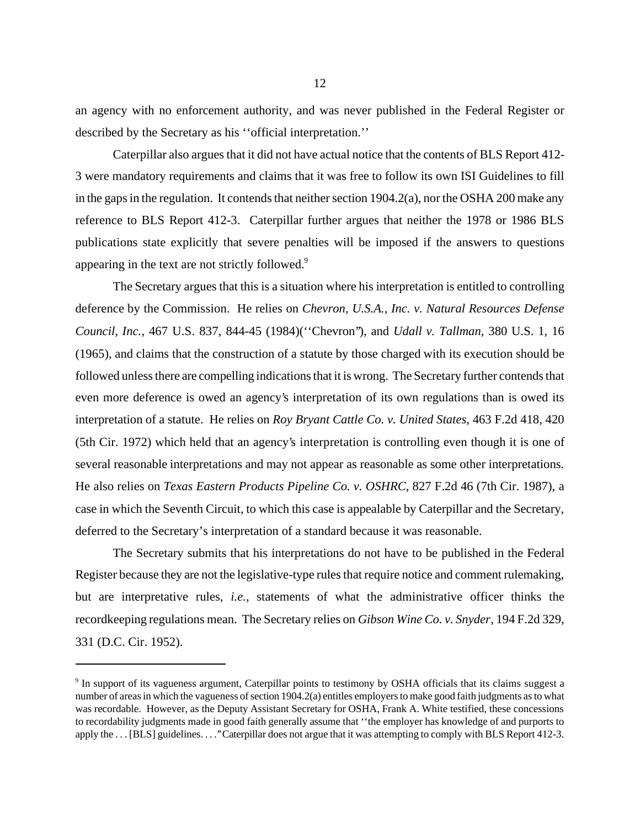an agency with no enforcement authority, and was never published in the Federal Register or described by the Secretary as his ''official interpretation.''

Caterpillar also argues that it did not have actual notice that the contents of BLS Report 412- 3 were mandatory requirements and claims that it was free to follow its own ISI Guidelines to fill in the gaps in the regulation. It contends that neither section  $1904.2(a)$ , nor the OSHA 200 make any reference to BLS Report 412-3. Caterpillar further argues that neither the 1978 or 1986 BLS publications state explicitly that severe penalties will be imposed if the answers to questions appearing in the text are not strictly followed.<sup>9</sup>

The Secretary argues that this is a situation where his interpretation is entitled to controlling deference by the Commission. He relies on *Chevron, U.S.A., Inc. v. Natural Resources Defense Council, Inc.*, 467 U.S. 837, 844-45 (1984)(''Chevron''), and *Udall v. Tallman*, 380 U.S. 1, 16 (1965), and claims that the construction of a statute by those charged with its execution should be followed unless there are compelling indications that it is wrong. The Secretary further contends that even more deference is owed an agency's interpretation of its own regulations than is owed its interpretation of a statute. He relies on *Roy Bryant Cattle Co. v. United States*, 463 F.2d 418, 420 (5th Cir. 1972) which held that an agency's interpretation is controlling even though it is one of several reasonable interpretations and may not appear as reasonable as some other interpretations. He also relies on *Texas Eastern Products Pipeline Co. v. OSHRC*, 827 F.2d 46 (7th Cir. 1987), a case in which the Seventh Circuit, to which this case is appealable by Caterpillar and the Secretary, deferred to the Secretary's interpretation of a standard because it was reasonable.

The Secretary submits that his interpretations do not have to be published in the Federal Register because they are not the legislative-type rules that require notice and comment rulemaking, but are interpretative rules, *i.e.*, statements of what the administrative officer thinks the recordkeeping regulations mean. The Secretary relies on *Gibson Wine Co. v. Snyder*, 194 F.2d 329, 331 (D.C. Cir. 1952).

<sup>&</sup>lt;sup>9</sup> In support of its vagueness argument, Caterpillar points to testimony by OSHA officials that its claims suggest a number of areas in which the vagueness of section 1904.2(a) entitles employers to make good faith judgments as to what was recordable. However, as the Deputy Assistant Secretary for OSHA, Frank A. White testified, these concessions to recordability judgments made in good faith generally assume that ''the employer has knowledge of and purports to apply the . . . [BLS] guidelines. . . .'' Caterpillar does not argue that it was attempting to comply with BLS Report 412-3.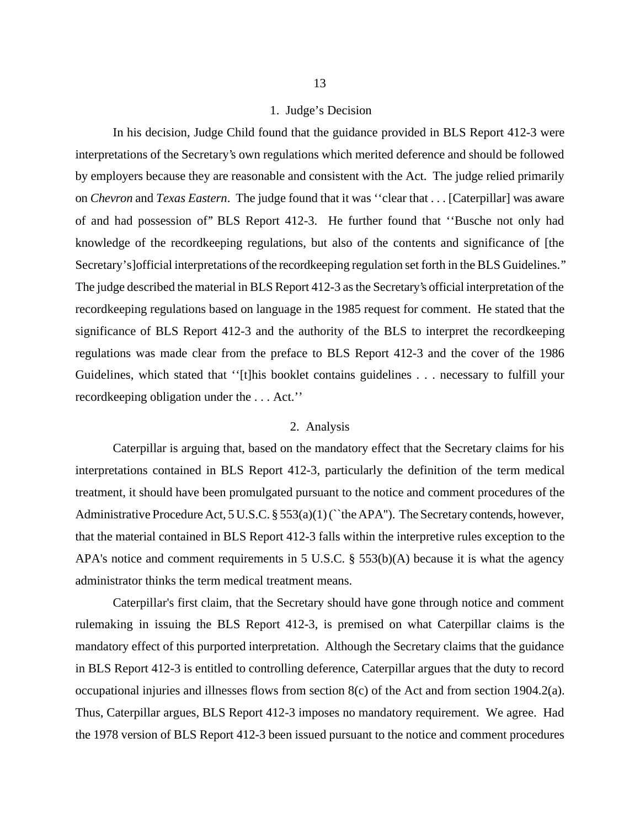#### 1. Judge's Decision

In his decision, Judge Child found that the guidance provided in BLS Report 412-3 were interpretations of the Secretary's own regulations which merited deference and should be followed by employers because they are reasonable and consistent with the Act. The judge relied primarily on *Chevron* and *Texas Eastern*. The judge found that it was ''clear that . . . [Caterpillar] was aware of and had possession of'' BLS Report 412-3. He further found that ''Busche not only had knowledge of the recordkeeping regulations, but also of the contents and significance of [the Secretary's] official interpretations of the recordkeeping regulation set forth in the BLS Guidelines.'' The judge described the material in BLS Report 412-3 as the Secretary's official interpretation of the recordkeeping regulations based on language in the 1985 request for comment. He stated that the significance of BLS Report 412-3 and the authority of the BLS to interpret the recordkeeping regulations was made clear from the preface to BLS Report 412-3 and the cover of the 1986 Guidelines, which stated that ''[t]his booklet contains guidelines . . . necessary to fulfill your recordkeeping obligation under the . . . Act.''

#### 2. Analysis

Caterpillar is arguing that, based on the mandatory effect that the Secretary claims for his interpretations contained in BLS Report 412-3, particularly the definition of the term medical treatment, it should have been promulgated pursuant to the notice and comment procedures of the Administrative Procedure Act, 5 U.S.C. § 553(a)(1) (``the APA''). The Secretary contends, however, that the material contained in BLS Report 412-3 falls within the interpretive rules exception to the APA's notice and comment requirements in 5 U.S.C. § 553(b)(A) because it is what the agency administrator thinks the term medical treatment means.

Caterpillar's first claim, that the Secretary should have gone through notice and comment rulemaking in issuing the BLS Report 412-3, is premised on what Caterpillar claims is the mandatory effect of this purported interpretation. Although the Secretary claims that the guidance in BLS Report 412-3 is entitled to controlling deference, Caterpillar argues that the duty to record occupational injuries and illnesses flows from section 8(c) of the Act and from section 1904.2(a). Thus, Caterpillar argues, BLS Report 412-3 imposes no mandatory requirement. We agree. Had the 1978 version of BLS Report 412-3 been issued pursuant to the notice and comment procedures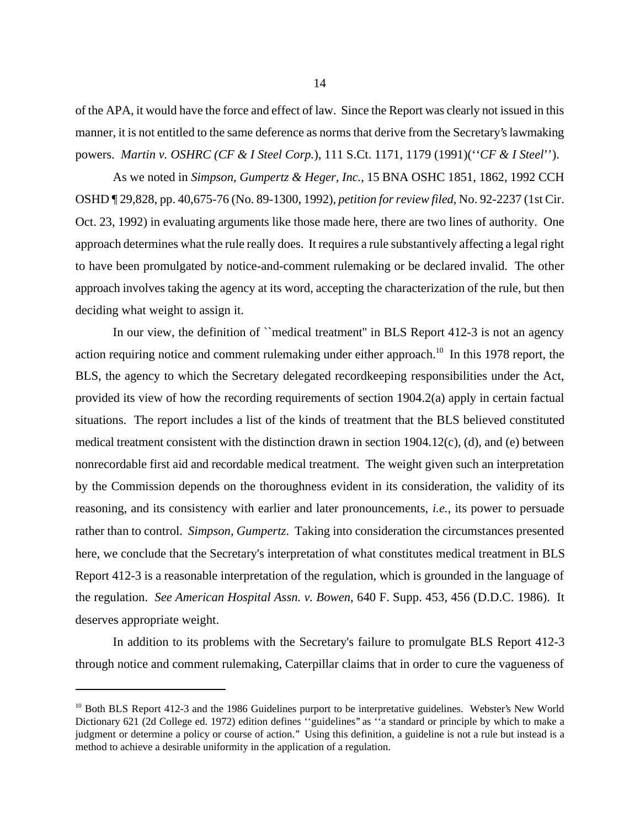of the APA, it would have the force and effect of law. Since the Report was clearly not issued in this manner, it is not entitled to the same deference as norms that derive from the Secretary's lawmaking powers. *Martin v. OSHRC (CF & I Steel Corp.*), 111 S.Ct. 1171, 1179 (1991)(''*CF & I Steel*'').

As we noted in *Simpson, Gumpertz & Heger, Inc.*, 15 BNA OSHC 1851, 1862, 1992 CCH OSHD ¶ 29,828, pp. 40,675-76 (No. 89-1300, 1992), *petition for review filed*, No. 92-2237 (1st Cir. Oct. 23, 1992) in evaluating arguments like those made here, there are two lines of authority. One approach determines what the rule really does. It requires a rule substantively affecting a legal right to have been promulgated by notice-and-comment rulemaking or be declared invalid. The other approach involves taking the agency at its word, accepting the characterization of the rule, but then deciding what weight to assign it.

In our view, the definition of "medical treatment" in BLS Report 412-3 is not an agency action requiring notice and comment rulemaking under either approach.<sup>10</sup> In this 1978 report, the BLS, the agency to which the Secretary delegated recordkeeping responsibilities under the Act, provided its view of how the recording requirements of section 1904.2(a) apply in certain factual situations. The report includes a list of the kinds of treatment that the BLS believed constituted medical treatment consistent with the distinction drawn in section 1904.12(c), (d), and (e) between nonrecordable first aid and recordable medical treatment. The weight given such an interpretation by the Commission depends on the thoroughness evident in its consideration, the validity of its reasoning, and its consistency with earlier and later pronouncements, *i.e.*, its power to persuade rather than to control. *Simpson, Gumpertz*. Taking into consideration the circumstances presented here, we conclude that the Secretary's interpretation of what constitutes medical treatment in BLS Report 412-3 is a reasonable interpretation of the regulation, which is grounded in the language of the regulation. *See American Hospital Assn. v. Bowen*, 640 F. Supp. 453, 456 (D.D.C. 1986). It deserves appropriate weight.

In addition to its problems with the Secretary's failure to promulgate BLS Report 412-3 through notice and comment rulemaking, Caterpillar claims that in order to cure the vagueness of

<sup>&</sup>lt;sup>10</sup> Both BLS Report 412-3 and the 1986 Guidelines purport to be interpretative guidelines. Webster's New World Dictionary 621 (2d College ed. 1972) edition defines ''guidelines'' as ''a standard or principle by which to make a judgment or determine a policy or course of action.'' Using this definition, a guideline is not a rule but instead is a method to achieve a desirable uniformity in the application of a regulation.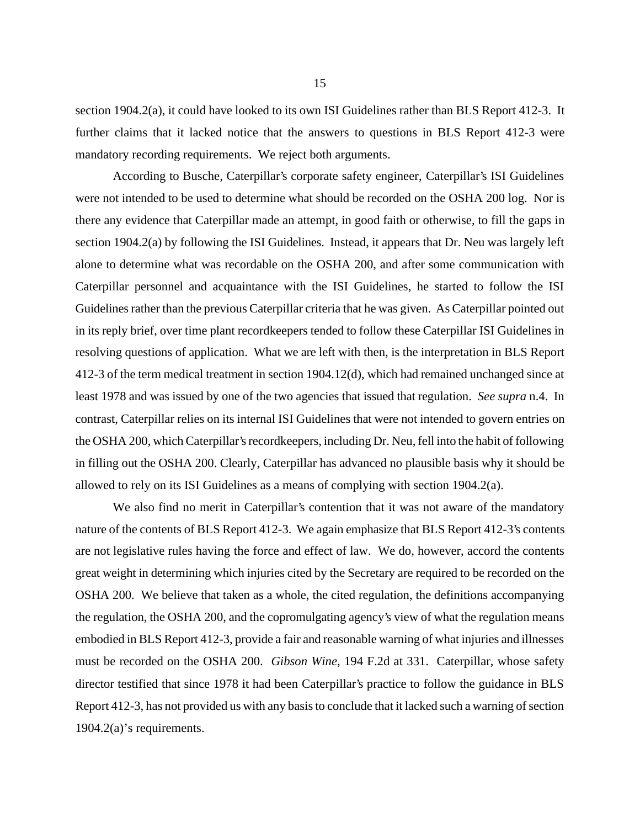section 1904.2(a), it could have looked to its own ISI Guidelines rather than BLS Report 412-3. It further claims that it lacked notice that the answers to questions in BLS Report 412-3 were mandatory recording requirements. We reject both arguments.

According to Busche, Caterpillar's corporate safety engineer, Caterpillar's ISI Guidelines were not intended to be used to determine what should be recorded on the OSHA 200 log. Nor is there any evidence that Caterpillar made an attempt, in good faith or otherwise, to fill the gaps in section 1904.2(a) by following the ISI Guidelines. Instead, it appears that Dr. Neu was largely left alone to determine what was recordable on the OSHA 200, and after some communication with Caterpillar personnel and acquaintance with the ISI Guidelines, he started to follow the ISI Guidelines rather than the previous Caterpillar criteria that he was given. As Caterpillar pointed out in its reply brief, over time plant recordkeepers tended to follow these Caterpillar ISI Guidelines in resolving questions of application. What we are left with then, is the interpretation in BLS Report 412-3 of the term medical treatment in section 1904.12(d), which had remained unchanged since at least 1978 and was issued by one of the two agencies that issued that regulation. *See supra* n.4. In contrast, Caterpillar relies on its internal ISI Guidelines that were not intended to govern entries on the OSHA 200, which Caterpillar's recordkeepers, including Dr. Neu, fell into the habit of following in filling out the OSHA 200. Clearly, Caterpillar has advanced no plausible basis why it should be allowed to rely on its ISI Guidelines as a means of complying with section 1904.2(a).

We also find no merit in Caterpillar's contention that it was not aware of the mandatory nature of the contents of BLS Report 412-3. We again emphasize that BLS Report 412-3's contents are not legislative rules having the force and effect of law. We do, however, accord the contents great weight in determining which injuries cited by the Secretary are required to be recorded on the OSHA 200. We believe that taken as a whole, the cited regulation, the definitions accompanying the regulation, the OSHA 200, and the copromulgating agency's view of what the regulation means embodied in BLS Report 412-3, provide a fair and reasonable warning of what injuries and illnesses must be recorded on the OSHA 200. *Gibson Wine*, 194 F.2d at 331. Caterpillar, whose safety director testified that since 1978 it had been Caterpillar's practice to follow the guidance in BLS Report 412-3, has not provided us with any basis to conclude that it lacked such a warning of section 1904.2(a)'s requirements.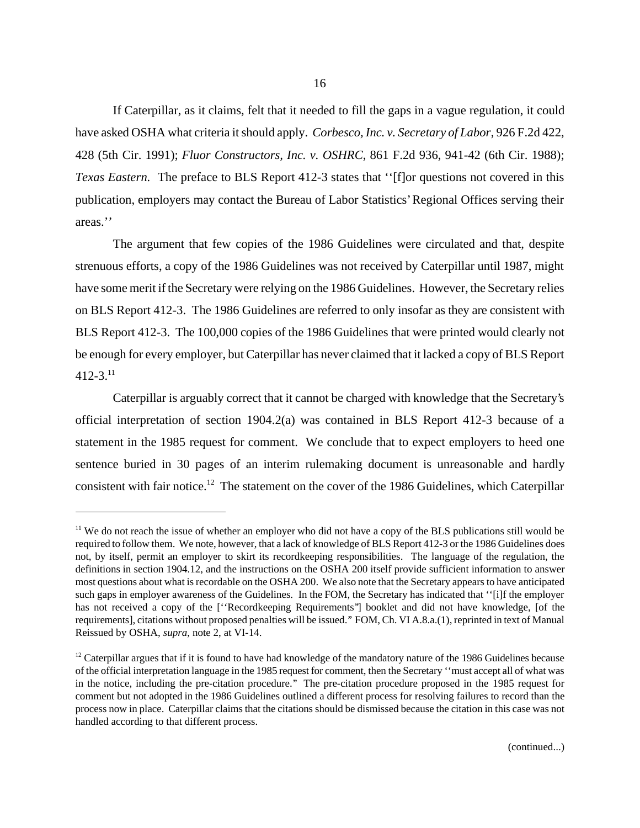If Caterpillar, as it claims, felt that it needed to fill the gaps in a vague regulation, it could have asked OSHA what criteria it should apply. *Corbesco, Inc. v. Secretary of Labor*, 926 F.2d 422, 428 (5th Cir. 1991); *Fluor Constructors, Inc. v. OSHRC*, 861 F.2d 936, 941-42 (6th Cir. 1988); *Texas Eastern.* The preface to BLS Report 412-3 states that ''[f]or questions not covered in this publication, employers may contact the Bureau of Labor Statistics' Regional Offices serving their areas.''

The argument that few copies of the 1986 Guidelines were circulated and that, despite strenuous efforts, a copy of the 1986 Guidelines was not received by Caterpillar until 1987, might have some merit if the Secretary were relying on the 1986 Guidelines. However, the Secretary relies on BLS Report 412-3. The 1986 Guidelines are referred to only insofar as they are consistent with BLS Report 412-3. The 100,000 copies of the 1986 Guidelines that were printed would clearly not be enough for every employer, but Caterpillar has never claimed that it lacked a copy of BLS Report  $412 - 3$ <sup>11</sup>

Caterpillar is arguably correct that it cannot be charged with knowledge that the Secretary's official interpretation of section 1904.2(a) was contained in BLS Report 412-3 because of a statement in the 1985 request for comment. We conclude that to expect employers to heed one sentence buried in 30 pages of an interim rulemaking document is unreasonable and hardly consistent with fair notice.<sup>12</sup> The statement on the cover of the 1986 Guidelines, which Caterpillar

<sup>&</sup>lt;sup>11</sup> We do not reach the issue of whether an employer who did not have a copy of the BLS publications still would be required to follow them. We note, however, that a lack of knowledge of BLS Report 412-3 or the 1986 Guidelines does not, by itself, permit an employer to skirt its recordkeeping responsibilities. The language of the regulation, the definitions in section 1904.12, and the instructions on the OSHA 200 itself provide sufficient information to answer most questions about what is recordable on the OSHA 200. We also note that the Secretary appears to have anticipated such gaps in employer awareness of the Guidelines. In the FOM, the Secretary has indicated that ''[i]f the employer has not received a copy of the ["Recordkeeping Requirements"] booklet and did not have knowledge, [of the requirements], citations without proposed penalties will be issued.'' FOM, Ch. VI A.8.a.(1), reprinted in text of Manual Reissued by OSHA, *supra*, note 2, at VI-14.

 $12$  Caterpillar argues that if it is found to have had knowledge of the mandatory nature of the 1986 Guidelines because of the official interpretation language in the 1985 request for comment, then the Secretary ''must accept all of what was in the notice, including the pre-citation procedure.'' The pre-citation procedure proposed in the 1985 request for comment but not adopted in the 1986 Guidelines outlined a different process for resolving failures to record than the process now in place. Caterpillar claims that the citations should be dismissed because the citation in this case was not handled according to that different process.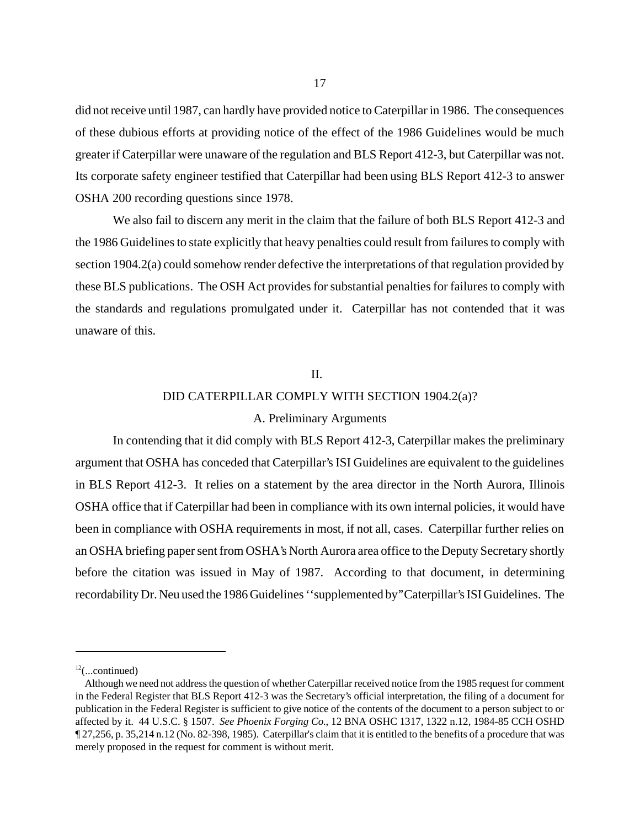did not receive until 1987, can hardly have provided notice to Caterpillar in 1986. The consequences of these dubious efforts at providing notice of the effect of the 1986 Guidelines would be much greater if Caterpillar were unaware of the regulation and BLS Report 412-3, but Caterpillar was not. Its corporate safety engineer testified that Caterpillar had been using BLS Report 412-3 to answer OSHA 200 recording questions since 1978.

We also fail to discern any merit in the claim that the failure of both BLS Report 412-3 and the 1986 Guidelines to state explicitly that heavy penalties could result from failures to comply with section 1904.2(a) could somehow render defective the interpretations of that regulation provided by these BLS publications. The OSH Act provides for substantial penalties for failures to comply with the standards and regulations promulgated under it. Caterpillar has not contended that it was unaware of this.

#### II.

## DID CATERPILLAR COMPLY WITH SECTION 1904.2(a)?

## A. Preliminary Arguments

In contending that it did comply with BLS Report 412-3, Caterpillar makes the preliminary argument that OSHA has conceded that Caterpillar's ISI Guidelines are equivalent to the guidelines in BLS Report 412-3. It relies on a statement by the area director in the North Aurora, Illinois OSHA office that if Caterpillar had been in compliance with its own internal policies, it would have been in compliance with OSHA requirements in most, if not all, cases. Caterpillar further relies on an OSHA briefing paper sent from OSHA's North Aurora area office to the Deputy Secretary shortly before the citation was issued in May of 1987. According to that document, in determining recordability Dr. Neu used the 1986 Guidelines ''supplemented by'' Caterpillar's ISI Guidelines. The

 $12$ (...continued)

Although we need not address the question of whether Caterpillar received notice from the 1985 request for comment in the Federal Register that BLS Report 412-3 was the Secretary's official interpretation, the filing of a document for publication in the Federal Register is sufficient to give notice of the contents of the document to a person subject to or affected by it. 44 U.S.C. § 1507. *See Phoenix Forging Co.*, 12 BNA OSHC 1317, 1322 n.12, 1984-85 CCH OSHD ¶ 27,256, p. 35,214 n.12 (No. 82-398, 1985). Caterpillar's claim that it is entitled to the benefits of a procedure that was merely proposed in the request for comment is without merit.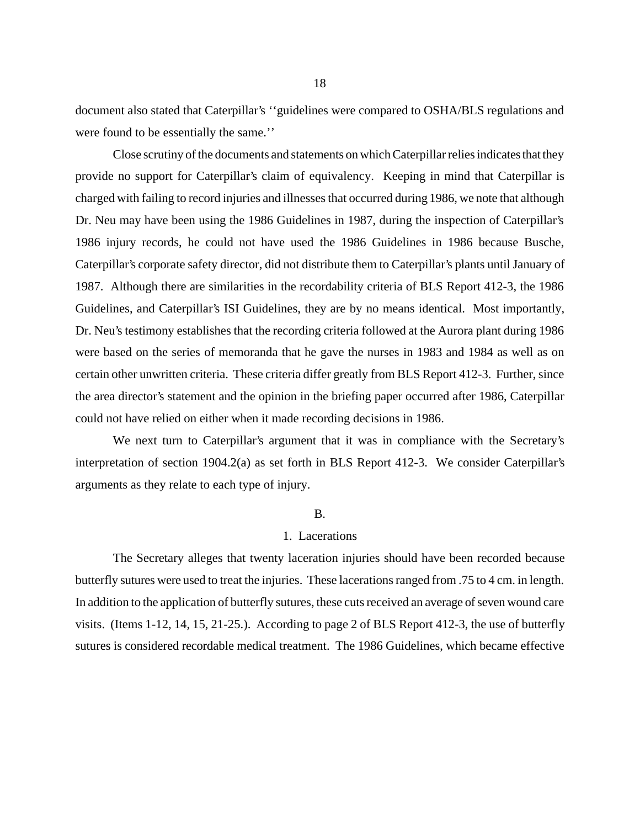document also stated that Caterpillar's ''guidelines were compared to OSHA/BLS regulations and were found to be essentially the same.''

Close scrutiny of the documents and statements on which Caterpillar relies indicates that they provide no support for Caterpillar's claim of equivalency. Keeping in mind that Caterpillar is charged with failing to record injuries and illnesses that occurred during 1986, we note that although Dr. Neu may have been using the 1986 Guidelines in 1987, during the inspection of Caterpillar's 1986 injury records, he could not have used the 1986 Guidelines in 1986 because Busche, Caterpillar's corporate safety director, did not distribute them to Caterpillar's plants until January of 1987. Although there are similarities in the recordability criteria of BLS Report 412-3, the 1986 Guidelines, and Caterpillar's ISI Guidelines, they are by no means identical. Most importantly, Dr. Neu's testimony establishes that the recording criteria followed at the Aurora plant during 1986 were based on the series of memoranda that he gave the nurses in 1983 and 1984 as well as on certain other unwritten criteria. These criteria differ greatly from BLS Report 412-3. Further, since the area director's statement and the opinion in the briefing paper occurred after 1986, Caterpillar could not have relied on either when it made recording decisions in 1986.

We next turn to Caterpillar's argument that it was in compliance with the Secretary's interpretation of section 1904.2(a) as set forth in BLS Report 412-3. We consider Caterpillar's arguments as they relate to each type of injury.

#### B.

#### 1. Lacerations

The Secretary alleges that twenty laceration injuries should have been recorded because butterfly sutures were used to treat the injuries. These lacerations ranged from .75 to 4 cm. in length. In addition to the application of butterfly sutures, these cuts received an average of seven wound care visits. (Items 1-12, 14, 15, 21-25.). According to page 2 of BLS Report 412-3, the use of butterfly sutures is considered recordable medical treatment. The 1986 Guidelines, which became effective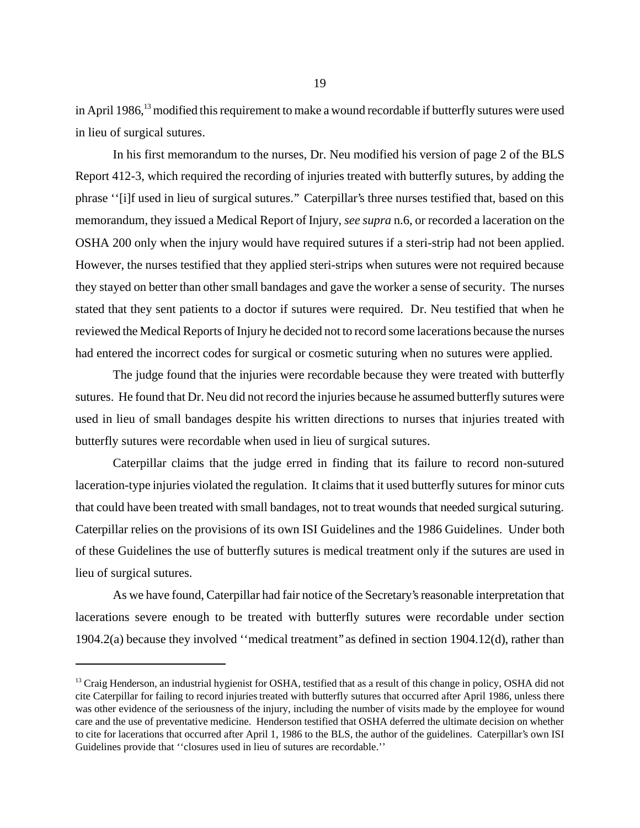in April 1986,<sup>13</sup> modified this requirement to make a wound recordable if butterfly sutures were used in lieu of surgical sutures.

In his first memorandum to the nurses, Dr. Neu modified his version of page 2 of the BLS Report 412-3, which required the recording of injuries treated with butterfly sutures, by adding the phrase ''[i]f used in lieu of surgical sutures.'' Caterpillar's three nurses testified that, based on this memorandum, they issued a Medical Report of Injury, *see supra* n.6, or recorded a laceration on the OSHA 200 only when the injury would have required sutures if a steri-strip had not been applied. However, the nurses testified that they applied steri-strips when sutures were not required because they stayed on better than other small bandages and gave the worker a sense of security. The nurses stated that they sent patients to a doctor if sutures were required. Dr. Neu testified that when he reviewed the Medical Reports of Injury he decided not to record some lacerations because the nurses had entered the incorrect codes for surgical or cosmetic suturing when no sutures were applied.

The judge found that the injuries were recordable because they were treated with butterfly sutures. He found that Dr. Neu did not record the injuries because he assumed butterfly sutures were used in lieu of small bandages despite his written directions to nurses that injuries treated with butterfly sutures were recordable when used in lieu of surgical sutures.

Caterpillar claims that the judge erred in finding that its failure to record non-sutured laceration-type injuries violated the regulation. It claims that it used butterfly sutures for minor cuts that could have been treated with small bandages, not to treat wounds that needed surgical suturing. Caterpillar relies on the provisions of its own ISI Guidelines and the 1986 Guidelines. Under both of these Guidelines the use of butterfly sutures is medical treatment only if the sutures are used in lieu of surgical sutures.

As we have found, Caterpillar had fair notice of the Secretary's reasonable interpretation that lacerations severe enough to be treated with butterfly sutures were recordable under section 1904.2(a) because they involved ''medical treatment'' as defined in section 1904.12(d), rather than

<sup>&</sup>lt;sup>13</sup> Craig Henderson, an industrial hygienist for OSHA, testified that as a result of this change in policy, OSHA did not cite Caterpillar for failing to record injuries treated with butterfly sutures that occurred after April 1986, unless there was other evidence of the seriousness of the injury, including the number of visits made by the employee for wound care and the use of preventative medicine. Henderson testified that OSHA deferred the ultimate decision on whether to cite for lacerations that occurred after April 1, 1986 to the BLS, the author of the guidelines. Caterpillar's own ISI Guidelines provide that ''closures used in lieu of sutures are recordable.''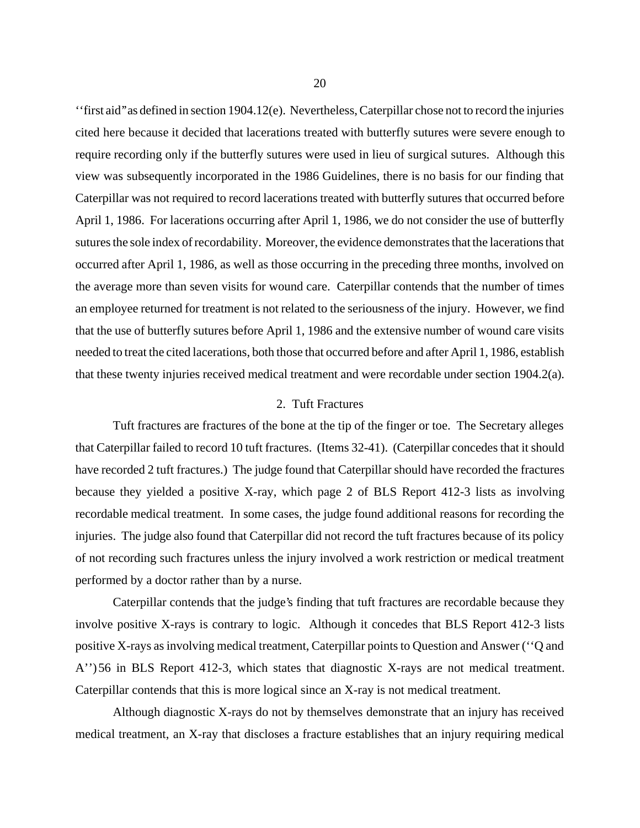''first aid'' as defined in section 1904.12(e). Nevertheless, Caterpillar chose not to record the injuries cited here because it decided that lacerations treated with butterfly sutures were severe enough to require recording only if the butterfly sutures were used in lieu of surgical sutures. Although this view was subsequently incorporated in the 1986 Guidelines, there is no basis for our finding that Caterpillar was not required to record lacerations treated with butterfly sutures that occurred before April 1, 1986. For lacerations occurring after April 1, 1986, we do not consider the use of butterfly sutures the sole index of recordability. Moreover, the evidence demonstrates that the lacerations that occurred after April 1, 1986, as well as those occurring in the preceding three months, involved on the average more than seven visits for wound care. Caterpillar contends that the number of times an employee returned for treatment is not related to the seriousness of the injury. However, we find that the use of butterfly sutures before April 1, 1986 and the extensive number of wound care visits needed to treat the cited lacerations, both those that occurred before and after April 1, 1986, establish that these twenty injuries received medical treatment and were recordable under section 1904.2(a).

## 2. Tuft Fractures

Tuft fractures are fractures of the bone at the tip of the finger or toe. The Secretary alleges that Caterpillar failed to record 10 tuft fractures. (Items 32-41). (Caterpillar concedes that it should have recorded 2 tuft fractures.) The judge found that Caterpillar should have recorded the fractures because they yielded a positive X-ray, which page 2 of BLS Report 412-3 lists as involving recordable medical treatment. In some cases, the judge found additional reasons for recording the injuries. The judge also found that Caterpillar did not record the tuft fractures because of its policy of not recording such fractures unless the injury involved a work restriction or medical treatment performed by a doctor rather than by a nurse.

Caterpillar contends that the judge's finding that tuft fractures are recordable because they involve positive X-rays is contrary to logic. Although it concedes that BLS Report 412-3 lists positive X-rays as involving medical treatment, Caterpillar points to Question and Answer (''Q and A'') 56 in BLS Report 412-3, which states that diagnostic X-rays are not medical treatment. Caterpillar contends that this is more logical since an X-ray is not medical treatment.

Although diagnostic X-rays do not by themselves demonstrate that an injury has received medical treatment, an X-ray that discloses a fracture establishes that an injury requiring medical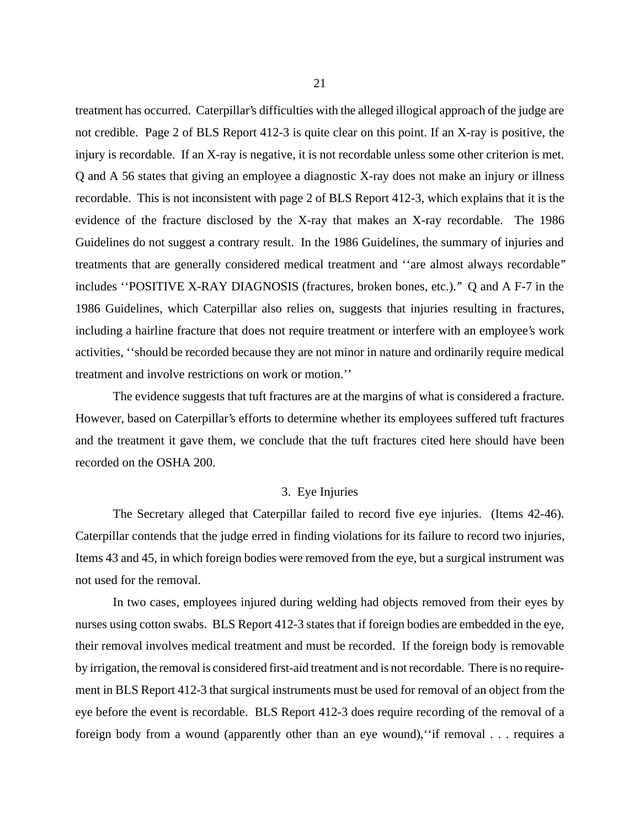treatment has occurred. Caterpillar's difficulties with the alleged illogical approach of the judge are not credible. Page 2 of BLS Report 412-3 is quite clear on this point. If an X-ray is positive, the injury is recordable. If an X-ray is negative, it is not recordable unless some other criterion is met. Q and A 56 states that giving an employee a diagnostic X-ray does not make an injury or illness recordable. This is not inconsistent with page 2 of BLS Report 412-3, which explains that it is the evidence of the fracture disclosed by the X-ray that makes an X-ray recordable. The 1986 Guidelines do not suggest a contrary result. In the 1986 Guidelines, the summary of injuries and treatments that are generally considered medical treatment and ''are almost always recordable'' includes ''POSITIVE X-RAY DIAGNOSIS (fractures, broken bones, etc.).'' Q and A F-7 in the 1986 Guidelines, which Caterpillar also relies on, suggests that injuries resulting in fractures, including a hairline fracture that does not require treatment or interfere with an employee's work activities, ''should be recorded because they are not minor in nature and ordinarily require medical treatment and involve restrictions on work or motion.''

The evidence suggests that tuft fractures are at the margins of what is considered a fracture. However, based on Caterpillar's efforts to determine whether its employees suffered tuft fractures and the treatment it gave them, we conclude that the tuft fractures cited here should have been recorded on the OSHA 200.

#### 3. Eye Injuries

The Secretary alleged that Caterpillar failed to record five eye injuries. (Items 42-46). Caterpillar contends that the judge erred in finding violations for its failure to record two injuries, Items 43 and 45, in which foreign bodies were removed from the eye, but a surgical instrument was not used for the removal.

In two cases, employees injured during welding had objects removed from their eyes by nurses using cotton swabs. BLS Report 412-3 states that if foreign bodies are embedded in the eye, their removal involves medical treatment and must be recorded. If the foreign body is removable by irrigation, the removal is considered first-aid treatment and is not recordable. There is no requirement in BLS Report 412-3 that surgical instruments must be used for removal of an object from the eye before the event is recordable. BLS Report 412-3 does require recording of the removal of a foreign body from a wound (apparently other than an eye wound),''if removal . . . requires a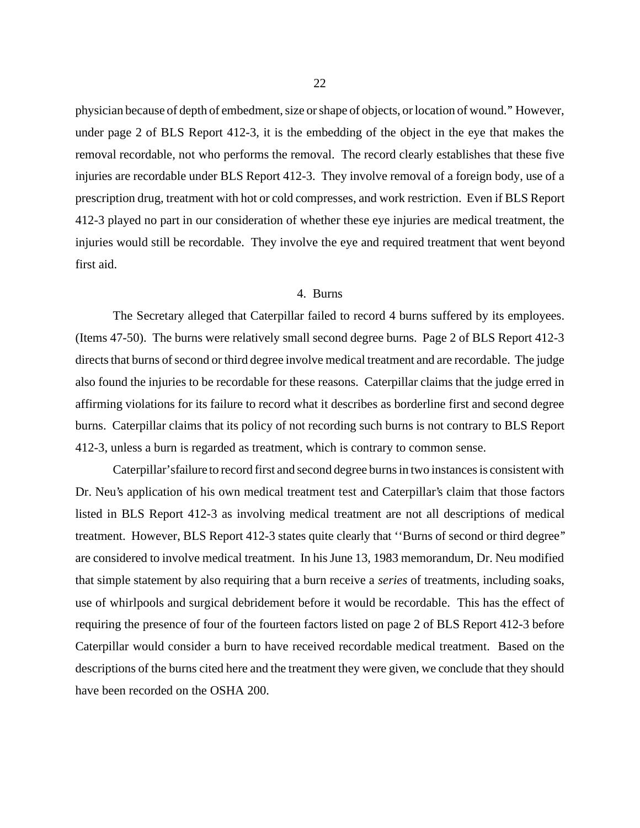physician because of depth of embedment, size or shape of objects, or location of wound.'' However, under page 2 of BLS Report 412-3, it is the embedding of the object in the eye that makes the removal recordable, not who performs the removal. The record clearly establishes that these five injuries are recordable under BLS Report 412-3. They involve removal of a foreign body, use of a prescription drug, treatment with hot or cold compresses, and work restriction. Even if BLS Report 412-3 played no part in our consideration of whether these eye injuries are medical treatment, the injuries would still be recordable. They involve the eye and required treatment that went beyond first aid.

## 4. Burns

The Secretary alleged that Caterpillar failed to record 4 burns suffered by its employees. (Items 47-50). The burns were relatively small second degree burns. Page 2 of BLS Report 412-3 directs that burns of second or third degree involve medical treatment and are recordable. The judge also found the injuries to be recordable for these reasons. Caterpillar claims that the judge erred in affirming violations for its failure to record what it describes as borderline first and second degree burns. Caterpillar claims that its policy of not recording such burns is not contrary to BLS Report 412-3, unless a burn is regarded as treatment, which is contrary to common sense.

Caterpillar's failure to record first and second degree burns in two instances is consistent with Dr. Neu's application of his own medical treatment test and Caterpillar's claim that those factors listed in BLS Report 412-3 as involving medical treatment are not all descriptions of medical treatment. However, BLS Report 412-3 states quite clearly that ''Burns of second or third degree'' are considered to involve medical treatment. In his June 13, 1983 memorandum, Dr. Neu modified that simple statement by also requiring that a burn receive a *series* of treatments, including soaks, use of whirlpools and surgical debridement before it would be recordable. This has the effect of requiring the presence of four of the fourteen factors listed on page 2 of BLS Report 412-3 before Caterpillar would consider a burn to have received recordable medical treatment. Based on the descriptions of the burns cited here and the treatment they were given, we conclude that they should have been recorded on the OSHA 200.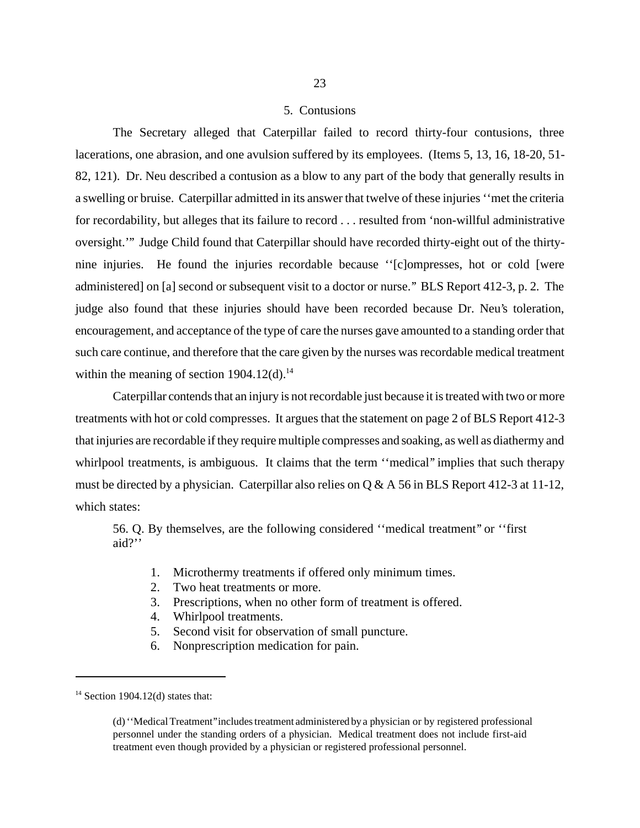#### 5. Contusions

The Secretary alleged that Caterpillar failed to record thirty-four contusions, three lacerations, one abrasion, and one avulsion suffered by its employees. (Items 5, 13, 16, 18-20, 51- 82, 121). Dr. Neu described a contusion as a blow to any part of the body that generally results in a swelling or bruise. Caterpillar admitted in its answer that twelve of these injuries ''met the criteria for recordability, but alleges that its failure to record . . . resulted from 'non-willful administrative oversight.''' Judge Child found that Caterpillar should have recorded thirty-eight out of the thirtynine injuries. He found the injuries recordable because ''[c]ompresses, hot or cold [were administered] on [a] second or subsequent visit to a doctor or nurse.'' BLS Report 412-3, p. 2. The judge also found that these injuries should have been recorded because Dr. Neu's toleration, encouragement, and acceptance of the type of care the nurses gave amounted to a standing order that such care continue, and therefore that the care given by the nurses was recordable medical treatment within the meaning of section  $1904.12(d)$ .<sup>14</sup>

Caterpillar contends that an injury is not recordable just because it is treated with two or more treatments with hot or cold compresses. It argues that the statement on page 2 of BLS Report 412-3 that injuries are recordable if they require multiple compresses and soaking, as well as diathermy and whirlpool treatments, is ambiguous. It claims that the term "medical" implies that such therapy must be directed by a physician. Caterpillar also relies on Q & A 56 in BLS Report 412-3 at 11-12, which states:

56. Q. By themselves, are the following considered ''medical treatment'' or ''first aid?''

- 1. Microthermy treatments if offered only minimum times.
- 2. Two heat treatments or more.
- 3. Prescriptions, when no other form of treatment is offered.
- 4. Whirlpool treatments.
- 5. Second visit for observation of small puncture.
- 6. Nonprescription medication for pain.

 $14$  Section 1904.12(d) states that:

 <sup>(</sup>d) ''Medical Treatment'' includes treatment administered by a physician or by registered professional personnel under the standing orders of a physician. Medical treatment does not include first-aid treatment even though provided by a physician or registered professional personnel.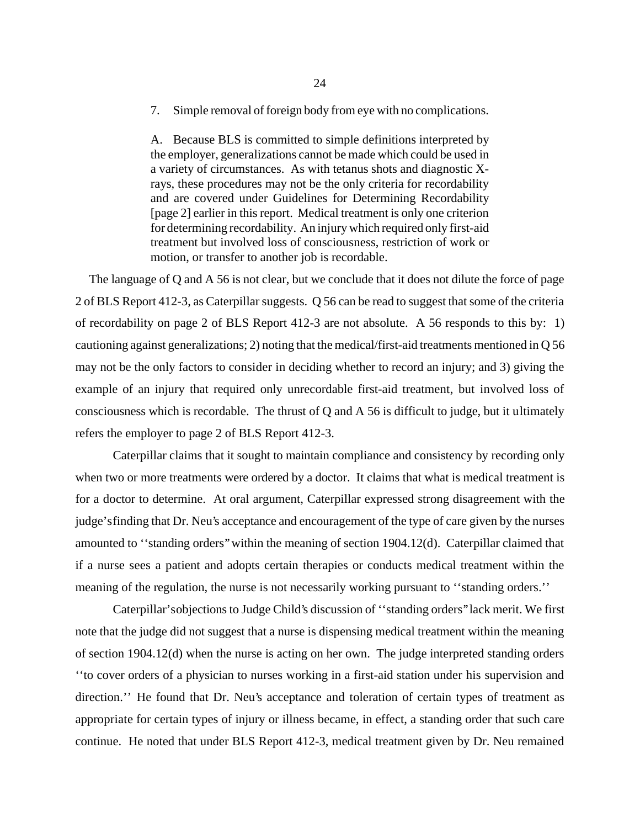7. Simple removal of foreign body from eye with no complications.

A. Because BLS is committed to simple definitions interpreted by the employer, generalizations cannot be made which could be used in a variety of circumstances. As with tetanus shots and diagnostic Xrays, these procedures may not be the only criteria for recordability and are covered under Guidelines for Determining Recordability [page 2] earlier in this report. Medical treatment is only one criterion for determining recordability. An injury which required only first-aid treatment but involved loss of consciousness, restriction of work or motion, or transfer to another job is recordable.

The language of Q and A 56 is not clear, but we conclude that it does not dilute the force of page 2 of BLS Report 412-3, as Caterpillar suggests. Q 56 can be read to suggest that some of the criteria of recordability on page 2 of BLS Report 412-3 are not absolute. A 56 responds to this by: 1) cautioning against generalizations; 2) noting that the medical/first-aid treatments mentioned in Q 56 may not be the only factors to consider in deciding whether to record an injury; and 3) giving the example of an injury that required only unrecordable first-aid treatment, but involved loss of consciousness which is recordable. The thrust of Q and A 56 is difficult to judge, but it ultimately refers the employer to page 2 of BLS Report 412-3.

Caterpillar claims that it sought to maintain compliance and consistency by recording only when two or more treatments were ordered by a doctor. It claims that what is medical treatment is for a doctor to determine. At oral argument, Caterpillar expressed strong disagreement with the judge's finding that Dr. Neu's acceptance and encouragement of the type of care given by the nurses amounted to ''standing orders'' within the meaning of section 1904.12(d). Caterpillar claimed that if a nurse sees a patient and adopts certain therapies or conducts medical treatment within the meaning of the regulation, the nurse is not necessarily working pursuant to ''standing orders.''

Caterpillar's objections to Judge Child's discussion of ''standing orders'' lack merit. We first note that the judge did not suggest that a nurse is dispensing medical treatment within the meaning of section 1904.12(d) when the nurse is acting on her own. The judge interpreted standing orders ''to cover orders of a physician to nurses working in a first-aid station under his supervision and direction.'' He found that Dr. Neu's acceptance and toleration of certain types of treatment as appropriate for certain types of injury or illness became, in effect, a standing order that such care continue. He noted that under BLS Report 412-3, medical treatment given by Dr. Neu remained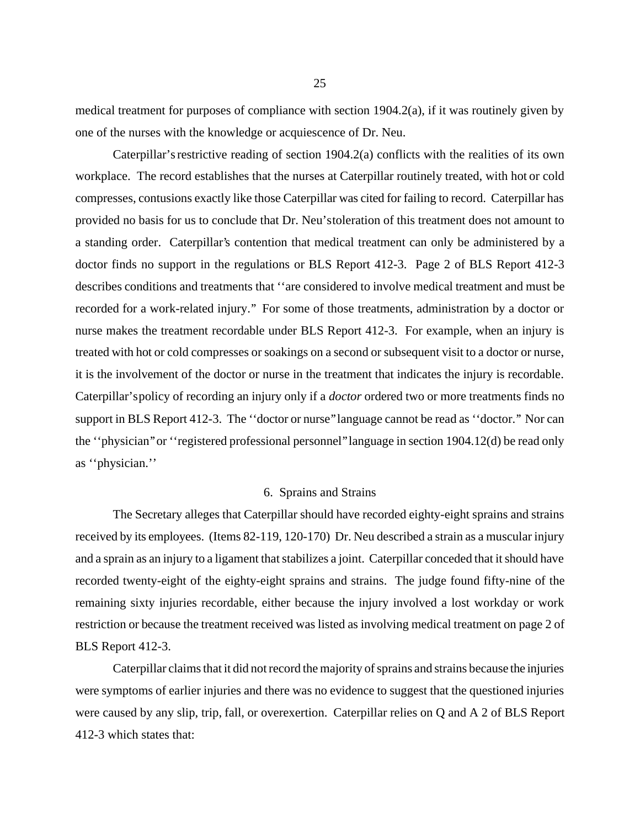medical treatment for purposes of compliance with section 1904.2(a), if it was routinely given by one of the nurses with the knowledge or acquiescence of Dr. Neu.

Caterpillar's restrictive reading of section 1904.2(a) conflicts with the realities of its own workplace. The record establishes that the nurses at Caterpillar routinely treated, with hot or cold compresses, contusions exactly like those Caterpillar was cited for failing to record. Caterpillar has provided no basis for us to conclude that Dr. Neu's toleration of this treatment does not amount to a standing order. Caterpillar's contention that medical treatment can only be administered by a doctor finds no support in the regulations or BLS Report 412-3. Page 2 of BLS Report 412-3 describes conditions and treatments that ''are considered to involve medical treatment and must be recorded for a work-related injury.'' For some of those treatments, administration by a doctor or nurse makes the treatment recordable under BLS Report 412-3. For example, when an injury is treated with hot or cold compresses or soakings on a second or subsequent visit to a doctor or nurse, it is the involvement of the doctor or nurse in the treatment that indicates the injury is recordable. Caterpillar's policy of recording an injury only if a *doctor* ordered two or more treatments finds no support in BLS Report 412-3. The "doctor or nurse" language cannot be read as "doctor." Nor can the "physician" or "registered professional personnel" language in section 1904.12(d) be read only as ''physician.''

#### 6. Sprains and Strains

The Secretary alleges that Caterpillar should have recorded eighty-eight sprains and strains received by its employees. (Items 82-119, 120-170) Dr. Neu described a strain as a muscular injury and a sprain as an injury to a ligament that stabilizes a joint. Caterpillar conceded that it should have recorded twenty-eight of the eighty-eight sprains and strains. The judge found fifty-nine of the remaining sixty injuries recordable, either because the injury involved a lost workday or work restriction or because the treatment received was listed as involving medical treatment on page 2 of BLS Report 412-3.

Caterpillar claims that it did not record the majority of sprains and strains because the injuries were symptoms of earlier injuries and there was no evidence to suggest that the questioned injuries were caused by any slip, trip, fall, or overexertion. Caterpillar relies on Q and A 2 of BLS Report 412-3 which states that: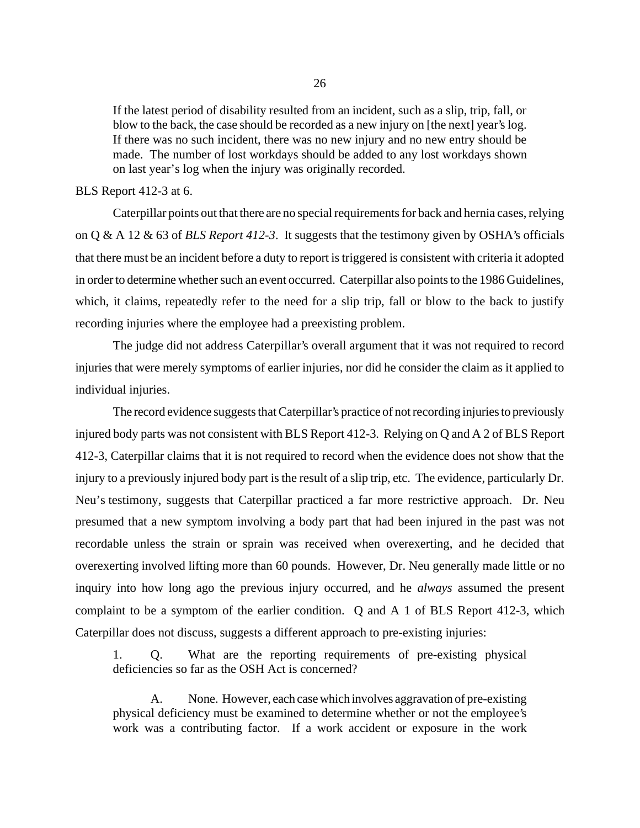If the latest period of disability resulted from an incident, such as a slip, trip, fall, or blow to the back, the case should be recorded as a new injury on [the next] year's log. If there was no such incident, there was no new injury and no new entry should be made. The number of lost workdays should be added to any lost workdays shown on last year's log when the injury was originally recorded.

### BLS Report 412-3 at 6.

Caterpillar points out that there are no special requirements for back and hernia cases, relying on Q & A 12 & 63 of *BLS Report 412-3*. It suggests that the testimony given by OSHA's officials that there must be an incident before a duty to report is triggered is consistent with criteria it adopted in order to determine whether such an event occurred. Caterpillar also points to the 1986 Guidelines, which, it claims, repeatedly refer to the need for a slip trip, fall or blow to the back to justify recording injuries where the employee had a preexisting problem.

The judge did not address Caterpillar's overall argument that it was not required to record injuries that were merely symptoms of earlier injuries, nor did he consider the claim as it applied to individual injuries.

The record evidence suggests that Caterpillar's practice of not recording injuries to previously injured body parts was not consistent with BLS Report 412-3. Relying on Q and A 2 of BLS Report 412-3, Caterpillar claims that it is not required to record when the evidence does not show that the injury to a previously injured body part is the result of a slip trip, etc. The evidence, particularly Dr. Neu's testimony, suggests that Caterpillar practiced a far more restrictive approach. Dr. Neu presumed that a new symptom involving a body part that had been injured in the past was not recordable unless the strain or sprain was received when overexerting, and he decided that overexerting involved lifting more than 60 pounds. However, Dr. Neu generally made little or no inquiry into how long ago the previous injury occurred, and he *always* assumed the present complaint to be a symptom of the earlier condition. Q and A 1 of BLS Report 412-3, which Caterpillar does not discuss, suggests a different approach to pre-existing injuries:

1. Q. What are the reporting requirements of pre-existing physical deficiencies so far as the OSH Act is concerned?

A. None. However, each case which involves aggravation of pre-existing physical deficiency must be examined to determine whether or not the employee's work was a contributing factor. If a work accident or exposure in the work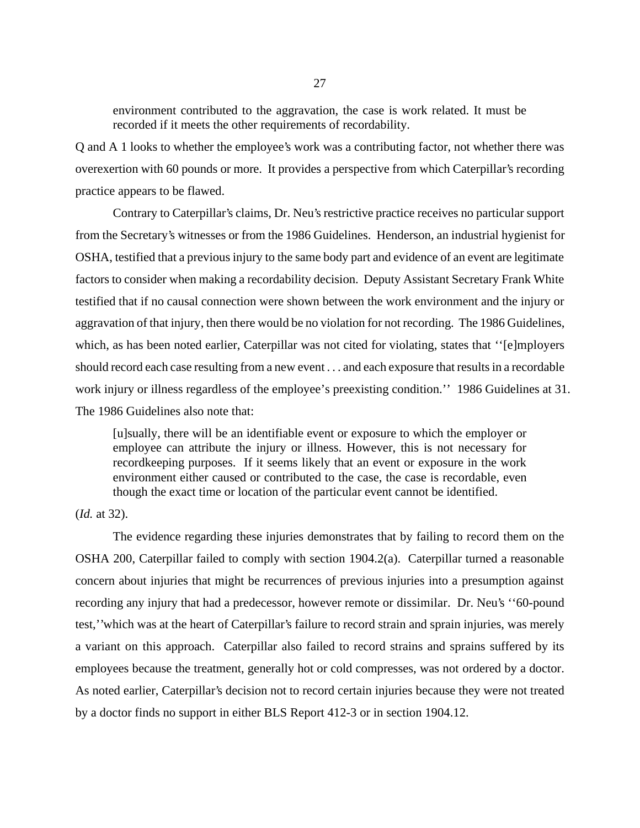environment contributed to the aggravation, the case is work related. It must be recorded if it meets the other requirements of recordability.

Q and A 1 looks to whether the employee's work was a contributing factor, not whether there was overexertion with 60 pounds or more. It provides a perspective from which Caterpillar's recording practice appears to be flawed.

Contrary to Caterpillar's claims, Dr. Neu's restrictive practice receives no particular support from the Secretary's witnesses or from the 1986 Guidelines. Henderson, an industrial hygienist for OSHA, testified that a previous injury to the same body part and evidence of an event are legitimate factors to consider when making a recordability decision. Deputy Assistant Secretary Frank White testified that if no causal connection were shown between the work environment and the injury or aggravation of that injury, then there would be no violation for not recording. The 1986 Guidelines, which, as has been noted earlier, Caterpillar was not cited for violating, states that "[e]mployers should record each case resulting from a new event . . . and each exposure that results in a recordable work injury or illness regardless of the employee's preexisting condition.'' 1986 Guidelines at 31. The 1986 Guidelines also note that:

[u]sually, there will be an identifiable event or exposure to which the employer or employee can attribute the injury or illness. However, this is not necessary for recordkeeping purposes. If it seems likely that an event or exposure in the work environment either caused or contributed to the case, the case is recordable, even though the exact time or location of the particular event cannot be identified.

(*Id.* at 32).

The evidence regarding these injuries demonstrates that by failing to record them on the OSHA 200, Caterpillar failed to comply with section 1904.2(a). Caterpillar turned a reasonable concern about injuries that might be recurrences of previous injuries into a presumption against recording any injury that had a predecessor, however remote or dissimilar. Dr. Neu's ''60-pound test,'' which was at the heart of Caterpillar's failure to record strain and sprain injuries, was merely a variant on this approach. Caterpillar also failed to record strains and sprains suffered by its employees because the treatment, generally hot or cold compresses, was not ordered by a doctor. As noted earlier, Caterpillar's decision not to record certain injuries because they were not treated by a doctor finds no support in either BLS Report 412-3 or in section 1904.12.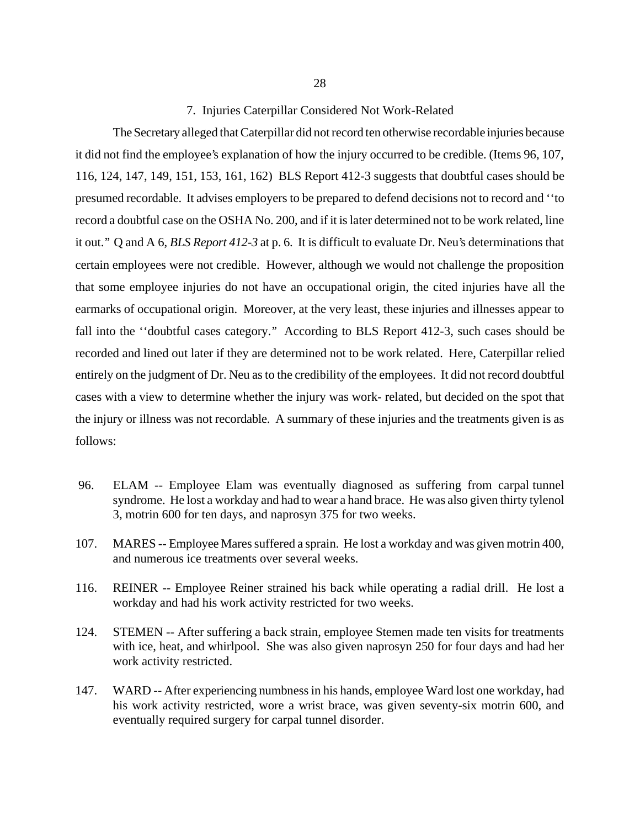The Secretary alleged that Caterpillar did not record ten otherwise recordable injuries because it did not find the employee's explanation of how the injury occurred to be credible. (Items 96, 107, 116, 124, 147, 149, 151, 153, 161, 162) BLS Report 412-3 suggests that doubtful cases should be presumed recordable. It advises employers to be prepared to defend decisions not to record and ''to record a doubtful case on the OSHA No. 200, and if it is later determined not to be work related, line it out.'' Q and A 6, *BLS Report 412-3* at p. 6. It is difficult to evaluate Dr. Neu's determinations that certain employees were not credible. However, although we would not challenge the proposition that some employee injuries do not have an occupational origin, the cited injuries have all the earmarks of occupational origin. Moreover, at the very least, these injuries and illnesses appear to fall into the "doubtful cases category." According to BLS Report 412-3, such cases should be recorded and lined out later if they are determined not to be work related. Here, Caterpillar relied entirely on the judgment of Dr. Neu as to the credibility of the employees. It did not record doubtful cases with a view to determine whether the injury was work- related, but decided on the spot that the injury or illness was not recordable. A summary of these injuries and the treatments given is as follows:

- 96. ELAM -- Employee Elam was eventually diagnosed as suffering from carpal tunnel syndrome. He lost a workday and had to wear a hand brace. He was also given thirty tylenol 3, motrin 600 for ten days, and naprosyn 375 for two weeks.
- 107. MARES -- Employee Mares suffered a sprain. He lost a workday and was given motrin 400, and numerous ice treatments over several weeks.
- 116. REINER -- Employee Reiner strained his back while operating a radial drill. He lost a workday and had his work activity restricted for two weeks.
- 124. STEMEN -- After suffering a back strain, employee Stemen made ten visits for treatments with ice, heat, and whirlpool. She was also given naprosyn 250 for four days and had her work activity restricted.
- 147. WARD -- After experiencing numbness in his hands, employee Ward lost one workday, had his work activity restricted, wore a wrist brace, was given seventy-six motrin 600, and eventually required surgery for carpal tunnel disorder.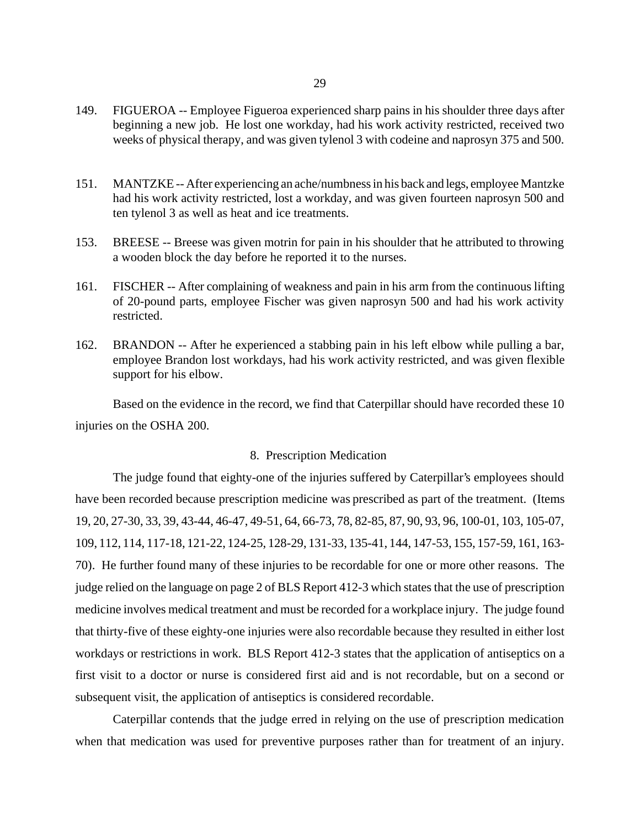- 149. FIGUEROA -- Employee Figueroa experienced sharp pains in his shoulder three days after beginning a new job. He lost one workday, had his work activity restricted, received two weeks of physical therapy, and was given tylenol 3 with codeine and naprosyn 375 and 500.
- 151. MANTZKE -- After experiencing an ache/numbness in his back and legs, employee Mantzke had his work activity restricted, lost a workday, and was given fourteen naprosyn 500 and ten tylenol 3 as well as heat and ice treatments.
- 153. BREESE -- Breese was given motrin for pain in his shoulder that he attributed to throwing a wooden block the day before he reported it to the nurses.
- 161. FISCHER -- After complaining of weakness and pain in his arm from the continuous lifting of 20-pound parts, employee Fischer was given naprosyn 500 and had his work activity restricted.
- 162. BRANDON -- After he experienced a stabbing pain in his left elbow while pulling a bar, employee Brandon lost workdays, had his work activity restricted, and was given flexible support for his elbow.

Based on the evidence in the record, we find that Caterpillar should have recorded these 10 injuries on the OSHA 200.

#### 8. Prescription Medication

The judge found that eighty-one of the injuries suffered by Caterpillar's employees should have been recorded because prescription medicine was prescribed as part of the treatment. (Items 19, 20, 27-30, 33, 39, 43-44, 46-47, 49-51, 64, 66-73, 78, 82-85, 87, 90, 93, 96, 100-01, 103, 105-07, 109, 112, 114, 117-18, 121-22, 124-25, 128-29, 131-33, 135-41, 144, 147-53, 155, 157-59, 161, 163- 70). He further found many of these injuries to be recordable for one or more other reasons. The judge relied on the language on page 2 of BLS Report 412-3 which states that the use of prescription medicine involves medical treatment and must be recorded for a workplace injury. The judge found that thirty-five of these eighty-one injuries were also recordable because they resulted in either lost workdays or restrictions in work. BLS Report 412-3 states that the application of antiseptics on a first visit to a doctor or nurse is considered first aid and is not recordable, but on a second or subsequent visit, the application of antiseptics is considered recordable.

Caterpillar contends that the judge erred in relying on the use of prescription medication when that medication was used for preventive purposes rather than for treatment of an injury.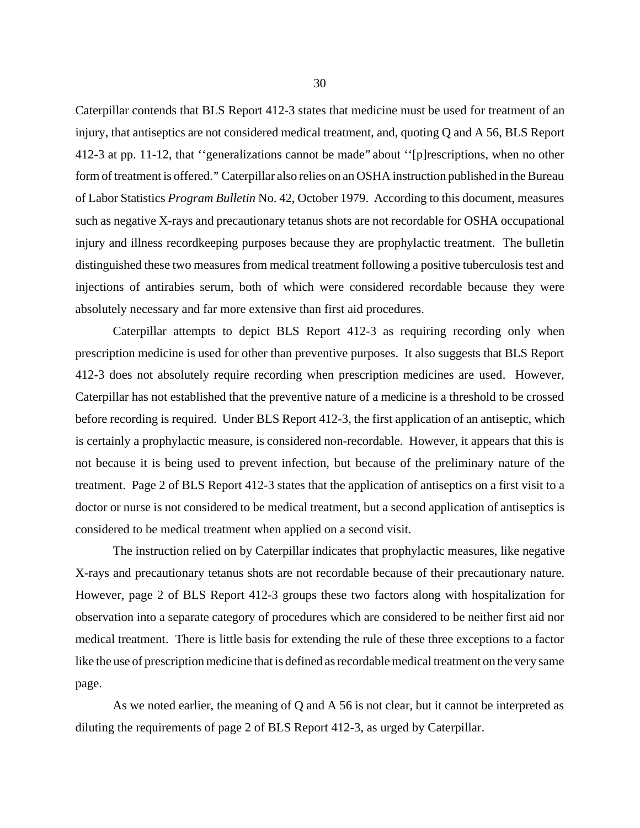Caterpillar contends that BLS Report 412-3 states that medicine must be used for treatment of an injury, that antiseptics are not considered medical treatment, and, quoting Q and A 56, BLS Report 412-3 at pp. 11-12, that ''generalizations cannot be made'' about ''[p]rescriptions, when no other form of treatment is offered.'' Caterpillar also relies on an OSHA instruction published in the Bureau of Labor Statistics *Program Bulletin* No. 42, October 1979. According to this document, measures such as negative X-rays and precautionary tetanus shots are not recordable for OSHA occupational injury and illness recordkeeping purposes because they are prophylactic treatment. The bulletin distinguished these two measures from medical treatment following a positive tuberculosis test and injections of antirabies serum, both of which were considered recordable because they were absolutely necessary and far more extensive than first aid procedures.

Caterpillar attempts to depict BLS Report 412-3 as requiring recording only when prescription medicine is used for other than preventive purposes. It also suggests that BLS Report 412-3 does not absolutely require recording when prescription medicines are used. However, Caterpillar has not established that the preventive nature of a medicine is a threshold to be crossed before recording is required. Under BLS Report 412-3, the first application of an antiseptic, which is certainly a prophylactic measure, is considered non-recordable. However, it appears that this is not because it is being used to prevent infection, but because of the preliminary nature of the treatment. Page 2 of BLS Report 412-3 states that the application of antiseptics on a first visit to a doctor or nurse is not considered to be medical treatment, but a second application of antiseptics is considered to be medical treatment when applied on a second visit.

The instruction relied on by Caterpillar indicates that prophylactic measures, like negative X-rays and precautionary tetanus shots are not recordable because of their precautionary nature. However, page 2 of BLS Report 412-3 groups these two factors along with hospitalization for observation into a separate category of procedures which are considered to be neither first aid nor medical treatment. There is little basis for extending the rule of these three exceptions to a factor like the use of prescription medicine that is defined as recordable medical treatment on the very same page.

As we noted earlier, the meaning of Q and A 56 is not clear, but it cannot be interpreted as diluting the requirements of page 2 of BLS Report 412-3, as urged by Caterpillar.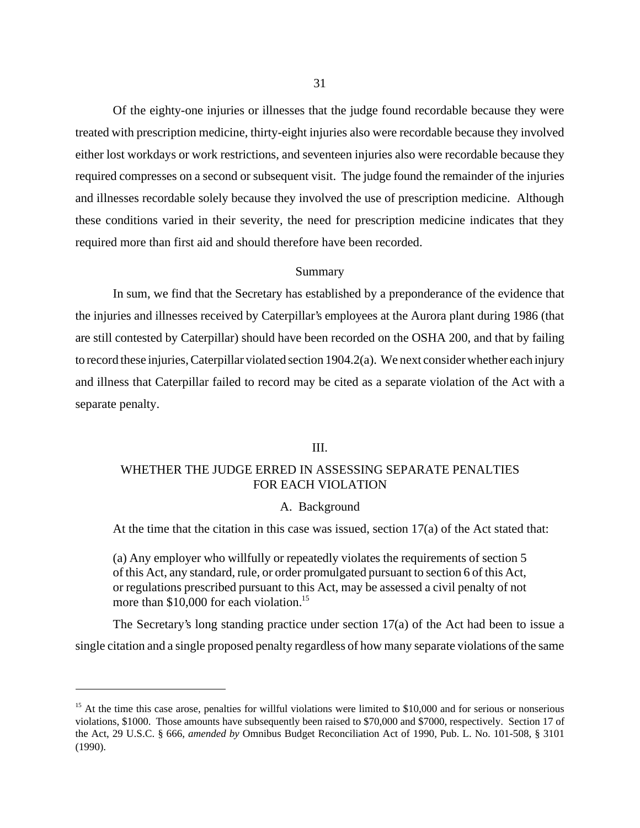Of the eighty-one injuries or illnesses that the judge found recordable because they were treated with prescription medicine, thirty-eight injuries also were recordable because they involved either lost workdays or work restrictions, and seventeen injuries also were recordable because they required compresses on a second or subsequent visit. The judge found the remainder of the injuries and illnesses recordable solely because they involved the use of prescription medicine. Although these conditions varied in their severity, the need for prescription medicine indicates that they required more than first aid and should therefore have been recorded.

### Summary

In sum, we find that the Secretary has established by a preponderance of the evidence that the injuries and illnesses received by Caterpillar's employees at the Aurora plant during 1986 (that are still contested by Caterpillar) should have been recorded on the OSHA 200, and that by failing to record these injuries, Caterpillar violated section 1904.2(a). We next consider whether each injury and illness that Caterpillar failed to record may be cited as a separate violation of the Act with a separate penalty.

# III.

# WHETHER THE JUDGE ERRED IN ASSESSING SEPARATE PENALTIES FOR EACH VIOLATION

## A. Background

At the time that the citation in this case was issued, section 17(a) of the Act stated that:

(a) Any employer who willfully or repeatedly violates the requirements of section 5 of this Act, any standard, rule, or order promulgated pursuant to section 6 of this Act, or regulations prescribed pursuant to this Act, may be assessed a civil penalty of not more than \$10,000 for each violation.<sup>15</sup>

The Secretary's long standing practice under section 17(a) of the Act had been to issue a single citation and a single proposed penalty regardless of how many separate violations of the same

 $15$  At the time this case arose, penalties for willful violations were limited to \$10,000 and for serious or nonserious violations, \$1000. Those amounts have subsequently been raised to \$70,000 and \$7000, respectively. Section 17 of the Act, 29 U.S.C. § 666, *amended by* Omnibus Budget Reconciliation Act of 1990, Pub. L. No. 101-508, § 3101 (1990).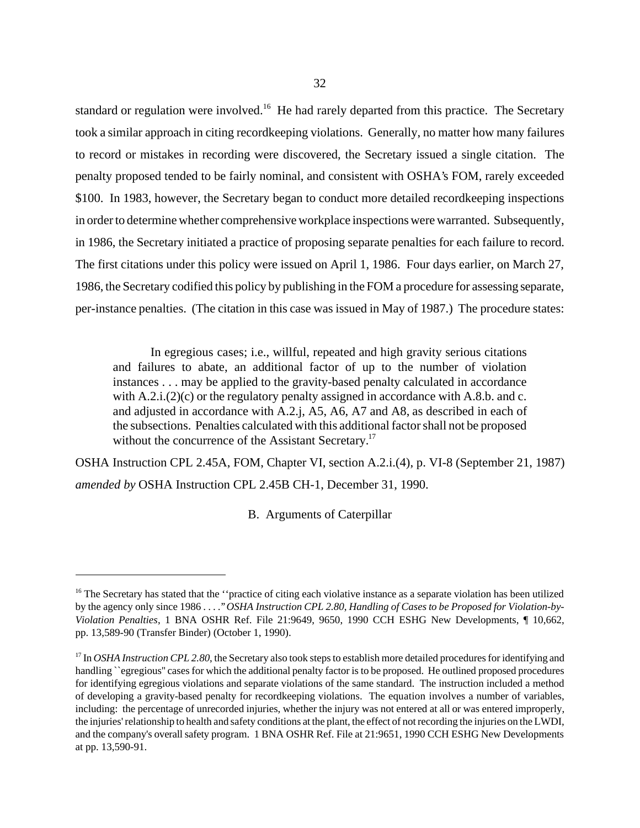standard or regulation were involved.<sup>16</sup> He had rarely departed from this practice. The Secretary took a similar approach in citing recordkeeping violations. Generally, no matter how many failures to record or mistakes in recording were discovered, the Secretary issued a single citation. The penalty proposed tended to be fairly nominal, and consistent with OSHA's FOM, rarely exceeded \$100. In 1983, however, the Secretary began to conduct more detailed record keeping inspections in order to determine whether comprehensive workplace inspections were warranted. Subsequently, in 1986, the Secretary initiated a practice of proposing separate penalties for each failure to record. The first citations under this policy were issued on April 1, 1986. Four days earlier, on March 27, 1986, the Secretary codified this policy by publishing in the FOM a procedure for assessing separate, per-instance penalties. (The citation in this case was issued in May of 1987.) The procedure states:

In egregious cases; i.e., willful, repeated and high gravity serious citations and failures to abate, an additional factor of up to the number of violation instances . . . may be applied to the gravity-based penalty calculated in accordance with A.2.i.(2)(c) or the regulatory penalty assigned in accordance with A.8.b. and c. and adjusted in accordance with A.2.j, A5, A6, A7 and A8, as described in each of the subsections. Penalties calculated with this additional factor shall not be proposed without the concurrence of the Assistant Secretary.<sup>17</sup>

OSHA Instruction CPL 2.45A, FOM, Chapter VI, section A.2.i.(4), p. VI-8 (September 21, 1987) *amended by* OSHA Instruction CPL 2.45B CH-1, December 31, 1990.

B. Arguments of Caterpillar

 $16$  The Secretary has stated that the "practice of citing each violative instance as a separate violation has been utilized by the agency only since 1986 . . . .'' *OSHA Instruction CPL 2.80*, *Handling of Cases to be Proposed for Violation-by-Violation Penalties*, 1 BNA OSHR Ref. File 21:9649, 9650, 1990 CCH ESHG New Developments, ¶ 10,662, pp. 13,589-90 (Transfer Binder) (October 1, 1990).

<sup>&</sup>lt;sup>17</sup> In *OSHA Instruction CPL 2.80*, the Secretary also took steps to establish more detailed procedures for identifying and handling ``egregious" cases for which the additional penalty factor is to be proposed. He outlined proposed procedures for identifying egregious violations and separate violations of the same standard. The instruction included a method of developing a gravity-based penalty for recordkeeping violations. The equation involves a number of variables, including: the percentage of unrecorded injuries, whether the injury was not entered at all or was entered improperly, the injuries' relationship to health and safety conditions at the plant, the effect of not recording the injuries on the LWDI, and the company's overall safety program. 1 BNA OSHR Ref. File at 21:9651, 1990 CCH ESHG New Developments at pp. 13,590-91.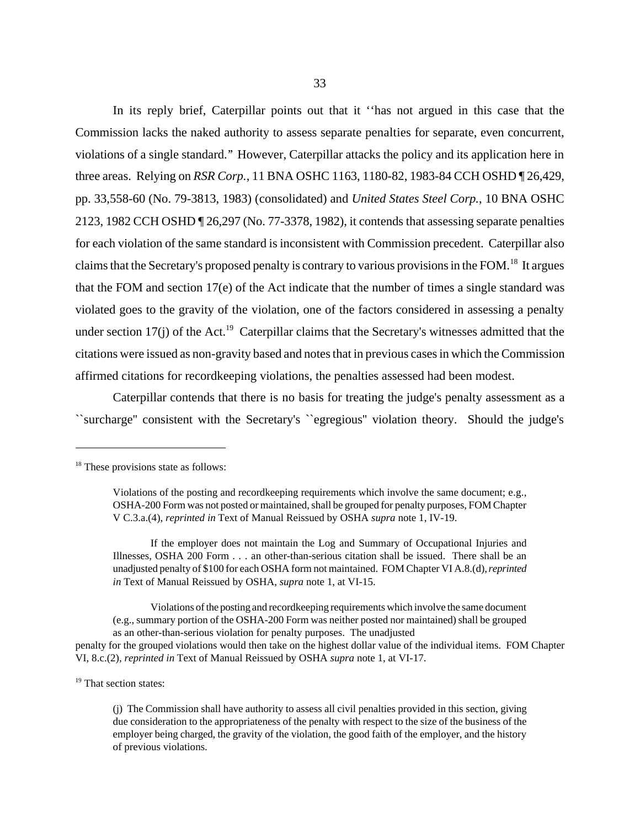In its reply brief, Caterpillar points out that it ''has not argued in this case that the Commission lacks the naked authority to assess separate penalties for separate, even concurrent, violations of a single standard.'' However, Caterpillar attacks the policy and its application here in three areas. Relying on *RSR Corp.*, 11 BNA OSHC 1163, 1180-82, 1983-84 CCH OSHD ¶ 26,429, pp. 33,558-60 (No. 79-3813, 1983) (consolidated) and *United States Steel Corp.*, 10 BNA OSHC 2123, 1982 CCH OSHD ¶ 26,297 (No. 77-3378, 1982), it contends that assessing separate penalties for each violation of the same standard is inconsistent with Commission precedent. Caterpillar also claims that the Secretary's proposed penalty is contrary to various provisions in the FOM.<sup>18</sup> It argues that the FOM and section 17(e) of the Act indicate that the number of times a single standard was violated goes to the gravity of the violation, one of the factors considered in assessing a penalty under section  $17(i)$  of the Act.<sup>19</sup> Caterpillar claims that the Secretary's witnesses admitted that the citations were issued as non-gravity based and notes that in previous cases in which the Commission affirmed citations for recordkeeping violations, the penalties assessed had been modest.

Caterpillar contends that there is no basis for treating the judge's penalty assessment as a ``surcharge'' consistent with the Secretary's ``egregious'' violation theory. Should the judge's

If the employer does not maintain the Log and Summary of Occupational Injuries and Illnesses, OSHA 200 Form . . . an other-than-serious citation shall be issued. There shall be an unadjusted penalty of \$100 for each OSHA form not maintained. FOM Chapter VI A.8.(d), *reprinted in* Text of Manual Reissued by OSHA, *supra* note 1, at VI-15.

Violations of the posting and recordkeeping requirements which involve the same document (e.g., summary portion of the OSHA-200 Form was neither posted nor maintained) shall be grouped as an other-than-serious violation for penalty purposes. The unadjusted penalty for the grouped violations would then take on the highest dollar value of the individual items. FOM Chapter

VI, 8.c.(2), *reprinted in* Text of Manual Reissued by OSHA *supra* note 1, at VI-17.

<sup>19</sup> That section states:

(j) The Commission shall have authority to assess all civil penalties provided in this section, giving due consideration to the appropriateness of the penalty with respect to the size of the business of the employer being charged, the gravity of the violation, the good faith of the employer, and the history of previous violations.

<sup>&</sup>lt;sup>18</sup> These provisions state as follows:

Violations of the posting and recordkeeping requirements which involve the same document; e.g., OSHA-200 Form was not posted or maintained, shall be grouped for penalty purposes, FOM Chapter V C.3.a.(4), *reprinted in* Text of Manual Reissued by OSHA *supra* note 1, IV-19.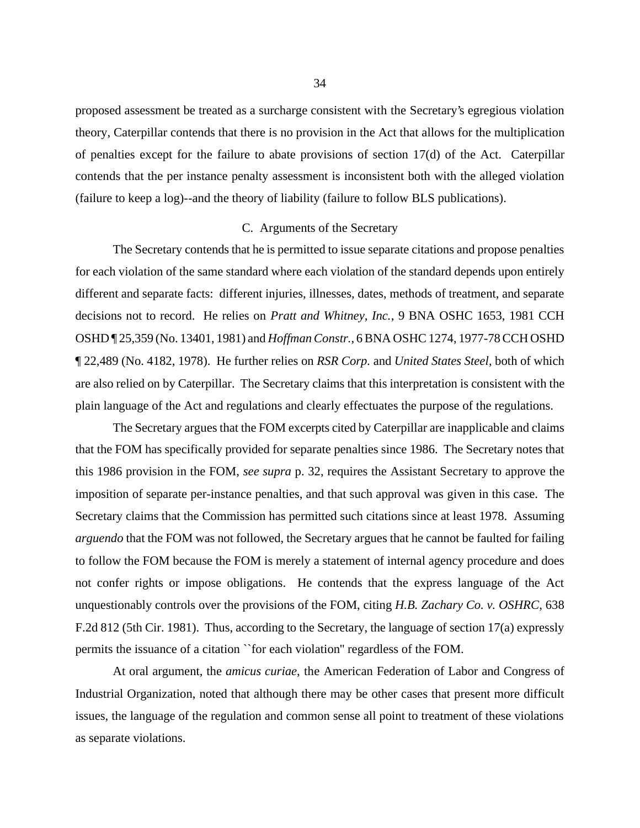proposed assessment be treated as a surcharge consistent with the Secretary's egregious violation theory, Caterpillar contends that there is no provision in the Act that allows for the multiplication of penalties except for the failure to abate provisions of section 17(d) of the Act. Caterpillar contends that the per instance penalty assessment is inconsistent both with the alleged violation (failure to keep a log)--and the theory of liability (failure to follow BLS publications).

#### C. Arguments of the Secretary

The Secretary contends that he is permitted to issue separate citations and propose penalties for each violation of the same standard where each violation of the standard depends upon entirely different and separate facts: different injuries, illnesses, dates, methods of treatment, and separate decisions not to record. He relies on *Pratt and Whitney, Inc.*, 9 BNA OSHC 1653, 1981 CCH OSHD ¶ 25,359 (No. 13401, 1981) and *Hoffman Constr.*, 6 BNA OSHC 1274, 1977-78 CCH OSHD ¶ 22,489 (No. 4182, 1978). He further relies on *RSR Corp.* and *United States Steel*, both of which are also relied on by Caterpillar. The Secretary claims that this interpretation is consistent with the plain language of the Act and regulations and clearly effectuates the purpose of the regulations.

The Secretary argues that the FOM excerpts cited by Caterpillar are inapplicable and claims that the FOM has specifically provided for separate penalties since 1986. The Secretary notes that this 1986 provision in the FOM, *see supra* p. 32, requires the Assistant Secretary to approve the imposition of separate per-instance penalties, and that such approval was given in this case. The Secretary claims that the Commission has permitted such citations since at least 1978. Assuming *arguendo* that the FOM was not followed, the Secretary argues that he cannot be faulted for failing to follow the FOM because the FOM is merely a statement of internal agency procedure and does not confer rights or impose obligations. He contends that the express language of the Act unquestionably controls over the provisions of the FOM, citing *H.B. Zachary Co. v. OSHRC*, 638 F.2d 812 (5th Cir. 1981). Thus, according to the Secretary, the language of section 17(a) expressly permits the issuance of a citation ``for each violation'' regardless of the FOM.

At oral argument, the *amicus curiae*, the American Federation of Labor and Congress of Industrial Organization, noted that although there may be other cases that present more difficult issues, the language of the regulation and common sense all point to treatment of these violations as separate violations.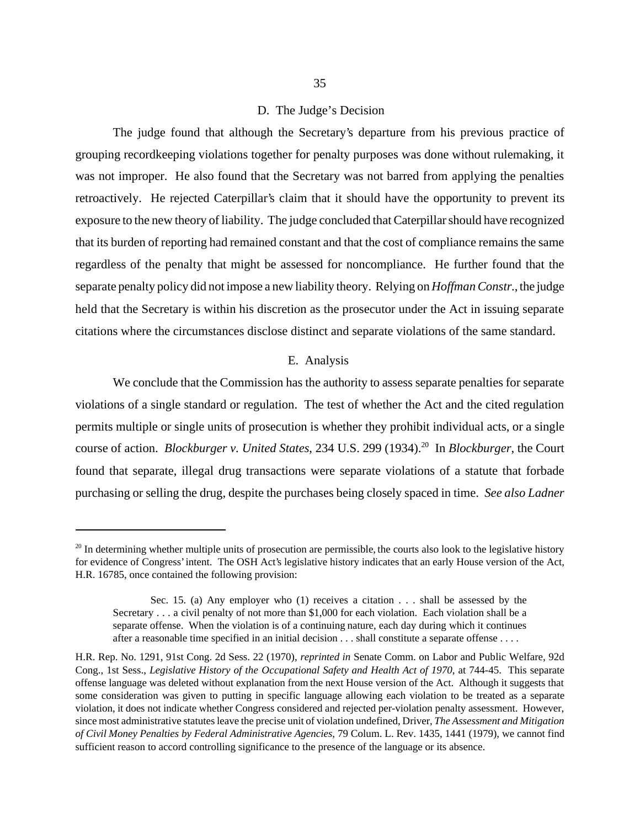### D. The Judge's Decision

The judge found that although the Secretary's departure from his previous practice of grouping recordkeeping violations together for penalty purposes was done without rulemaking, it was not improper. He also found that the Secretary was not barred from applying the penalties retroactively. He rejected Caterpillar's claim that it should have the opportunity to prevent its exposure to the new theory of liability. The judge concluded that Caterpillar should have recognized that its burden of reporting had remained constant and that the cost of compliance remains the same regardless of the penalty that might be assessed for noncompliance. He further found that the separate penalty policy did not impose a new liability theory. Relying on *Hoffman Constr.*, the judge held that the Secretary is within his discretion as the prosecutor under the Act in issuing separate citations where the circumstances disclose distinct and separate violations of the same standard.

#### E. Analysis

We conclude that the Commission has the authority to assess separate penalties for separate violations of a single standard or regulation. The test of whether the Act and the cited regulation permits multiple or single units of prosecution is whether they prohibit individual acts, or a single course of action. *Blockburger v. United States*, 234 U.S. 299 (1934).20 In *Blockburger*, the Court found that separate, illegal drug transactions were separate violations of a statute that forbade purchasing or selling the drug, despite the purchases being closely spaced in time. *See also Ladner*

 $20$  In determining whether multiple units of prosecution are permissible, the courts also look to the legislative history for evidence of Congress' intent. The OSH Act's legislative history indicates that an early House version of the Act, H.R. 16785, once contained the following provision:

Sec. 15. (a) Any employer who (1) receives a citation . . . shall be assessed by the Secretary . . . a civil penalty of not more than \$1,000 for each violation. Each violation shall be a separate offense. When the violation is of a continuing nature, each day during which it continues after a reasonable time specified in an initial decision . . . shall constitute a separate offense . . . .

H.R. Rep. No. 1291, 91st Cong. 2d Sess. 22 (1970), *reprinted in* Senate Comm. on Labor and Public Welfare, 92d Cong., 1st Sess., *Legislative History of the Occupational Safety and Health Act of 1970*, at 744-45. This separate offense language was deleted without explanation from the next House version of the Act. Although it suggests that some consideration was given to putting in specific language allowing each violation to be treated as a separate violation, it does not indicate whether Congress considered and rejected per-violation penalty assessment. However, since most administrative statutes leave the precise unit of violation undefined, Driver, *The Assessment and Mitigation of Civil Money Penalties by Federal Administrative Agencies*, 79 Colum. L. Rev. 1435, 1441 (1979), we cannot find sufficient reason to accord controlling significance to the presence of the language or its absence.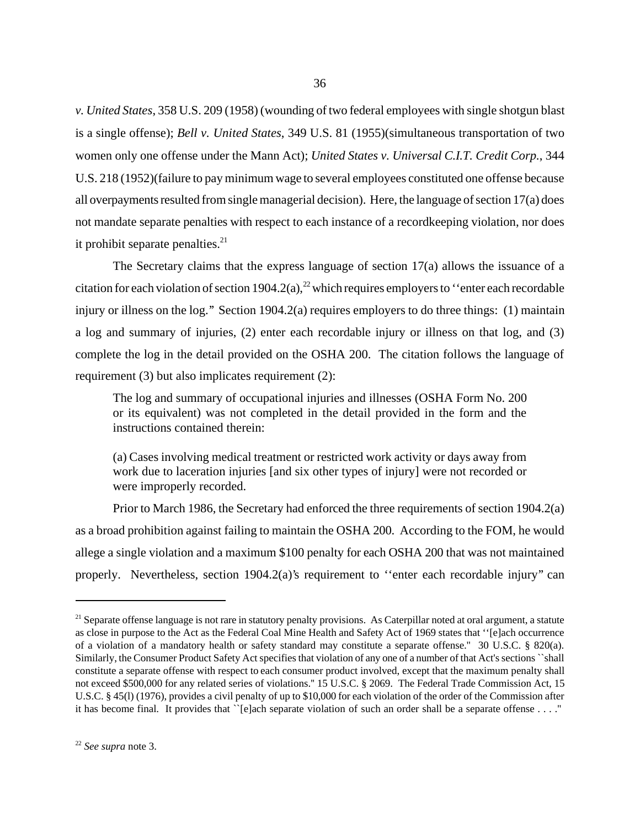*v. United States*, 358 U.S. 209 (1958) (wounding of two federal employees with single shotgun blast is a single offense); *Bell v. United States*, 349 U.S. 81 (1955)(simultaneous transportation of two women only one offense under the Mann Act); *United States v. Universal C.I.T. Credit Corp.*, 344 U.S. 218 (1952)(failure to pay minimum wage to several employees constituted one offense because all overpayments resulted from single managerial decision). Here, the language of section 17(a) does not mandate separate penalties with respect to each instance of a recordkeeping violation, nor does it prohibit separate penalties.<sup>21</sup>

The Secretary claims that the express language of section 17(a) allows the issuance of a citation for each violation of section 1904.2(a),<sup>22</sup> which requires employers to "enter each recordable" injury or illness on the log.'' Section 1904.2(a) requires employers to do three things: (1) maintain a log and summary of injuries, (2) enter each recordable injury or illness on that log, and (3) complete the log in the detail provided on the OSHA 200. The citation follows the language of requirement (3) but also implicates requirement (2):

The log and summary of occupational injuries and illnesses (OSHA Form No. 200 or its equivalent) was not completed in the detail provided in the form and the instructions contained therein:

(a) Cases involving medical treatment or restricted work activity or days away from work due to laceration injuries [and six other types of injury] were not recorded or were improperly recorded.

Prior to March 1986, the Secretary had enforced the three requirements of section 1904.2(a) as a broad prohibition against failing to maintain the OSHA 200. According to the FOM, he would allege a single violation and a maximum \$100 penalty for each OSHA 200 that was not maintained properly. Nevertheless, section 1904.2(a)'s requirement to "enter each recordable injury" can

 $21$  Separate offense language is not rare in statutory penalty provisions. As Caterpillar noted at oral argument, a statute as close in purpose to the Act as the Federal Coal Mine Health and Safety Act of 1969 states that ''[e]ach occurrence of a violation of a mandatory health or safety standard may constitute a separate offense.'' 30 U.S.C. § 820(a). Similarly, the Consumer Product Safety Act specifies that violation of any one of a number of that Act's sections ``shall constitute a separate offense with respect to each consumer product involved, except that the maximum penalty shall not exceed \$500,000 for any related series of violations.'' 15 U.S.C. § 2069. The Federal Trade Commission Act, 15 U.S.C. § 45(l) (1976), provides a civil penalty of up to \$10,000 for each violation of the order of the Commission after it has become final. It provides that  $\Gamma$  [e]ach separate violation of such an order shall be a separate offense ...."

<sup>22</sup> *See supra* note 3.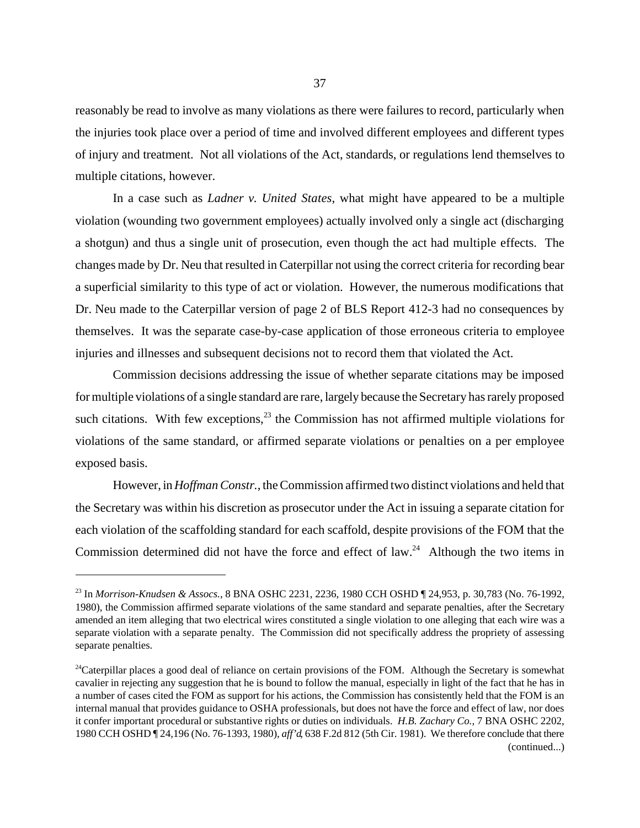reasonably be read to involve as many violations as there were failures to record, particularly when the injuries took place over a period of time and involved different employees and different types of injury and treatment. Not all violations of the Act, standards, or regulations lend themselves to multiple citations, however.

In a case such as *Ladner v. United States*, what might have appeared to be a multiple violation (wounding two government employees) actually involved only a single act (discharging a shotgun) and thus a single unit of prosecution, even though the act had multiple effects. The changes made by Dr. Neu that resulted in Caterpillar not using the correct criteria for recording bear a superficial similarity to this type of act or violation. However, the numerous modifications that Dr. Neu made to the Caterpillar version of page 2 of BLS Report 412-3 had no consequences by themselves. It was the separate case-by-case application of those erroneous criteria to employee injuries and illnesses and subsequent decisions not to record them that violated the Act.

Commission decisions addressing the issue of whether separate citations may be imposed for multiple violations of a single standard are rare, largely because the Secretary has rarely proposed such citations. With few exceptions, $^{23}$  the Commission has not affirmed multiple violations for violations of the same standard, or affirmed separate violations or penalties on a per employee exposed basis.

However, in *Hoffman Constr.*, the Commission affirmed two distinct violations and held that the Secretary was within his discretion as prosecutor under the Act in issuing a separate citation for each violation of the scaffolding standard for each scaffold, despite provisions of the FOM that the Commission determined did not have the force and effect of law.<sup>24</sup> Although the two items in

<sup>23</sup> In *Morrison-Knudsen & Assocs.*, 8 BNA OSHC 2231, 2236, 1980 CCH OSHD ¶ 24,953, p. 30,783 (No. 76-1992, 1980), the Commission affirmed separate violations of the same standard and separate penalties, after the Secretary amended an item alleging that two electrical wires constituted a single violation to one alleging that each wire was a separate violation with a separate penalty. The Commission did not specifically address the propriety of assessing separate penalties.

<sup>&</sup>lt;sup>24</sup>Caterpillar places a good deal of reliance on certain provisions of the FOM. Although the Secretary is somewhat cavalier in rejecting any suggestion that he is bound to follow the manual, especially in light of the fact that he has in a number of cases cited the FOM as support for his actions, the Commission has consistently held that the FOM is an internal manual that provides guidance to OSHA professionals, but does not have the force and effect of law, nor does it confer important procedural or substantive rights or duties on individuals. *H.B. Zachary Co.,* 7 BNA OSHC 2202, 1980 CCH OSHD ¶ 24,196 (No. 76-1393, 1980), *aff'd*, 638 F.2d 812 (5th Cir. 1981). We therefore conclude that there (continued...)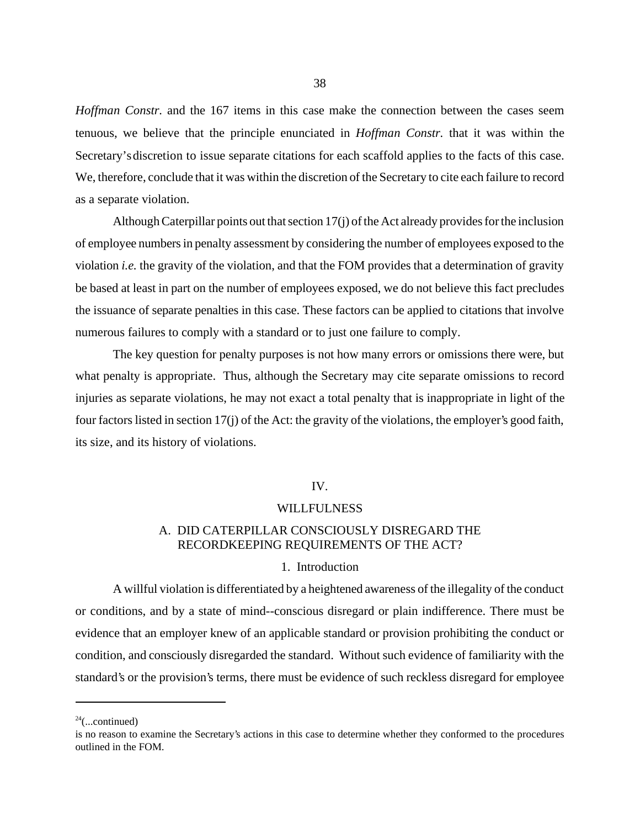*Hoffman Constr.* and the 167 items in this case make the connection between the cases seem tenuous, we believe that the principle enunciated in *Hoffman Constr.* that it was within the Secretary's discretion to issue separate citations for each scaffold applies to the facts of this case. We, therefore, conclude that it was within the discretion of the Secretary to cite each failure to record as a separate violation.

Although Caterpillar points out that section 17(j) of the Act already provides for the inclusion of employee numbers in penalty assessment by considering the number of employees exposed to the violation *i.e.* the gravity of the violation, and that the FOM provides that a determination of gravity be based at least in part on the number of employees exposed, we do not believe this fact precludes the issuance of separate penalties in this case. These factors can be applied to citations that involve numerous failures to comply with a standard or to just one failure to comply.

The key question for penalty purposes is not how many errors or omissions there were, but what penalty is appropriate. Thus, although the Secretary may cite separate omissions to record injuries as separate violations, he may not exact a total penalty that is inappropriate in light of the four factors listed in section 17(j) of the Act: the gravity of the violations, the employer's good faith, its size, and its history of violations.

### IV.

#### WILLFULNESS

# A. DID CATERPILLAR CONSCIOUSLY DISREGARD THE RECORDKEEPING REQUIREMENTS OF THE ACT?

### 1. Introduction

A willful violation is differentiated by a heightened awareness of the illegality of the conduct or conditions, and by a state of mind--conscious disregard or plain indifference. There must be evidence that an employer knew of an applicable standard or provision prohibiting the conduct or condition, and consciously disregarded the standard. Without such evidence of familiarity with the standard's or the provision's terms, there must be evidence of such reckless disregard for employee

 $24$ (...continued)

is no reason to examine the Secretary's actions in this case to determine whether they conformed to the procedures outlined in the FOM.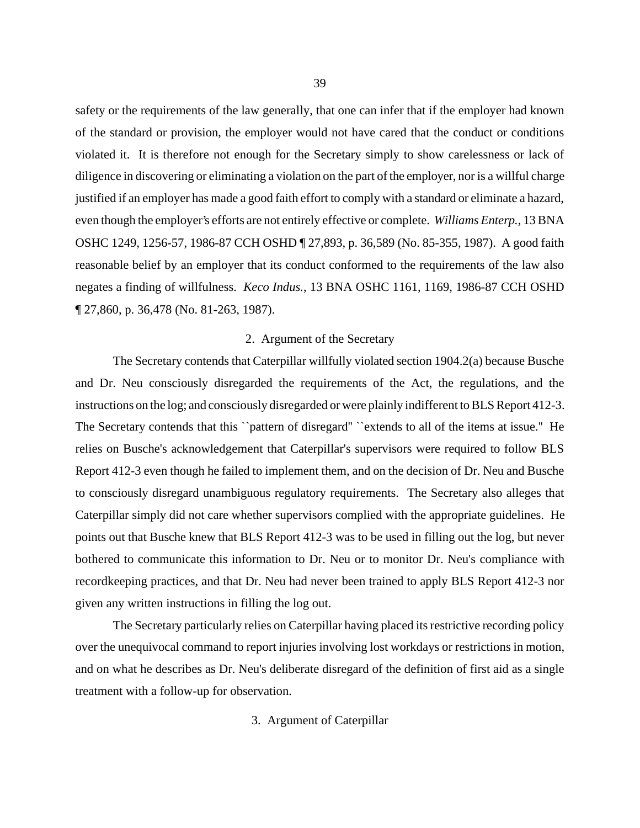safety or the requirements of the law generally, that one can infer that if the employer had known of the standard or provision, the employer would not have cared that the conduct or conditions violated it. It is therefore not enough for the Secretary simply to show carelessness or lack of diligence in discovering or eliminating a violation on the part of the employer, nor is a willful charge justified if an employer has made a good faith effort to comply with a standard or eliminate a hazard, even though the employer's efforts are not entirely effective or complete. *Williams Enterp.*, 13 BNA OSHC 1249, 1256-57, 1986-87 CCH OSHD ¶ 27,893, p. 36,589 (No. 85-355, 1987). A good faith reasonable belief by an employer that its conduct conformed to the requirements of the law also negates a finding of willfulness. *Keco Indus.*, 13 BNA OSHC 1161, 1169, 1986-87 CCH OSHD ¶ 27,860, p. 36,478 (No. 81-263, 1987).

## 2. Argument of the Secretary

The Secretary contends that Caterpillar willfully violated section 1904.2(a) because Busche and Dr. Neu consciously disregarded the requirements of the Act, the regulations, and the instructions on the log; and consciously disregarded or were plainly indifferent to BLS Report 412-3. The Secretary contends that this "pattern of disregard" "extends to all of the items at issue." He relies on Busche's acknowledgement that Caterpillar's supervisors were required to follow BLS Report 412-3 even though he failed to implement them, and on the decision of Dr. Neu and Busche to consciously disregard unambiguous regulatory requirements. The Secretary also alleges that Caterpillar simply did not care whether supervisors complied with the appropriate guidelines. He points out that Busche knew that BLS Report 412-3 was to be used in filling out the log, but never bothered to communicate this information to Dr. Neu or to monitor Dr. Neu's compliance with recordkeeping practices, and that Dr. Neu had never been trained to apply BLS Report 412-3 nor given any written instructions in filling the log out.

The Secretary particularly relies on Caterpillar having placed its restrictive recording policy over the unequivocal command to report injuries involving lost workdays or restrictions in motion, and on what he describes as Dr. Neu's deliberate disregard of the definition of first aid as a single treatment with a follow-up for observation.

3. Argument of Caterpillar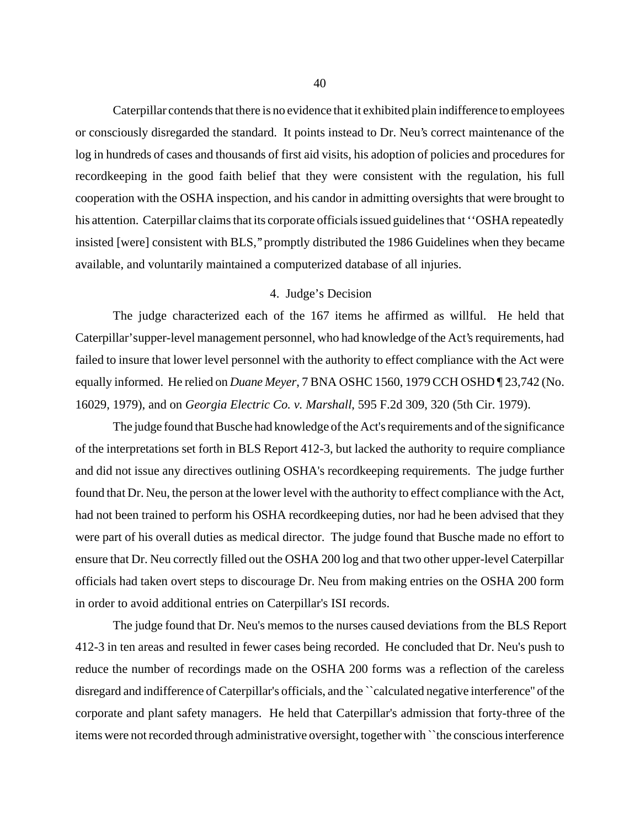Caterpillar contends that there is no evidence that it exhibited plain indifference to employees or consciously disregarded the standard. It points instead to Dr. Neu's correct maintenance of the log in hundreds of cases and thousands of first aid visits, his adoption of policies and procedures for recordkeeping in the good faith belief that they were consistent with the regulation, his full cooperation with the OSHA inspection, and his candor in admitting oversights that were brought to his attention. Caterpillar claims that its corporate officials issued guidelines that ''OSHA repeatedly insisted [were] consistent with BLS,'' promptly distributed the 1986 Guidelines when they became available, and voluntarily maintained a computerized database of all injuries.

# 4. Judge's Decision

The judge characterized each of the 167 items he affirmed as willful. He held that Caterpillar's upper-level management personnel, who had knowledge of the Act's requirements, had failed to insure that lower level personnel with the authority to effect compliance with the Act were equally informed. He relied on *Duane Meyer*, 7 BNA OSHC 1560, 1979 CCH OSHD ¶ 23,742 (No. 16029, 1979), and on *Georgia Electric Co. v. Marshall*, 595 F.2d 309, 320 (5th Cir. 1979).

The judge found that Busche had knowledge of the Act's requirements and of the significance of the interpretations set forth in BLS Report 412-3, but lacked the authority to require compliance and did not issue any directives outlining OSHA's recordkeeping requirements. The judge further found that Dr. Neu, the person at the lower level with the authority to effect compliance with the Act, had not been trained to perform his OSHA recordkeeping duties, nor had he been advised that they were part of his overall duties as medical director. The judge found that Busche made no effort to ensure that Dr. Neu correctly filled out the OSHA 200 log and that two other upper-level Caterpillar officials had taken overt steps to discourage Dr. Neu from making entries on the OSHA 200 form in order to avoid additional entries on Caterpillar's ISI records.

 The judge found that Dr. Neu's memos to the nurses caused deviations from the BLS Report 412-3 in ten areas and resulted in fewer cases being recorded. He concluded that Dr. Neu's push to reduce the number of recordings made on the OSHA 200 forms was a reflection of the careless disregard and indifference of Caterpillar's officials, and the ``calculated negative interference'' of the corporate and plant safety managers. He held that Caterpillar's admission that forty-three of the items were not recorded through administrative oversight, together with ``the conscious interference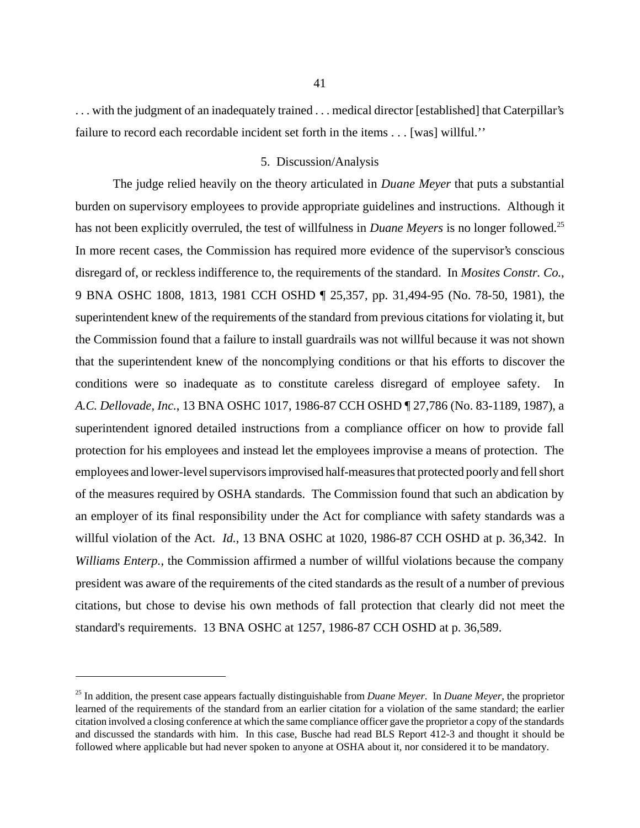. . . with the judgment of an inadequately trained . . . medical director [established] that Caterpillar's failure to record each recordable incident set forth in the items . . . [was] willful.''

## 5. Discussion/Analysis

The judge relied heavily on the theory articulated in *Duane Meyer* that puts a substantial burden on supervisory employees to provide appropriate guidelines and instructions. Although it has not been explicitly overruled, the test of willfulness in *Duane Meyers* is no longer followed.25 In more recent cases, the Commission has required more evidence of the supervisor's conscious disregard of, or reckless indifference to, the requirements of the standard. In *Mosites Constr. Co.*, 9 BNA OSHC 1808, 1813, 1981 CCH OSHD ¶ 25,357, pp. 31,494-95 (No. 78-50, 1981), the superintendent knew of the requirements of the standard from previous citations for violating it, but the Commission found that a failure to install guardrails was not willful because it was not shown that the superintendent knew of the noncomplying conditions or that his efforts to discover the conditions were so inadequate as to constitute careless disregard of employee safety. In *A.C. Dellovade, Inc.*, 13 BNA OSHC 1017, 1986-87 CCH OSHD ¶ 27,786 (No. 83-1189, 1987), a superintendent ignored detailed instructions from a compliance officer on how to provide fall protection for his employees and instead let the employees improvise a means of protection. The employees and lower-level supervisors improvised half-measures that protected poorly and fell short of the measures required by OSHA standards. The Commission found that such an abdication by an employer of its final responsibility under the Act for compliance with safety standards was a willful violation of the Act. *Id.*, 13 BNA OSHC at 1020, 1986-87 CCH OSHD at p. 36,342. In *Williams Enterp.*, the Commission affirmed a number of willful violations because the company president was aware of the requirements of the cited standards as the result of a number of previous citations, but chose to devise his own methods of fall protection that clearly did not meet the standard's requirements. 13 BNA OSHC at 1257, 1986-87 CCH OSHD at p. 36,589.

<sup>25</sup> In addition, the present case appears factually distinguishable from *Duane Meyer*. In *Duane Meyer*, the proprietor learned of the requirements of the standard from an earlier citation for a violation of the same standard; the earlier citation involved a closing conference at which the same compliance officer gave the proprietor a copy of the standards and discussed the standards with him. In this case, Busche had read BLS Report 412-3 and thought it should be followed where applicable but had never spoken to anyone at OSHA about it, nor considered it to be mandatory.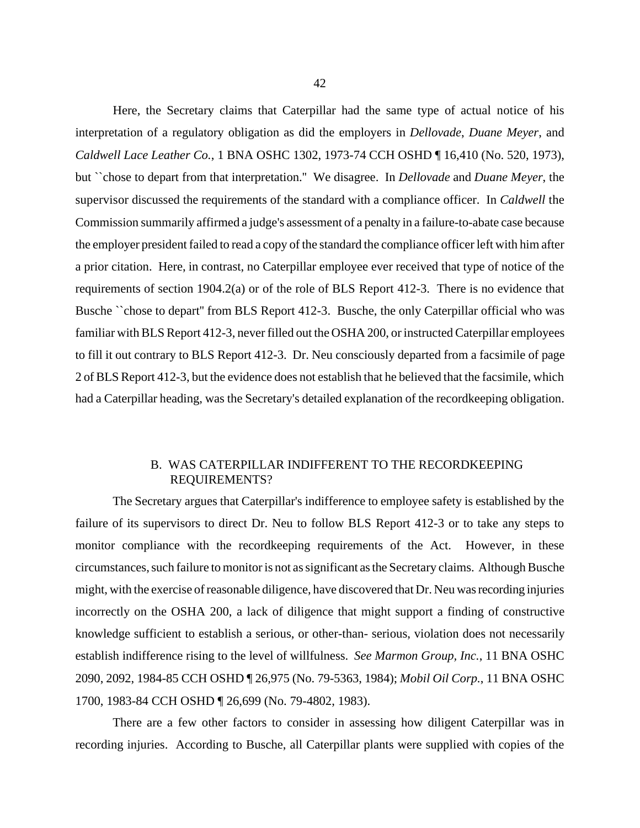Here, the Secretary claims that Caterpillar had the same type of actual notice of his interpretation of a regulatory obligation as did the employers in *Dellovade*, *Duane Meyer*, and *Caldwell Lace Leather Co.*, 1 BNA OSHC 1302, 1973-74 CCH OSHD ¶ 16,410 (No. 520, 1973), but ``chose to depart from that interpretation.'' We disagree. In *Dellovade* and *Duane Meyer*, the supervisor discussed the requirements of the standard with a compliance officer. In *Caldwell* the Commission summarily affirmed a judge's assessment of a penalty in a failure-to-abate case because the employer president failed to read a copy of the standard the compliance officer left with him after a prior citation. Here, in contrast, no Caterpillar employee ever received that type of notice of the requirements of section 1904.2(a) or of the role of BLS Report 412-3. There is no evidence that Busche ``chose to depart" from BLS Report 412-3. Busche, the only Caterpillar official who was familiar with BLS Report 412-3, never filled out the OSHA 200, or instructed Caterpillar employees to fill it out contrary to BLS Report 412-3. Dr. Neu consciously departed from a facsimile of page 2 of BLS Report 412-3, but the evidence does not establish that he believed that the facsimile, which had a Caterpillar heading, was the Secretary's detailed explanation of the recordkeeping obligation.

# B. WAS CATERPILLAR INDIFFERENT TO THE RECORDKEEPING REQUIREMENTS?

The Secretary argues that Caterpillar's indifference to employee safety is established by the failure of its supervisors to direct Dr. Neu to follow BLS Report 412-3 or to take any steps to monitor compliance with the recordkeeping requirements of the Act. However, in these circumstances, such failure to monitor is not as significant as the Secretary claims. Although Busche might, with the exercise of reasonable diligence, have discovered that Dr. Neu was recording injuries incorrectly on the OSHA 200, a lack of diligence that might support a finding of constructive knowledge sufficient to establish a serious, or other-than- serious, violation does not necessarily establish indifference rising to the level of willfulness. *See Marmon Group, Inc.*, 11 BNA OSHC 2090, 2092, 1984-85 CCH OSHD ¶ 26,975 (No. 79-5363, 1984); *Mobil Oil Corp.*, 11 BNA OSHC 1700, 1983-84 CCH OSHD ¶ 26,699 (No. 79-4802, 1983).

There are a few other factors to consider in assessing how diligent Caterpillar was in recording injuries. According to Busche, all Caterpillar plants were supplied with copies of the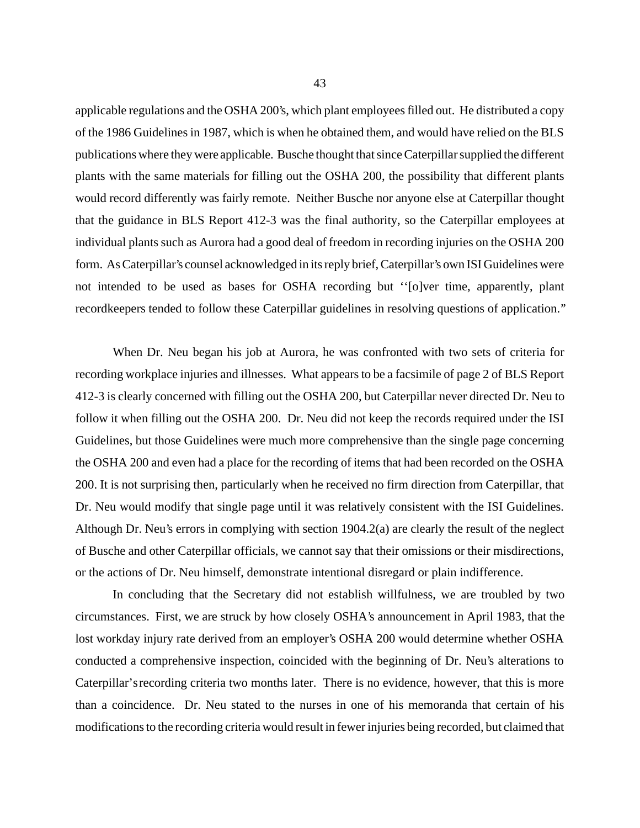applicable regulations and the OSHA 200's, which plant employees filled out. He distributed a copy of the 1986 Guidelines in 1987, which is when he obtained them, and would have relied on the BLS publications where they were applicable. Busche thought that since Caterpillar supplied the different plants with the same materials for filling out the OSHA 200, the possibility that different plants would record differently was fairly remote. Neither Busche nor anyone else at Caterpillar thought that the guidance in BLS Report 412-3 was the final authority, so the Caterpillar employees at individual plants such as Aurora had a good deal of freedom in recording injuries on the OSHA 200 form. As Caterpillar's counsel acknowledged in its reply brief, Caterpillar's own ISI Guidelines were not intended to be used as bases for OSHA recording but ''[o]ver time, apparently, plant recordkeepers tended to follow these Caterpillar guidelines in resolving questions of application.''

When Dr. Neu began his job at Aurora, he was confronted with two sets of criteria for recording workplace injuries and illnesses. What appears to be a facsimile of page 2 of BLS Report 412-3 is clearly concerned with filling out the OSHA 200, but Caterpillar never directed Dr. Neu to follow it when filling out the OSHA 200. Dr. Neu did not keep the records required under the ISI Guidelines, but those Guidelines were much more comprehensive than the single page concerning the OSHA 200 and even had a place for the recording of items that had been recorded on the OSHA 200. It is not surprising then, particularly when he received no firm direction from Caterpillar, that Dr. Neu would modify that single page until it was relatively consistent with the ISI Guidelines. Although Dr. Neu's errors in complying with section 1904.2(a) are clearly the result of the neglect of Busche and other Caterpillar officials, we cannot say that their omissions or their misdirections, or the actions of Dr. Neu himself, demonstrate intentional disregard or plain indifference.

In concluding that the Secretary did not establish willfulness, we are troubled by two circumstances. First, we are struck by how closely OSHA's announcement in April 1983, that the lost workday injury rate derived from an employer's OSHA 200 would determine whether OSHA conducted a comprehensive inspection, coincided with the beginning of Dr. Neu's alterations to Caterpillar's recording criteria two months later. There is no evidence, however, that this is more than a coincidence. Dr. Neu stated to the nurses in one of his memoranda that certain of his modifications to the recording criteria would result in fewer injuries being recorded, but claimed that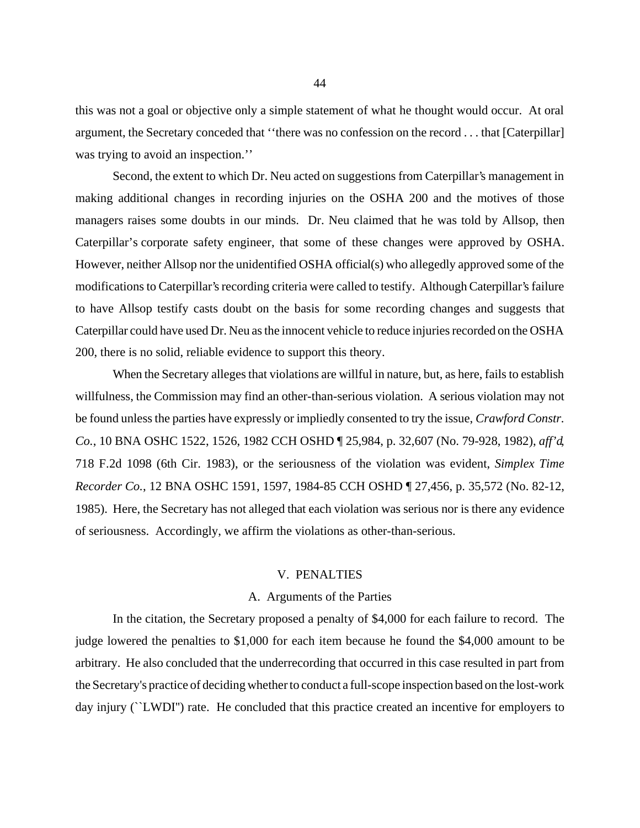this was not a goal or objective only a simple statement of what he thought would occur. At oral argument, the Secretary conceded that ''there was no confession on the record . . . that [Caterpillar] was trying to avoid an inspection."

Second, the extent to which Dr. Neu acted on suggestions from Caterpillar's management in making additional changes in recording injuries on the OSHA 200 and the motives of those managers raises some doubts in our minds. Dr. Neu claimed that he was told by Allsop, then Caterpillar's corporate safety engineer, that some of these changes were approved by OSHA. However, neither Allsop nor the unidentified OSHA official(s) who allegedly approved some of the modifications to Caterpillar's recording criteria were called to testify. Although Caterpillar's failure to have Allsop testify casts doubt on the basis for some recording changes and suggests that Caterpillar could have used Dr. Neu as the innocent vehicle to reduce injuries recorded on the OSHA 200, there is no solid, reliable evidence to support this theory.

When the Secretary alleges that violations are willful in nature, but, as here, fails to establish willfulness, the Commission may find an other-than-serious violation. A serious violation may not be found unless the parties have expressly or impliedly consented to try the issue, *Crawford Constr. Co.*, 10 BNA OSHC 1522, 1526, 1982 CCH OSHD ¶ 25,984, p. 32,607 (No. 79-928, 1982), *aff'd*, 718 F.2d 1098 (6th Cir. 1983), or the seriousness of the violation was evident, *Simplex Time Recorder Co.*, 12 BNA OSHC 1591, 1597, 1984-85 CCH OSHD ¶ 27,456, p. 35,572 (No. 82-12, 1985). Here, the Secretary has not alleged that each violation was serious nor is there any evidence of seriousness. Accordingly, we affirm the violations as other-than-serious.

#### V. PENALTIES

#### A. Arguments of the Parties

In the citation, the Secretary proposed a penalty of \$4,000 for each failure to record. The judge lowered the penalties to \$1,000 for each item because he found the \$4,000 amount to be arbitrary. He also concluded that the underrecording that occurred in this case resulted in part from the Secretary's practice of deciding whether to conduct a full-scope inspection based on the lost-work day injury (``LWDI'') rate. He concluded that this practice created an incentive for employers to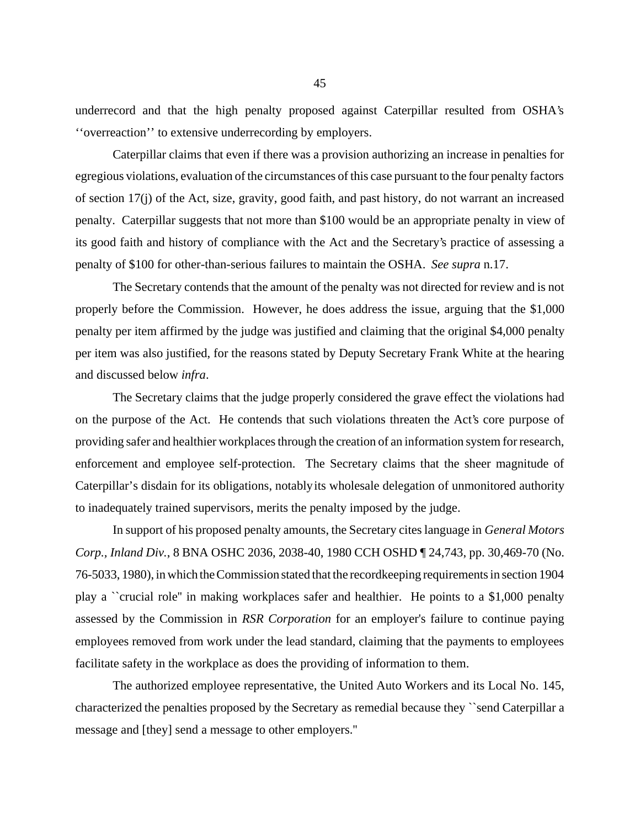underrecord and that the high penalty proposed against Caterpillar resulted from OSHA's ''overreaction'' to extensive underrecording by employers.

Caterpillar claims that even if there was a provision authorizing an increase in penalties for egregious violations, evaluation of the circumstances of this case pursuant to the four penalty factors of section 17(j) of the Act, size, gravity, good faith, and past history, do not warrant an increased penalty. Caterpillar suggests that not more than \$100 would be an appropriate penalty in view of its good faith and history of compliance with the Act and the Secretary's practice of assessing a penalty of \$100 for other-than-serious failures to maintain the OSHA. *See supra* n.17.

The Secretary contends that the amount of the penalty was not directed for review and is not properly before the Commission. However, he does address the issue, arguing that the \$1,000 penalty per item affirmed by the judge was justified and claiming that the original \$4,000 penalty per item was also justified, for the reasons stated by Deputy Secretary Frank White at the hearing and discussed below *infra*.

The Secretary claims that the judge properly considered the grave effect the violations had on the purpose of the Act. He contends that such violations threaten the Act's core purpose of providing safer and healthier workplaces through the creation of an information system for research, enforcement and employee self-protection. The Secretary claims that the sheer magnitude of Caterpillar's disdain for its obligations, notably its wholesale delegation of unmonitored authority to inadequately trained supervisors, merits the penalty imposed by the judge.

In support of his proposed penalty amounts, the Secretary cites language in *General Motors Corp., Inland Div.*, 8 BNA OSHC 2036, 2038-40, 1980 CCH OSHD ¶ 24,743, pp. 30,469-70 (No. 76-5033, 1980), in which the Commission stated that the recordkeeping requirements in section 1904 play a ``crucial role'' in making workplaces safer and healthier. He points to a \$1,000 penalty assessed by the Commission in *RSR Corporation* for an employer's failure to continue paying employees removed from work under the lead standard, claiming that the payments to employees facilitate safety in the workplace as does the providing of information to them.

The authorized employee representative, the United Auto Workers and its Local No. 145, characterized the penalties proposed by the Secretary as remedial because they ``send Caterpillar a message and [they] send a message to other employers.''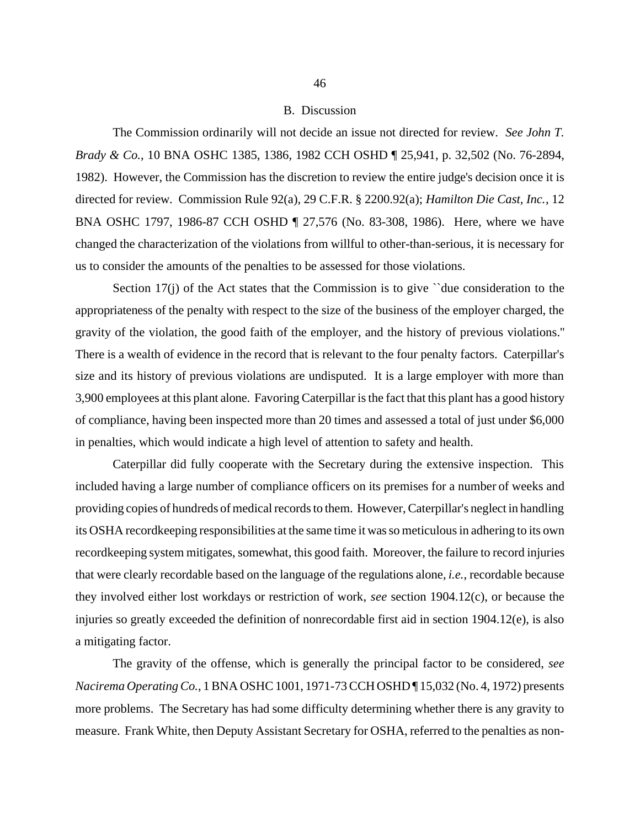#### B. Discussion

The Commission ordinarily will not decide an issue not directed for review. *See John T. Brady & Co.*, 10 BNA OSHC 1385, 1386, 1982 CCH OSHD ¶ 25,941, p. 32,502 (No. 76-2894, 1982). However, the Commission has the discretion to review the entire judge's decision once it is directed for review. Commission Rule 92(a), 29 C.F.R. § 2200.92(a); *Hamilton Die Cast, Inc.*, 12 BNA OSHC 1797, 1986-87 CCH OSHD ¶ 27,576 (No. 83-308, 1986). Here, where we have changed the characterization of the violations from willful to other-than-serious, it is necessary for us to consider the amounts of the penalties to be assessed for those violations.

Section  $17(i)$  of the Act states that the Commission is to give  $\degree$  due consideration to the appropriateness of the penalty with respect to the size of the business of the employer charged, the gravity of the violation, the good faith of the employer, and the history of previous violations.'' There is a wealth of evidence in the record that is relevant to the four penalty factors. Caterpillar's size and its history of previous violations are undisputed. It is a large employer with more than 3,900 employees at this plant alone. Favoring Caterpillar is the fact that this plant has a good history of compliance, having been inspected more than 20 times and assessed a total of just under \$6,000 in penalties, which would indicate a high level of attention to safety and health.

Caterpillar did fully cooperate with the Secretary during the extensive inspection. This included having a large number of compliance officers on its premises for a number of weeks and providing copies of hundreds of medical records to them. However, Caterpillar's neglect in handling its OSHA recordkeeping responsibilities at the same time it was so meticulous in adhering to its own recordkeeping system mitigates, somewhat, this good faith. Moreover, the failure to record injuries that were clearly recordable based on the language of the regulations alone, *i.e.*, recordable because they involved either lost workdays or restriction of work, *see* section 1904.12(c), or because the injuries so greatly exceeded the definition of nonrecordable first aid in section 1904.12(e), is also a mitigating factor.

The gravity of the offense, which is generally the principal factor to be considered, *see Nacirema Operating Co.*, 1 BNA OSHC 1001, 1971-73 CCH OSHD ¶ 15,032 (No. 4, 1972) presents more problems. The Secretary has had some difficulty determining whether there is any gravity to measure. Frank White, then Deputy Assistant Secretary for OSHA, referred to the penalties as non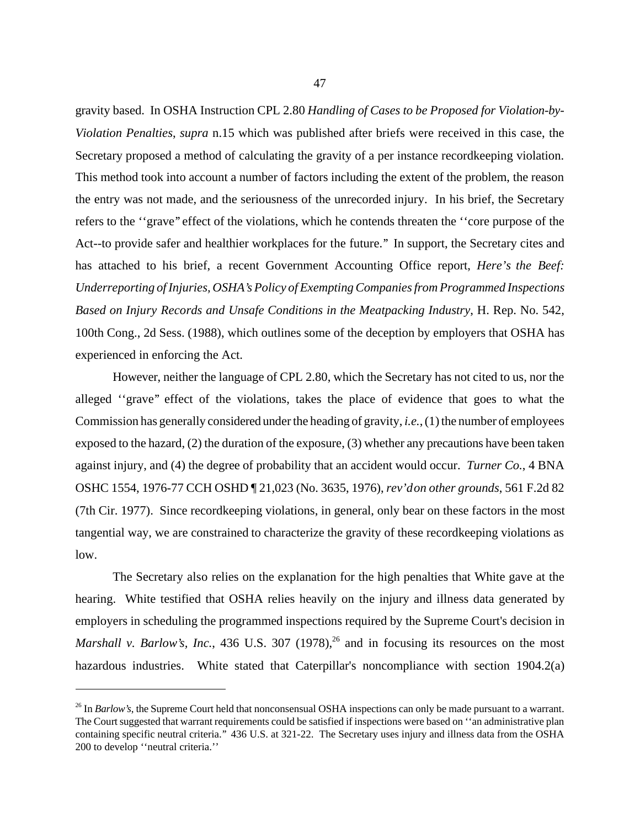gravity based. In OSHA Instruction CPL 2.80 *Handling of Cases to be Proposed for Violation-by-Violation Penalties*, *supra* n.15 which was published after briefs were received in this case, the Secretary proposed a method of calculating the gravity of a per instance recordkeeping violation. This method took into account a number of factors including the extent of the problem, the reason the entry was not made, and the seriousness of the unrecorded injury. In his brief, the Secretary refers to the ''grave'' effect of the violations, which he contends threaten the ''core purpose of the Act--to provide safer and healthier workplaces for the future.'' In support, the Secretary cites and has attached to his brief, a recent Government Accounting Office report, *Here's the Beef: Underreporting of Injuries, OSHA's Policy of Exempting Companies from Programmed Inspections Based on Injury Records and Unsafe Conditions in the Meatpacking Industry*, H. Rep. No. 542, 100th Cong., 2d Sess. (1988), which outlines some of the deception by employers that OSHA has experienced in enforcing the Act.

However, neither the language of CPL 2.80, which the Secretary has not cited to us, nor the alleged ''grave'' effect of the violations, takes the place of evidence that goes to what the Commission has generally considered under the heading of gravity, *i.e.*, (1) the number of employees exposed to the hazard, (2) the duration of the exposure, (3) whether any precautions have been taken against injury, and (4) the degree of probability that an accident would occur. *Turner Co.*, 4 BNA OSHC 1554, 1976-77 CCH OSHD ¶ 21,023 (No. 3635, 1976), *rev'd on other grounds*, 561 F.2d 82 (7th Cir. 1977). Since recordkeeping violations, in general, only bear on these factors in the most tangential way, we are constrained to characterize the gravity of these recordkeeping violations as low.

The Secretary also relies on the explanation for the high penalties that White gave at the hearing. White testified that OSHA relies heavily on the injury and illness data generated by employers in scheduling the programmed inspections required by the Supreme Court's decision in *Marshall v. Barlow's, Inc.*, 436 U.S. 307 (1978),<sup>26</sup> and in focusing its resources on the most hazardous industries. White stated that Caterpillar's noncompliance with section 1904.2(a)

<sup>&</sup>lt;sup>26</sup> In *Barlow's*, the Supreme Court held that nonconsensual OSHA inspections can only be made pursuant to a warrant. The Court suggested that warrant requirements could be satisfied if inspections were based on ''an administrative plan containing specific neutral criteria.'' 436 U.S. at 321-22. The Secretary uses injury and illness data from the OSHA 200 to develop ''neutral criteria.''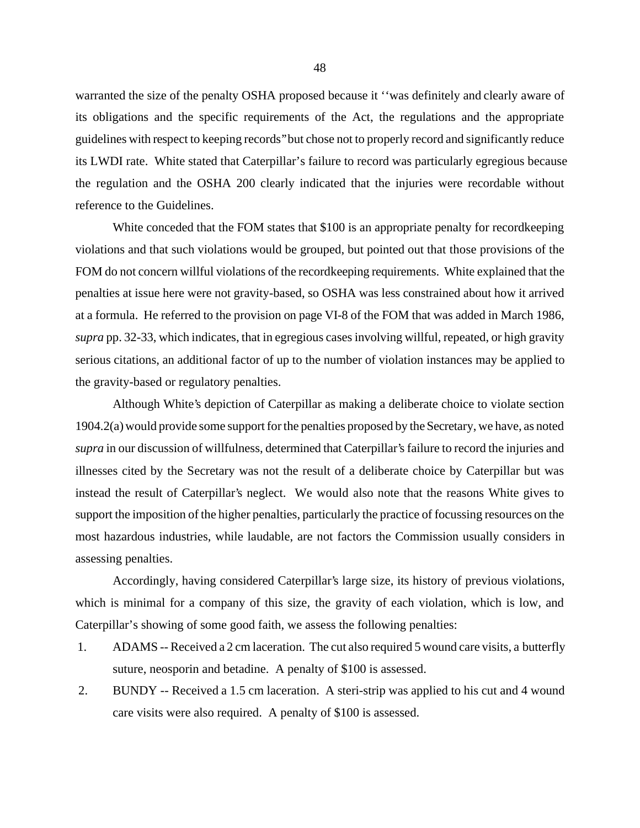warranted the size of the penalty OSHA proposed because it ''was definitely and clearly aware of its obligations and the specific requirements of the Act, the regulations and the appropriate guidelines with respect to keeping records'' but chose not to properly record and significantly reduce its LWDI rate. White stated that Caterpillar's failure to record was particularly egregious because the regulation and the OSHA 200 clearly indicated that the injuries were recordable without reference to the Guidelines.

White conceded that the FOM states that \$100 is an appropriate penalty for recordkeeping violations and that such violations would be grouped, but pointed out that those provisions of the FOM do not concern willful violations of the recordkeeping requirements. White explained that the penalties at issue here were not gravity-based, so OSHA was less constrained about how it arrived at a formula. He referred to the provision on page VI-8 of the FOM that was added in March 1986, *supra* pp. 32-33, which indicates, that in egregious cases involving willful, repeated, or high gravity serious citations, an additional factor of up to the number of violation instances may be applied to the gravity-based or regulatory penalties.

Although White's depiction of Caterpillar as making a deliberate choice to violate section 1904.2(a) would provide some support for the penalties proposed by the Secretary, we have, as noted *supra* in our discussion of willfulness, determined that Caterpillar's failure to record the injuries and illnesses cited by the Secretary was not the result of a deliberate choice by Caterpillar but was instead the result of Caterpillar's neglect. We would also note that the reasons White gives to support the imposition of the higher penalties, particularly the practice of focussing resources on the most hazardous industries, while laudable, are not factors the Commission usually considers in assessing penalties.

Accordingly, having considered Caterpillar's large size, its history of previous violations, which is minimal for a company of this size, the gravity of each violation, which is low, and Caterpillar's showing of some good faith, we assess the following penalties:

- 1. ADAMS -- Received a 2 cm laceration. The cut also required 5 wound care visits, a butterfly suture, neosporin and betadine. A penalty of \$100 is assessed.
- 2. BUNDY -- Received a 1.5 cm laceration. A steri-strip was applied to his cut and 4 wound care visits were also required. A penalty of \$100 is assessed.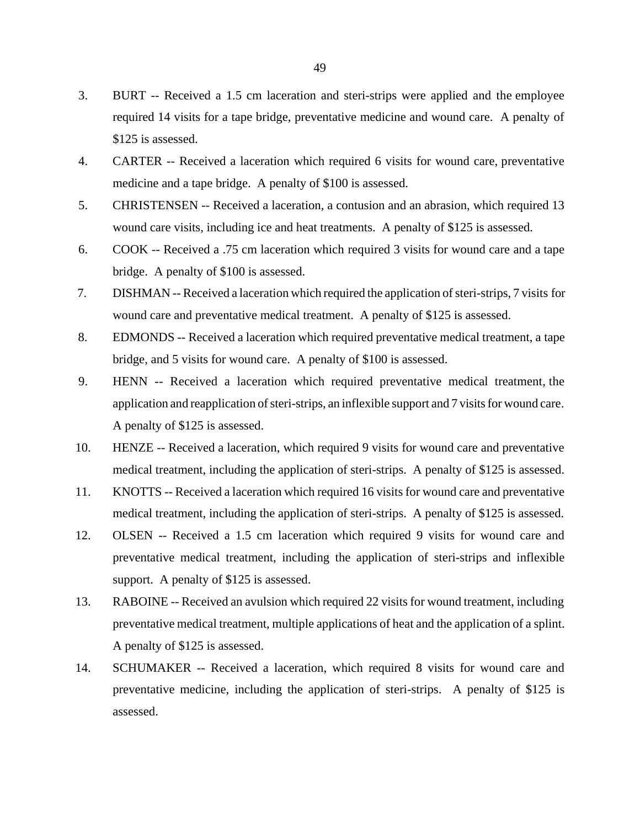- 3. BURT -- Received a 1.5 cm laceration and steri-strips were applied and the employee required 14 visits for a tape bridge, preventative medicine and wound care. A penalty of \$125 is assessed.
- 4. CARTER -- Received a laceration which required 6 visits for wound care, preventative medicine and a tape bridge. A penalty of \$100 is assessed.
- 5. CHRISTENSEN -- Received a laceration, a contusion and an abrasion, which required 13 wound care visits, including ice and heat treatments. A penalty of \$125 is assessed.
- 6. COOK -- Received a .75 cm laceration which required 3 visits for wound care and a tape bridge. A penalty of \$100 is assessed.
- 7. DISHMAN -- Received a laceration which required the application of steri-strips, 7 visits for wound care and preventative medical treatment. A penalty of \$125 is assessed.
- 8. EDMONDS -- Received a laceration which required preventative medical treatment, a tape bridge, and 5 visits for wound care. A penalty of \$100 is assessed.
- 9. HENN -- Received a laceration which required preventative medical treatment, the application and reapplication of steri-strips, an inflexible support and 7 visits for wound care. A penalty of \$125 is assessed.
- 10. HENZE -- Received a laceration, which required 9 visits for wound care and preventative medical treatment, including the application of steri-strips. A penalty of \$125 is assessed.
- 11. KNOTTS -- Received a laceration which required 16 visits for wound care and preventative medical treatment, including the application of steri-strips. A penalty of \$125 is assessed.
- 12. OLSEN -- Received a 1.5 cm laceration which required 9 visits for wound care and preventative medical treatment, including the application of steri-strips and inflexible support. A penalty of \$125 is assessed.
- 13. RABOINE -- Received an avulsion which required 22 visits for wound treatment, including preventative medical treatment, multiple applications of heat and the application of a splint. A penalty of \$125 is assessed.
- 14. SCHUMAKER -- Received a laceration, which required 8 visits for wound care and preventative medicine, including the application of steri-strips. A penalty of \$125 is assessed.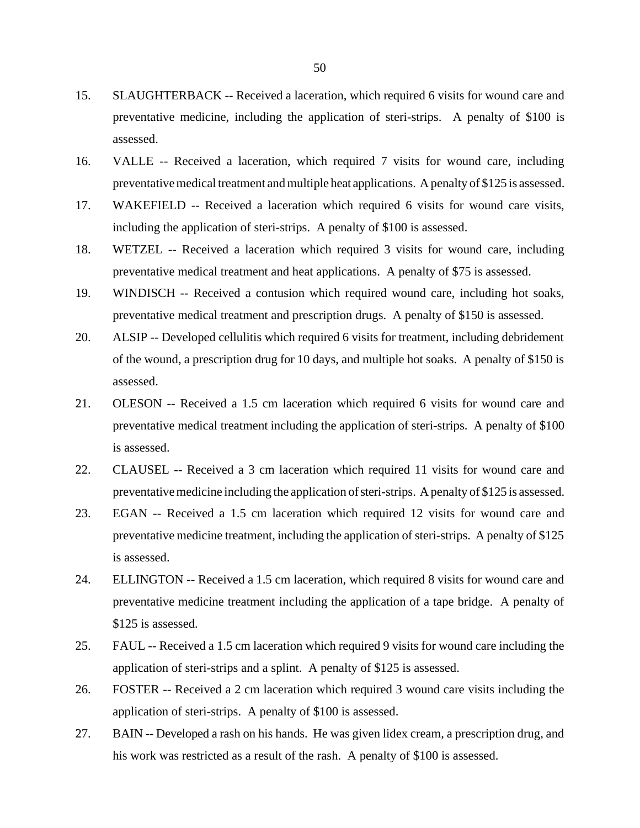- 15. SLAUGHTERBACK -- Received a laceration, which required 6 visits for wound care and preventative medicine, including the application of steri-strips. A penalty of \$100 is assessed.
- 16. VALLE -- Received a laceration, which required 7 visits for wound care, including preventative medical treatment and multiple heat applications. A penalty of \$125 is assessed.
- 17. WAKEFIELD -- Received a laceration which required 6 visits for wound care visits, including the application of steri-strips. A penalty of \$100 is assessed.
- 18. WETZEL -- Received a laceration which required 3 visits for wound care, including preventative medical treatment and heat applications. A penalty of \$75 is assessed.
- 19. WINDISCH -- Received a contusion which required wound care, including hot soaks, preventative medical treatment and prescription drugs. A penalty of \$150 is assessed.
- 20. ALSIP -- Developed cellulitis which required 6 visits for treatment, including debridement of the wound, a prescription drug for 10 days, and multiple hot soaks. A penalty of \$150 is assessed.
- 21. OLESON -- Received a 1.5 cm laceration which required 6 visits for wound care and preventative medical treatment including the application of steri-strips. A penalty of \$100 is assessed.
- 22. CLAUSEL -- Received a 3 cm laceration which required 11 visits for wound care and preventative medicine including the application of steri-strips. A penalty of \$125 is assessed.
- 23. EGAN -- Received a 1.5 cm laceration which required 12 visits for wound care and preventative medicine treatment, including the application of steri-strips. A penalty of \$125 is assessed.
- 24. ELLINGTON -- Received a 1.5 cm laceration, which required 8 visits for wound care and preventative medicine treatment including the application of a tape bridge. A penalty of \$125 is assessed.
- 25. FAUL -- Received a 1.5 cm laceration which required 9 visits for wound care including the application of steri-strips and a splint. A penalty of \$125 is assessed.
- 26. FOSTER -- Received a 2 cm laceration which required 3 wound care visits including the application of steri-strips. A penalty of \$100 is assessed.
- 27. BAIN -- Developed a rash on his hands. He was given lidex cream, a prescription drug, and his work was restricted as a result of the rash. A penalty of \$100 is assessed.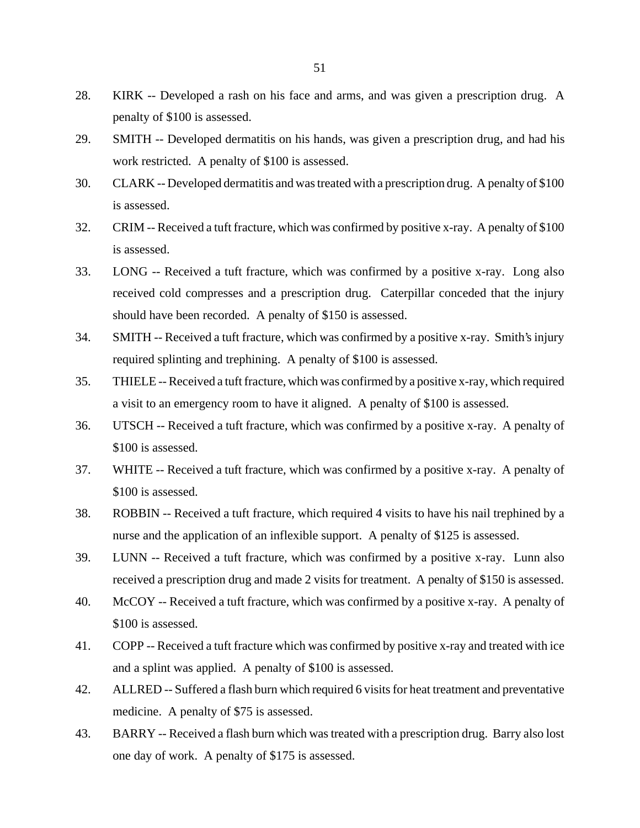- 28. KIRK -- Developed a rash on his face and arms, and was given a prescription drug. A penalty of \$100 is assessed.
- 29. SMITH -- Developed dermatitis on his hands, was given a prescription drug, and had his work restricted. A penalty of \$100 is assessed.
- 30. CLARK -- Developed dermatitis and was treated with a prescription drug. A penalty of \$100 is assessed.
- 32. CRIM -- Received a tuft fracture, which was confirmed by positive x-ray. A penalty of \$100 is assessed.
- 33. LONG -- Received a tuft fracture, which was confirmed by a positive x-ray. Long also received cold compresses and a prescription drug. Caterpillar conceded that the injury should have been recorded. A penalty of \$150 is assessed.
- 34. SMITH -- Received a tuft fracture, which was confirmed by a positive x-ray. Smith's injury required splinting and trephining. A penalty of \$100 is assessed.
- 35. THIELE -- Received a tuft fracture, which was confirmed by a positive x-ray, which required a visit to an emergency room to have it aligned. A penalty of \$100 is assessed.
- 36. UTSCH -- Received a tuft fracture, which was confirmed by a positive x-ray. A penalty of \$100 is assessed.
- 37. WHITE -- Received a tuft fracture, which was confirmed by a positive x-ray. A penalty of \$100 is assessed.
- 38. ROBBIN -- Received a tuft fracture, which required 4 visits to have his nail trephined by a nurse and the application of an inflexible support. A penalty of \$125 is assessed.
- 39. LUNN -- Received a tuft fracture, which was confirmed by a positive x-ray. Lunn also received a prescription drug and made 2 visits for treatment. A penalty of \$150 is assessed.
- 40. McCOY -- Received a tuft fracture, which was confirmed by a positive x-ray. A penalty of \$100 is assessed.
- 41. COPP -- Received a tuft fracture which was confirmed by positive x-ray and treated with ice and a splint was applied. A penalty of \$100 is assessed.
- 42. ALLRED -- Suffered a flash burn which required 6 visits for heat treatment and preventative medicine. A penalty of \$75 is assessed.
- 43. BARRY -- Received a flash burn which was treated with a prescription drug. Barry also lost one day of work. A penalty of \$175 is assessed.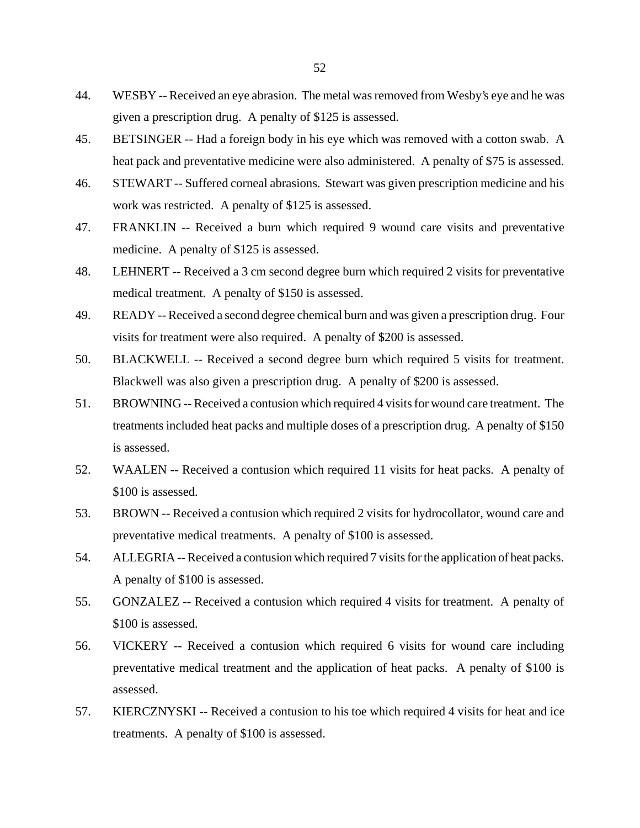- 44. WESBY -- Received an eye abrasion. The metal was removed from Wesby's eye and he was given a prescription drug. A penalty of \$125 is assessed.
- 45. BETSINGER -- Had a foreign body in his eye which was removed with a cotton swab. A heat pack and preventative medicine were also administered. A penalty of \$75 is assessed.
- 46. STEWART -- Suffered corneal abrasions. Stewart was given prescription medicine and his work was restricted. A penalty of \$125 is assessed.
- 47. FRANKLIN -- Received a burn which required 9 wound care visits and preventative medicine. A penalty of \$125 is assessed.
- 48. LEHNERT -- Received a 3 cm second degree burn which required 2 visits for preventative medical treatment. A penalty of \$150 is assessed.
- 49. READY -- Received a second degree chemical burn and was given a prescription drug. Four visits for treatment were also required. A penalty of \$200 is assessed.
- 50. BLACKWELL -- Received a second degree burn which required 5 visits for treatment. Blackwell was also given a prescription drug. A penalty of \$200 is assessed.
- 51. BROWNING -- Received a contusion which required 4 visits for wound care treatment. The treatments included heat packs and multiple doses of a prescription drug. A penalty of \$150 is assessed.
- 52. WAALEN -- Received a contusion which required 11 visits for heat packs. A penalty of \$100 is assessed.
- 53. BROWN -- Received a contusion which required 2 visits for hydrocollator, wound care and preventative medical treatments. A penalty of \$100 is assessed.
- 54. ALLEGRIA -- Received a contusion which required 7 visits for the application of heat packs. A penalty of \$100 is assessed.
- 55. GONZALEZ -- Received a contusion which required 4 visits for treatment. A penalty of \$100 is assessed.
- 56. VICKERY -- Received a contusion which required 6 visits for wound care including preventative medical treatment and the application of heat packs. A penalty of \$100 is assessed.
- 57. KIERCZNYSKI -- Received a contusion to his toe which required 4 visits for heat and ice treatments. A penalty of \$100 is assessed.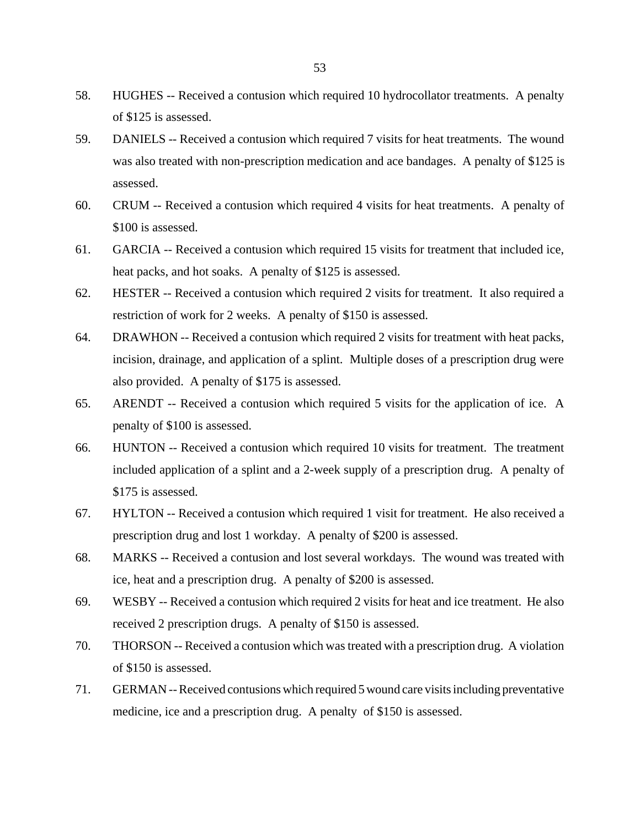- 58. HUGHES -- Received a contusion which required 10 hydrocollator treatments. A penalty of \$125 is assessed.
- 59. DANIELS -- Received a contusion which required 7 visits for heat treatments. The wound was also treated with non-prescription medication and ace bandages. A penalty of \$125 is assessed.
- 60. CRUM -- Received a contusion which required 4 visits for heat treatments. A penalty of \$100 is assessed.
- 61. GARCIA -- Received a contusion which required 15 visits for treatment that included ice, heat packs, and hot soaks. A penalty of \$125 is assessed.
- 62. HESTER -- Received a contusion which required 2 visits for treatment. It also required a restriction of work for 2 weeks. A penalty of \$150 is assessed.
- 64. DRAWHON -- Received a contusion which required 2 visits for treatment with heat packs, incision, drainage, and application of a splint. Multiple doses of a prescription drug were also provided. A penalty of \$175 is assessed.
- 65. ARENDT -- Received a contusion which required 5 visits for the application of ice. A penalty of \$100 is assessed.
- 66. HUNTON -- Received a contusion which required 10 visits for treatment. The treatment included application of a splint and a 2-week supply of a prescription drug. A penalty of \$175 is assessed.
- 67. HYLTON -- Received a contusion which required 1 visit for treatment. He also received a prescription drug and lost 1 workday. A penalty of \$200 is assessed.
- 68. MARKS -- Received a contusion and lost several workdays. The wound was treated with ice, heat and a prescription drug. A penalty of \$200 is assessed.
- 69. WESBY -- Received a contusion which required 2 visits for heat and ice treatment. He also received 2 prescription drugs. A penalty of \$150 is assessed.
- 70. THORSON -- Received a contusion which was treated with a prescription drug. A violation of \$150 is assessed.
- 71. GERMAN -- Received contusions which required 5 wound care visits including preventative medicine, ice and a prescription drug. A penalty of \$150 is assessed.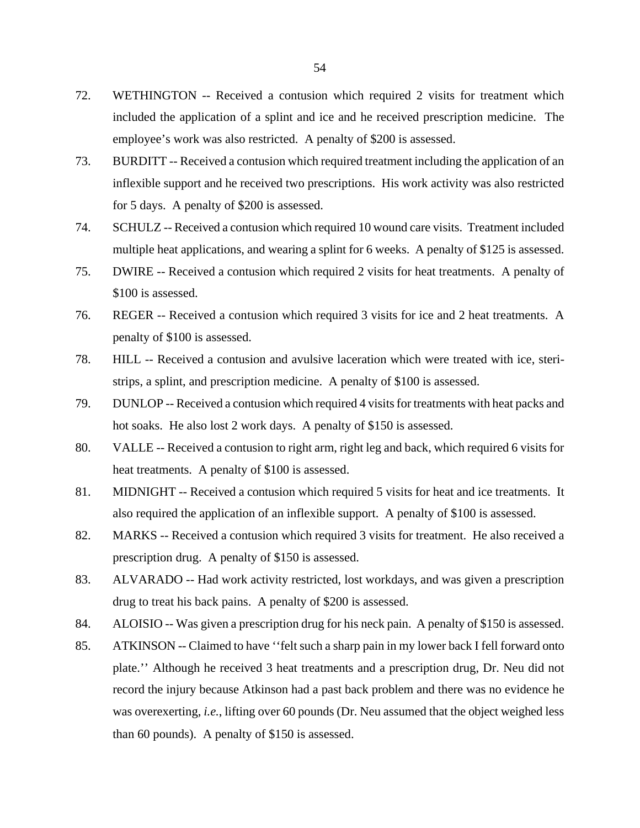- 72. WETHINGTON -- Received a contusion which required 2 visits for treatment which included the application of a splint and ice and he received prescription medicine. The employee's work was also restricted. A penalty of \$200 is assessed.
- 73. BURDITT -- Received a contusion which required treatment including the application of an inflexible support and he received two prescriptions. His work activity was also restricted for 5 days. A penalty of \$200 is assessed.
- 74. SCHULZ -- Received a contusion which required 10 wound care visits. Treatment included multiple heat applications, and wearing a splint for 6 weeks. A penalty of \$125 is assessed.
- 75. DWIRE -- Received a contusion which required 2 visits for heat treatments. A penalty of \$100 is assessed.
- 76. REGER -- Received a contusion which required 3 visits for ice and 2 heat treatments. A penalty of \$100 is assessed.
- 78. HILL -- Received a contusion and avulsive laceration which were treated with ice, steristrips, a splint, and prescription medicine. A penalty of \$100 is assessed.
- 79. DUNLOP -- Received a contusion which required 4 visits for treatments with heat packs and hot soaks. He also lost 2 work days. A penalty of \$150 is assessed.
- 80. VALLE -- Received a contusion to right arm, right leg and back, which required 6 visits for heat treatments. A penalty of \$100 is assessed.
- 81. MIDNIGHT -- Received a contusion which required 5 visits for heat and ice treatments. It also required the application of an inflexible support. A penalty of \$100 is assessed.
- 82. MARKS -- Received a contusion which required 3 visits for treatment. He also received a prescription drug. A penalty of \$150 is assessed.
- 83. ALVARADO -- Had work activity restricted, lost workdays, and was given a prescription drug to treat his back pains. A penalty of \$200 is assessed.
- 84. ALOISIO -- Was given a prescription drug for his neck pain. A penalty of \$150 is assessed.
- 85. ATKINSON -- Claimed to have ''felt such a sharp pain in my lower back I fell forward onto plate.'' Although he received 3 heat treatments and a prescription drug, Dr. Neu did not record the injury because Atkinson had a past back problem and there was no evidence he was overexerting, *i.e.*, lifting over 60 pounds (Dr. Neu assumed that the object weighed less than 60 pounds). A penalty of \$150 is assessed.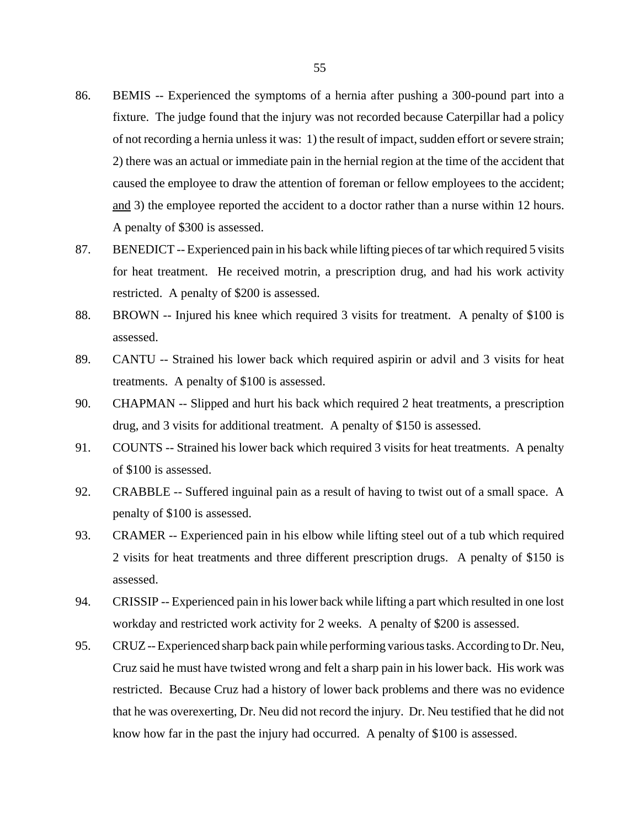- 86. BEMIS -- Experienced the symptoms of a hernia after pushing a 300-pound part into a fixture. The judge found that the injury was not recorded because Caterpillar had a policy of not recording a hernia unless it was: 1) the result of impact, sudden effort or severe strain; 2) there was an actual or immediate pain in the hernial region at the time of the accident that caused the employee to draw the attention of foreman or fellow employees to the accident; and 3) the employee reported the accident to a doctor rather than a nurse within 12 hours. A penalty of \$300 is assessed.
- 87. BENEDICT -- Experienced pain in his back while lifting pieces of tar which required 5 visits for heat treatment. He received motrin, a prescription drug, and had his work activity restricted. A penalty of \$200 is assessed.
- 88. BROWN -- Injured his knee which required 3 visits for treatment. A penalty of \$100 is assessed.
- 89. CANTU -- Strained his lower back which required aspirin or advil and 3 visits for heat treatments. A penalty of \$100 is assessed.
- 90. CHAPMAN -- Slipped and hurt his back which required 2 heat treatments, a prescription drug, and 3 visits for additional treatment. A penalty of \$150 is assessed.
- 91. COUNTS -- Strained his lower back which required 3 visits for heat treatments. A penalty of \$100 is assessed.
- 92. CRABBLE -- Suffered inguinal pain as a result of having to twist out of a small space. A penalty of \$100 is assessed.
- 93. CRAMER -- Experienced pain in his elbow while lifting steel out of a tub which required 2 visits for heat treatments and three different prescription drugs. A penalty of \$150 is assessed.
- 94. CRISSIP -- Experienced pain in his lower back while lifting a part which resulted in one lost workday and restricted work activity for 2 weeks. A penalty of \$200 is assessed.
- 95. CRUZ -- Experienced sharp back pain while performing various tasks. According to Dr. Neu, Cruz said he must have twisted wrong and felt a sharp pain in his lower back. His work was restricted. Because Cruz had a history of lower back problems and there was no evidence that he was overexerting, Dr. Neu did not record the injury. Dr. Neu testified that he did not know how far in the past the injury had occurred. A penalty of \$100 is assessed.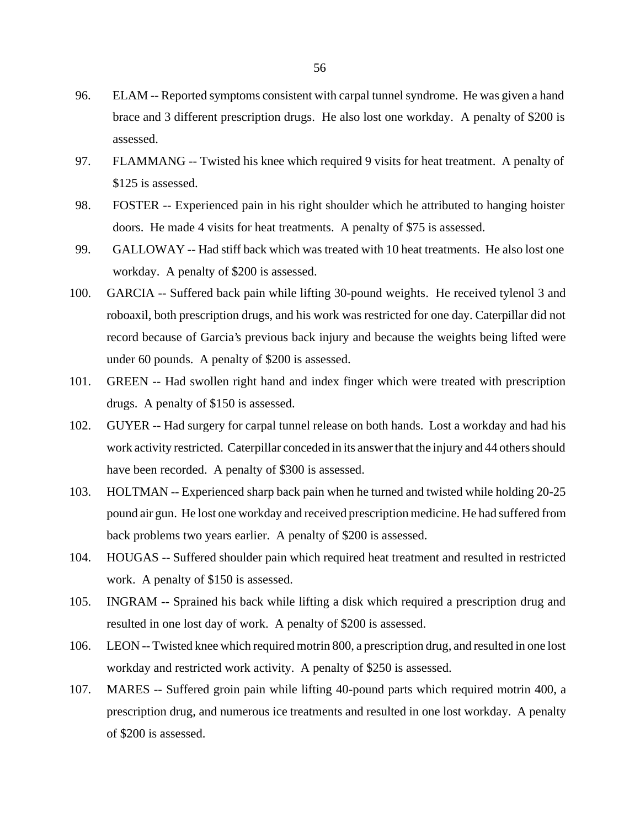- 96. ELAM -- Reported symptoms consistent with carpal tunnel syndrome. He was given a hand brace and 3 different prescription drugs. He also lost one workday. A penalty of \$200 is assessed.
- 97. FLAMMANG -- Twisted his knee which required 9 visits for heat treatment. A penalty of \$125 is assessed.
- 98. FOSTER -- Experienced pain in his right shoulder which he attributed to hanging hoister doors. He made 4 visits for heat treatments. A penalty of \$75 is assessed.
- 99. GALLOWAY -- Had stiff back which was treated with 10 heat treatments. He also lost one workday. A penalty of \$200 is assessed.
- 100. GARCIA -- Suffered back pain while lifting 30-pound weights. He received tylenol 3 and roboaxil, both prescription drugs, and his work was restricted for one day. Caterpillar did not record because of Garcia's previous back injury and because the weights being lifted were under 60 pounds. A penalty of \$200 is assessed.
- 101. GREEN -- Had swollen right hand and index finger which were treated with prescription drugs. A penalty of \$150 is assessed.
- 102. GUYER -- Had surgery for carpal tunnel release on both hands. Lost a workday and had his work activity restricted. Caterpillar conceded in its answer that the injury and 44 others should have been recorded. A penalty of \$300 is assessed.
- 103. HOLTMAN -- Experienced sharp back pain when he turned and twisted while holding 20-25 pound air gun. He lost one workday and received prescription medicine. He had suffered from back problems two years earlier. A penalty of \$200 is assessed.
- 104. HOUGAS -- Suffered shoulder pain which required heat treatment and resulted in restricted work. A penalty of \$150 is assessed.
- 105. INGRAM -- Sprained his back while lifting a disk which required a prescription drug and resulted in one lost day of work. A penalty of \$200 is assessed.
- 106. LEON -- Twisted knee which required motrin 800, a prescription drug, and resulted in one lost workday and restricted work activity. A penalty of \$250 is assessed.
- 107. MARES -- Suffered groin pain while lifting 40-pound parts which required motrin 400, a prescription drug, and numerous ice treatments and resulted in one lost workday. A penalty of \$200 is assessed.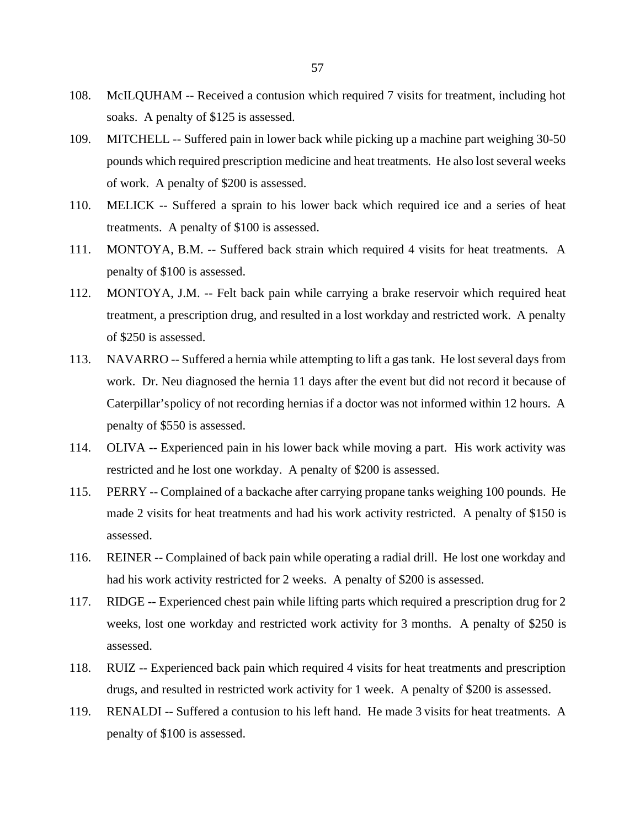- 108. McILQUHAM -- Received a contusion which required 7 visits for treatment, including hot soaks. A penalty of \$125 is assessed.
- 109. MITCHELL -- Suffered pain in lower back while picking up a machine part weighing 30-50 pounds which required prescription medicine and heat treatments. He also lost several weeks of work. A penalty of \$200 is assessed.
- 110. MELICK -- Suffered a sprain to his lower back which required ice and a series of heat treatments. A penalty of \$100 is assessed.
- 111. MONTOYA, B.M. -- Suffered back strain which required 4 visits for heat treatments. A penalty of \$100 is assessed.
- 112. MONTOYA, J.M. -- Felt back pain while carrying a brake reservoir which required heat treatment, a prescription drug, and resulted in a lost workday and restricted work. A penalty of \$250 is assessed.
- 113. NAVARRO -- Suffered a hernia while attempting to lift a gas tank. He lost several days from work. Dr. Neu diagnosed the hernia 11 days after the event but did not record it because of Caterpillar's policy of not recording hernias if a doctor was not informed within 12 hours. A penalty of \$550 is assessed.
- 114. OLIVA -- Experienced pain in his lower back while moving a part. His work activity was restricted and he lost one workday. A penalty of \$200 is assessed.
- 115. PERRY -- Complained of a backache after carrying propane tanks weighing 100 pounds. He made 2 visits for heat treatments and had his work activity restricted. A penalty of \$150 is assessed.
- 116. REINER -- Complained of back pain while operating a radial drill. He lost one workday and had his work activity restricted for 2 weeks. A penalty of \$200 is assessed.
- 117. RIDGE -- Experienced chest pain while lifting parts which required a prescription drug for 2 weeks, lost one workday and restricted work activity for 3 months. A penalty of \$250 is assessed.
- 118. RUIZ -- Experienced back pain which required 4 visits for heat treatments and prescription drugs, and resulted in restricted work activity for 1 week. A penalty of \$200 is assessed.
- 119. RENALDI -- Suffered a contusion to his left hand. He made 3 visits for heat treatments. A penalty of \$100 is assessed.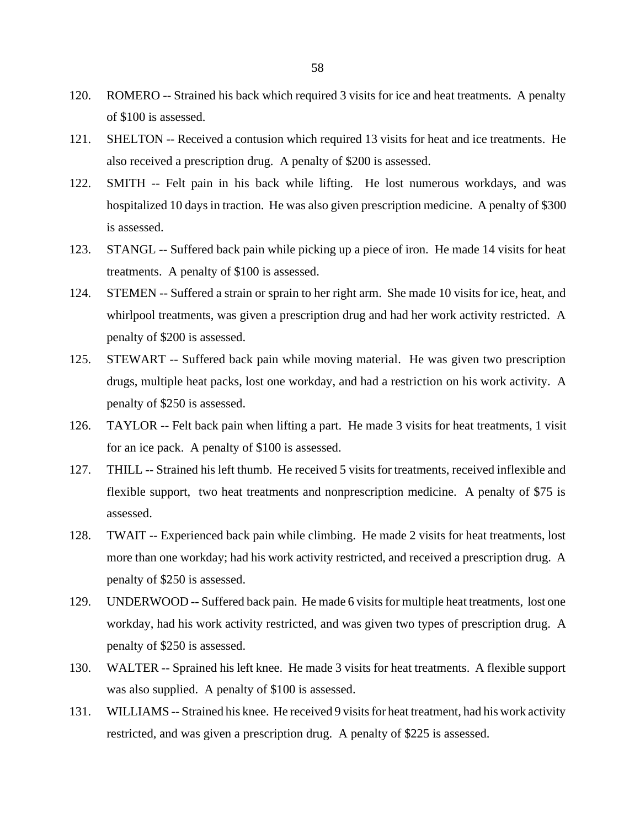- 120. ROMERO -- Strained his back which required 3 visits for ice and heat treatments. A penalty of \$100 is assessed.
- 121. SHELTON -- Received a contusion which required 13 visits for heat and ice treatments. He also received a prescription drug. A penalty of \$200 is assessed.
- 122. SMITH -- Felt pain in his back while lifting. He lost numerous workdays, and was hospitalized 10 days in traction. He was also given prescription medicine. A penalty of \$300 is assessed.
- 123. STANGL -- Suffered back pain while picking up a piece of iron. He made 14 visits for heat treatments. A penalty of \$100 is assessed.
- 124. STEMEN -- Suffered a strain or sprain to her right arm. She made 10 visits for ice, heat, and whirlpool treatments, was given a prescription drug and had her work activity restricted. A penalty of \$200 is assessed.
- 125. STEWART -- Suffered back pain while moving material. He was given two prescription drugs, multiple heat packs, lost one workday, and had a restriction on his work activity. A penalty of \$250 is assessed.
- 126. TAYLOR -- Felt back pain when lifting a part. He made 3 visits for heat treatments, 1 visit for an ice pack. A penalty of \$100 is assessed.
- 127. THILL -- Strained his left thumb. He received 5 visits for treatments, received inflexible and flexible support, two heat treatments and nonprescription medicine. A penalty of \$75 is assessed.
- 128. TWAIT -- Experienced back pain while climbing. He made 2 visits for heat treatments, lost more than one workday; had his work activity restricted, and received a prescription drug. A penalty of \$250 is assessed.
- 129. UNDERWOOD -- Suffered back pain. He made 6 visits for multiple heat treatments, lost one workday, had his work activity restricted, and was given two types of prescription drug. A penalty of \$250 is assessed.
- 130. WALTER -- Sprained his left knee. He made 3 visits for heat treatments. A flexible support was also supplied. A penalty of \$100 is assessed.
- 131. WILLIAMS -- Strained his knee. He received 9 visits for heat treatment, had his work activity restricted, and was given a prescription drug. A penalty of \$225 is assessed.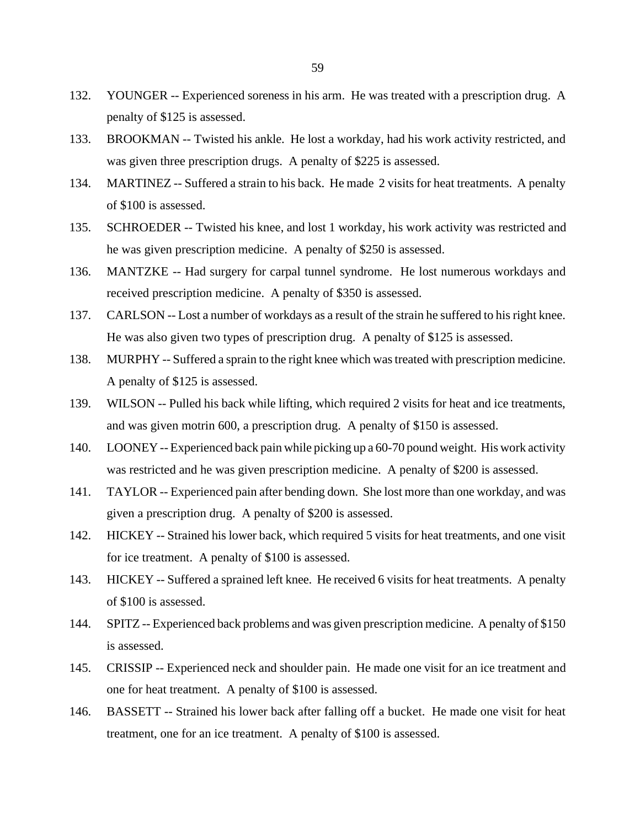- 132. YOUNGER -- Experienced soreness in his arm. He was treated with a prescription drug. A penalty of \$125 is assessed.
- 133. BROOKMAN -- Twisted his ankle. He lost a workday, had his work activity restricted, and was given three prescription drugs. A penalty of \$225 is assessed.
- 134. MARTINEZ -- Suffered a strain to his back. He made 2 visits for heat treatments. A penalty of \$100 is assessed.
- 135. SCHROEDER -- Twisted his knee, and lost 1 workday, his work activity was restricted and he was given prescription medicine. A penalty of \$250 is assessed.
- 136. MANTZKE -- Had surgery for carpal tunnel syndrome. He lost numerous workdays and received prescription medicine. A penalty of \$350 is assessed.
- 137. CARLSON -- Lost a number of workdays as a result of the strain he suffered to his right knee. He was also given two types of prescription drug. A penalty of \$125 is assessed.
- 138. MURPHY -- Suffered a sprain to the right knee which was treated with prescription medicine. A penalty of \$125 is assessed.
- 139. WILSON -- Pulled his back while lifting, which required 2 visits for heat and ice treatments, and was given motrin 600, a prescription drug. A penalty of \$150 is assessed.
- 140. LOONEY -- Experienced back pain while picking up a 60-70 pound weight. His work activity was restricted and he was given prescription medicine. A penalty of \$200 is assessed.
- 141. TAYLOR -- Experienced pain after bending down. She lost more than one workday, and was given a prescription drug. A penalty of \$200 is assessed.
- 142. HICKEY -- Strained his lower back, which required 5 visits for heat treatments, and one visit for ice treatment. A penalty of \$100 is assessed.
- 143. HICKEY -- Suffered a sprained left knee. He received 6 visits for heat treatments. A penalty of \$100 is assessed.
- 144. SPITZ -- Experienced back problems and was given prescription medicine. A penalty of \$150 is assessed.
- 145. CRISSIP -- Experienced neck and shoulder pain. He made one visit for an ice treatment and one for heat treatment. A penalty of \$100 is assessed.
- 146. BASSETT -- Strained his lower back after falling off a bucket. He made one visit for heat treatment, one for an ice treatment. A penalty of \$100 is assessed.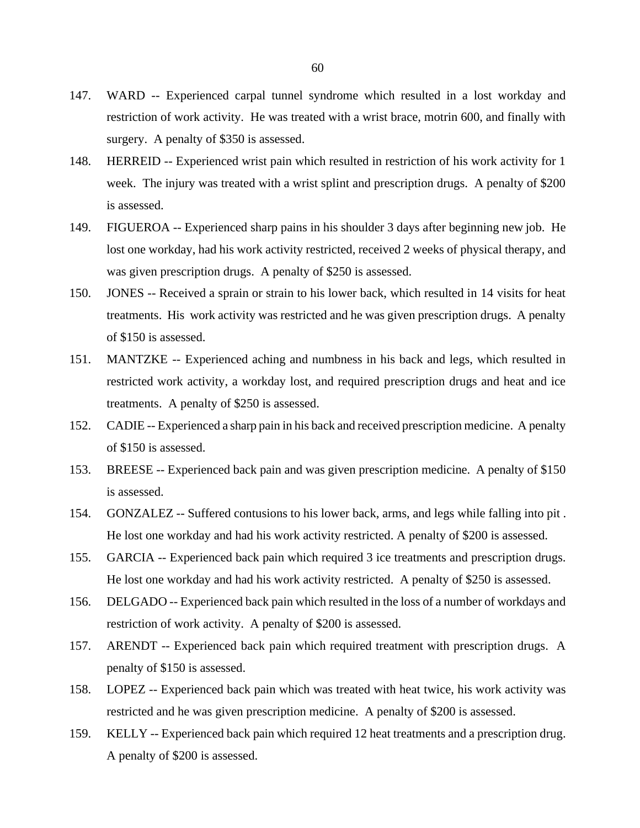- 147. WARD -- Experienced carpal tunnel syndrome which resulted in a lost workday and restriction of work activity. He was treated with a wrist brace, motrin 600, and finally with surgery. A penalty of \$350 is assessed.
- 148. HERREID -- Experienced wrist pain which resulted in restriction of his work activity for 1 week. The injury was treated with a wrist splint and prescription drugs. A penalty of \$200 is assessed.
- 149. FIGUEROA -- Experienced sharp pains in his shoulder 3 days after beginning new job. He lost one workday, had his work activity restricted, received 2 weeks of physical therapy, and was given prescription drugs. A penalty of \$250 is assessed.
- 150. JONES -- Received a sprain or strain to his lower back, which resulted in 14 visits for heat treatments. His work activity was restricted and he was given prescription drugs. A penalty of \$150 is assessed.
- 151. MANTZKE -- Experienced aching and numbness in his back and legs, which resulted in restricted work activity, a workday lost, and required prescription drugs and heat and ice treatments. A penalty of \$250 is assessed.
- 152. CADIE -- Experienced a sharp pain in his back and received prescription medicine. A penalty of \$150 is assessed.
- 153. BREESE -- Experienced back pain and was given prescription medicine. A penalty of \$150 is assessed.
- 154. GONZALEZ -- Suffered contusions to his lower back, arms, and legs while falling into pit . He lost one workday and had his work activity restricted. A penalty of \$200 is assessed.
- 155. GARCIA -- Experienced back pain which required 3 ice treatments and prescription drugs. He lost one workday and had his work activity restricted. A penalty of \$250 is assessed.
- 156. DELGADO -- Experienced back pain which resulted in the loss of a number of workdays and restriction of work activity. A penalty of \$200 is assessed.
- 157. ARENDT -- Experienced back pain which required treatment with prescription drugs. A penalty of \$150 is assessed.
- 158. LOPEZ -- Experienced back pain which was treated with heat twice, his work activity was restricted and he was given prescription medicine. A penalty of \$200 is assessed.
- 159. KELLY -- Experienced back pain which required 12 heat treatments and a prescription drug. A penalty of \$200 is assessed.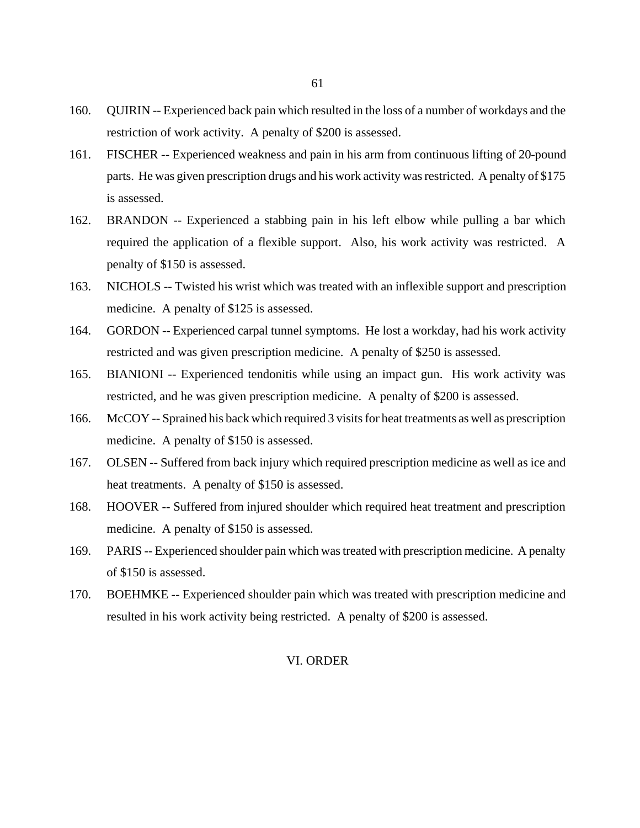- 160. QUIRIN -- Experienced back pain which resulted in the loss of a number of workdays and the restriction of work activity. A penalty of \$200 is assessed.
- 161. FISCHER -- Experienced weakness and pain in his arm from continuous lifting of 20-pound parts. He was given prescription drugs and his work activity was restricted. A penalty of \$175 is assessed.
- 162. BRANDON -- Experienced a stabbing pain in his left elbow while pulling a bar which required the application of a flexible support. Also, his work activity was restricted. A penalty of \$150 is assessed.
- 163. NICHOLS -- Twisted his wrist which was treated with an inflexible support and prescription medicine. A penalty of \$125 is assessed.
- 164. GORDON -- Experienced carpal tunnel symptoms. He lost a workday, had his work activity restricted and was given prescription medicine. A penalty of \$250 is assessed.
- 165. BIANIONI -- Experienced tendonitis while using an impact gun. His work activity was restricted, and he was given prescription medicine. A penalty of \$200 is assessed.
- 166. McCOY -- Sprained his back which required 3 visits for heat treatments as well as prescription medicine. A penalty of \$150 is assessed.
- 167. OLSEN -- Suffered from back injury which required prescription medicine as well as ice and heat treatments. A penalty of \$150 is assessed.
- 168. HOOVER -- Suffered from injured shoulder which required heat treatment and prescription medicine. A penalty of \$150 is assessed.
- 169. PARIS -- Experienced shoulder pain which was treated with prescription medicine. A penalty of \$150 is assessed.
- 170. BOEHMKE -- Experienced shoulder pain which was treated with prescription medicine and resulted in his work activity being restricted. A penalty of \$200 is assessed.

# VI. ORDER